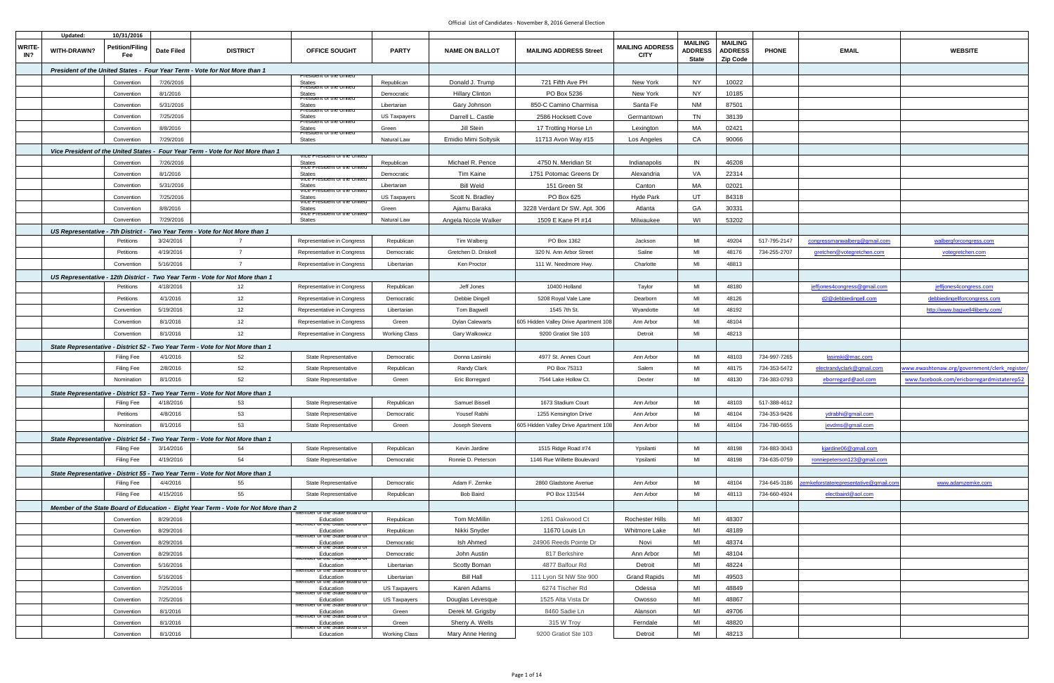|                      | Updated:    | 10/31/2016                    |                       |                                                                                               |                                                           |                      |                        |                                       |                                       |                                                  |                                                     |              |                                       |                                             |
|----------------------|-------------|-------------------------------|-----------------------|-----------------------------------------------------------------------------------------------|-----------------------------------------------------------|----------------------|------------------------|---------------------------------------|---------------------------------------|--------------------------------------------------|-----------------------------------------------------|--------------|---------------------------------------|---------------------------------------------|
| <b>WRITE-</b><br>IN? | WITH-DRAWN? | <b>Petition/Filing</b><br>Fee | <b>Date Filed</b>     | <b>DISTRICT</b>                                                                               | <b>OFFICE SOUGHT</b>                                      | <b>PARTY</b>         | <b>NAME ON BALLOT</b>  | <b>MAILING ADDRESS Street</b>         | <b>MAILING ADDRESS</b><br><b>CITY</b> | <b>MAILING</b><br><b>ADDRESS</b><br><b>State</b> | <b>MAILING</b><br><b>ADDRESS</b><br><b>Zip Code</b> | <b>PHONE</b> | <b>EMAIL</b>                          | <b>WEBSITE</b>                              |
|                      |             |                               |                       | President of the United States - Four Year Term - Vote for Not More than 1                    |                                                           |                      |                        |                                       |                                       |                                                  |                                                     |              |                                       |                                             |
|                      |             | Convention                    | 7/26/2016             |                                                                                               | resident or the United<br><b>States</b>                   | Republican           | Donald J. Trump        | 721 Fifth Ave PH                      | New York                              | <b>NY</b>                                        | 10022                                               |              |                                       |                                             |
|                      |             | Convention                    | 8/1/2016              |                                                                                               | resider<br><b>States</b>                                  | Democratic           | <b>Hillary Clinton</b> | PO Box 5236                           | New York                              | <b>NY</b>                                        | 10185                                               |              |                                       |                                             |
|                      |             | Convention                    | 5/31/2016             |                                                                                               | President or the United<br><b>States</b>                  | Libertarian          | Gary Johnson           | 850-C Camino Charmisa                 | Santa Fe                              | <b>NM</b>                                        | 87501                                               |              |                                       |                                             |
|                      |             | Convention                    | 7/25/2016             |                                                                                               | President or the United<br><b>States</b>                  | US Taxpayers         | Darrell L. Castle      | 2586 Hocksett Cove                    | Germantown                            | TN                                               | 38139                                               |              |                                       |                                             |
|                      |             | Convention                    | 8/8/2016              |                                                                                               | President of the United<br><b>States</b>                  | Green                | Jill Stein             | 17 Trotting Horse Ln                  | Lexington                             | MA                                               | 02421                                               |              |                                       |                                             |
|                      |             | Convention                    | 7/29/2016             |                                                                                               | President or the United<br><b>States</b>                  | Natural Law          | Emidio Mimi Soltysik   | 11713 Avon Way #15                    | Los Angeles                           | CA                                               | 90066                                               |              |                                       |                                             |
|                      |             |                               |                       | Vice President of the United States - Four Year Term - Vote for Not More than 1               |                                                           |                      |                        |                                       |                                       |                                                  |                                                     |              |                                       |                                             |
|                      |             | Convention                    | 7/26/2016             |                                                                                               | vice President of the Onited<br><b>States</b>             | Republican           | Michael R. Pence       | 4750 N. Meridian St                   | Indianapolis                          | IN                                               | 46208                                               |              |                                       |                                             |
|                      |             | Convention                    | 8/1/2016              |                                                                                               | vice President of the United<br><b>States</b>             | Democratic           | Tim Kaine              | 1751 Potomac Greens Dr                | Alexandria                            | VA                                               | 22314                                               |              |                                       |                                             |
|                      |             |                               | 5/31/2016             |                                                                                               | <b>VICE P</b><br><del>m or the Orm</del><br><b>States</b> |                      | <b>Bill Weld</b>       | 151 Green St                          | Canton                                | МA                                               | 02021                                               |              |                                       |                                             |
|                      |             | Convention                    | 7/25/2016             |                                                                                               | iaent or the Uniter<br>үісе Рте<br><b>States</b>          | Libertarian          |                        |                                       |                                       | UT                                               |                                                     |              |                                       |                                             |
|                      |             | Convention                    |                       |                                                                                               | <u>vice Fresident of the Onited</u>                       | <b>US Taxpayers</b>  | Scott N. Bradley       | PO Box 625                            | <b>Hyde Park</b>                      | GA                                               | 84318                                               |              |                                       |                                             |
|                      |             | Convention                    | 8/8/2016              |                                                                                               | <b>States</b><br>vice President of the United             | Green                | Ajamu Baraka           | 3228 Verdant Dr SW, Apt. 306          | Atlanta                               |                                                  | 30331                                               |              |                                       |                                             |
|                      |             | Convention                    | 7/29/2016             |                                                                                               | <b>States</b>                                             | Natural Law          | Angela Nicole Walker   | 1509 E Kane PI #14                    | Milwaukee                             | WI                                               | 53202                                               |              |                                       |                                             |
|                      |             | Petitions                     | 3/24/2016             | US Representative - 7th District - Two Year Term - Vote for Not More than 1<br>$\overline{7}$ | Representative in Congress                                | Republican           | Tim Walberg            | PO Box 1362                           | Jackson                               | MI                                               | 49204                                               | 517-795-2147 | congressmanwalberg@gmail.com          | walbergforcongress.com                      |
|                      |             | Petitions                     | 4/19/2016             | $\overline{7}$                                                                                | Representative in Congress                                | Democratic           | Gretchen D. Driskell   | 320 N. Ann Arbor Street               | Saline                                | MI                                               | 48176                                               | 734-255-2707 | gretchen@votegretchen.com             |                                             |
|                      |             | Convention                    | 5/16/2016             | $\overline{7}$                                                                                | Representative in Congress                                | Libertarian          | Ken Proctor            | 111 W. Needmore Hwy.                  | Charlotte                             | MI                                               | 48813                                               |              |                                       | votegretchen.com                            |
|                      |             |                               |                       |                                                                                               |                                                           |                      |                        |                                       |                                       |                                                  |                                                     |              |                                       |                                             |
|                      |             | Petitions                     | 4/18/2016             | US Representative - 12th District - Two Year Term - Vote for Not More than 1<br>12            |                                                           |                      | Jeff Jones             | 10400 Holland                         |                                       | MI                                               | 48180                                               |              |                                       |                                             |
|                      |             |                               |                       |                                                                                               | Representative in Congress                                | Republican           |                        |                                       | Taylor                                | MI                                               |                                                     |              | jeffjones4congress@gmail.com          | jeffjones4congress.com                      |
|                      |             | Petitions                     | 4/1/2016<br>5/19/2016 | 12                                                                                            | Representative in Congress                                | Democratic           | Debbie Dingell         | 5208 Royal Vale Lane<br>1545 7th St.  | Dearborn                              | MI                                               | 48126<br>48192                                      |              | d2@debbiedingell.com                  | debbiedingellforcongress.com                |
|                      |             | Convention                    |                       | 12                                                                                            | Representative in Congress                                | Libertarian          | Tom Bagwell            |                                       | Wyandotte                             |                                                  |                                                     |              |                                       | http://www.bagwell4liberty.com/             |
|                      |             | Convention                    | 8/1/2016              | 12                                                                                            | Representative in Congress                                | Green                | <b>Dylan Calewarts</b> | 605 Hidden Valley Drive Apartment 108 | Ann Arbor                             | MI                                               | 48104                                               |              |                                       |                                             |
|                      |             | Convention                    | 8/1/2016              | 12                                                                                            | Representative in Congress                                | <b>Working Class</b> | Gary Walkowicz         | 9200 Gratiot Ste 103                  | Detroit                               | MI                                               | 48213                                               |              |                                       |                                             |
|                      |             |                               |                       | State Representative - District 52 - Two Year Term - Vote for Not More than 1                 |                                                           |                      |                        |                                       |                                       |                                                  |                                                     |              |                                       |                                             |
|                      |             | <b>Filing Fee</b>             | 4/1/2016              | 52                                                                                            | <b>State Representative</b>                               | Democratic           | Donna Lasinski         | 4977 St. Annes Court                  | Ann Arbor                             | MI                                               | 48103                                               | 734-997-7265 | lasinski@mac.com                      |                                             |
|                      |             | <b>Filing Fee</b>             | 2/8/2016              | 52                                                                                            | State Representative                                      | Republican           | Randy Clark            | PO Box 75313                          | Salem                                 | MI                                               | 48175                                               | 734-353-5472 | electrandyclark@gmail.com             | ww.ewashtenaw.org/government/clerk register |
|                      |             | Nomination                    | 8/1/2016              | 52                                                                                            | <b>State Representative</b>                               | Green                | <b>Eric Borregard</b>  | 7544 Lake Hollow Ct.                  | Dexter                                | MI                                               | 48130                                               | 734-383-0793 | eborregard@aol.com                    | www.facebook.com/ericborregardmistaterep52  |
|                      |             |                               |                       | State Representative - District 53 - Two Year Term - Vote for Not More than 1                 |                                                           |                      |                        |                                       |                                       |                                                  |                                                     |              |                                       |                                             |
|                      |             | <b>Filing Fee</b>             | 4/18/2016             | 53                                                                                            | State Representative                                      | Republican           | Samuel Bissell         | 1673 Stadium Court                    | Ann Arbor                             | MI                                               | 48103                                               | 517-388-4612 |                                       |                                             |
|                      |             | Petitions                     | 4/8/2016              | 53                                                                                            | <b>State Representative</b>                               | Democratic           | Yousef Rabhi           | 1255 Kensington Drive                 | Ann Arbor                             | MI                                               | 48104                                               | 734-353-9426 | ydrabhi@gmail.com                     |                                             |
|                      |             | Nomination                    | 8/1/2016              | 53                                                                                            | State Representative                                      | Green                | Joseph Stevens         | 605 Hidden Valley Drive Apartment 108 | Ann Arbor                             | MI                                               | 48104                                               | 734-780-6655 | jevdms@gmail.com                      |                                             |
|                      |             |                               |                       | State Representative - District 54 - Two Year Term - Vote for Not More than 1                 |                                                           |                      |                        |                                       |                                       |                                                  |                                                     |              |                                       |                                             |
|                      |             | Filing Fee                    | 3/14/2016             | 54                                                                                            | <b>State Representative</b>                               | Republican           | Kevin Jardine          | 1515 Ridge Road #74                   | Ypsilanti                             | MI                                               | 48198                                               | 734-883-3043 | kjardine06@gmail.com                  |                                             |
|                      |             | Filing Fee                    | 4/19/2016             | 54                                                                                            | State Representative                                      | Democratic           | Ronnie D. Peterson     | 1146 Rue Willette Boulevard           | Ypsilanti                             | MI                                               | 48198                                               | 734-635-0759 | ronniepeterson123@gmail.com           |                                             |
|                      |             |                               |                       | State Representative - District 55 - Two Year Term - Vote for Not More than 1                 |                                                           |                      | Adam F. Zemke          |                                       |                                       | MI                                               | 48104                                               |              | cemkeforstaterepresentative@gmail.cor |                                             |
|                      |             | Filing Fee                    | 4/4/2016              | 55<br>55                                                                                      | <b>State Representative</b><br>State Representative       | Democratic           |                        | 2860 Gladstone Avenue                 | Ann Arbor                             | MI                                               |                                                     | 734-645-3186 |                                       | www.adamzemke.com                           |
|                      |             | Filing Fee                    | 4/15/2016             |                                                                                               |                                                           | Republican           | <b>Bob Baird</b>       | PO Box 131544                         | Ann Arbor                             |                                                  | 48113                                               | 734-660-4924 | electbaird@aol.com                    |                                             |
|                      |             |                               |                       | Member of the State Board of Education - Eight Year Term - Vote for Not More than 2           | vernoer or the State Board of                             |                      |                        |                                       |                                       |                                                  |                                                     |              |                                       |                                             |
|                      |             | Convention                    | 8/29/2016             |                                                                                               | Education<br>viember or the State Board o                 | Republican           | Tom McMillin           | 1261 Oakwood Ct                       | <b>Rochester Hills</b>                | MI                                               | 48307                                               |              |                                       |                                             |
|                      |             | Convention                    | 8/29/2016             |                                                                                               | Education<br>or the State Board o                         | Republican           | Nikki Snyder           | 11670 Louis Ln                        | Whitmore Lake                         | MI                                               | 48189                                               |              |                                       |                                             |
|                      |             | Convention                    | 8/29/2016             |                                                                                               | Education<br>or the State Board                           | Democratic           | Ish Ahmed              | 24906 Reeds Pointe Dr                 | Novi                                  | MI                                               | 48374                                               |              |                                       |                                             |
|                      |             | Convention                    | 8/29/2016             |                                                                                               | Education<br>viember of the State Board of                | Democratic           | John Austin            | 817 Berkshire                         | Ann Arbor                             | MI                                               | 48104                                               |              |                                       |                                             |
|                      |             | Convention                    | 5/16/2016             |                                                                                               | Education<br>or the State Board of                        | Libertarian          | Scotty Boman           | 4877 Balfour Rd                       | Detroit                               | MI                                               | 48224                                               |              |                                       |                                             |
|                      |             | Convention                    | 5/16/2016             |                                                                                               | Education<br>viember or the State Board o                 | Libertarian          | <b>Bill Hall</b>       | 111 Lyon St NW Ste 900                | <b>Grand Rapids</b>                   | MI                                               | 49503                                               |              |                                       |                                             |
|                      |             | Convention                    | 7/25/2016             |                                                                                               | Education<br>or the State Board                           | <b>US Taxpayers</b>  | Karen Adams            | 6274 Tischer Rd                       | Odessa                                | MI                                               | 48849                                               |              |                                       |                                             |
|                      |             | Convention                    | 7/25/2016             |                                                                                               | Education<br>vernoer or the State Board o                 | US Taxpayers         | Douglas Levesque       | 1525 Alta Vista Dr                    | Owosso                                | MI                                               | 48867                                               |              |                                       |                                             |
|                      |             | Convention                    | 8/1/2016              |                                                                                               | Education<br>or the State Board of<br>viernber            | Green                | Derek M. Grigsby       | 8460 Sadie Ln                         | Alanson                               | MI                                               | 49706                                               |              |                                       |                                             |
|                      |             | Convention                    | 8/1/2016              |                                                                                               | Education<br>viember or the State Board of                | Green                | Sherry A. Wells        | 315 W Troy                            | Ferndale                              | MI                                               | 48820                                               |              |                                       |                                             |
|                      |             | Convention                    | 8/1/2016              |                                                                                               | Education                                                 | <b>Working Class</b> | Mary Anne Hering       | 9200 Gratiot Ste 103                  | Detroit                               | MI                                               | 48213                                               |              |                                       |                                             |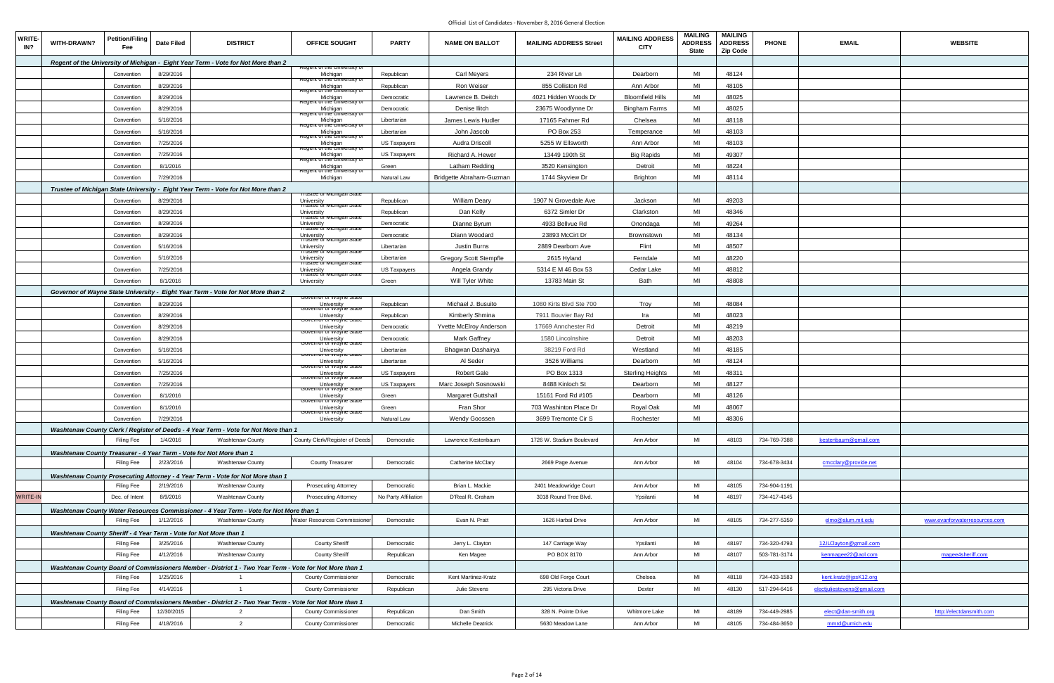| <b>WRITE-</b><br>IN? | WITH-DRAWN?                                                       | Petition/Filing<br>Fee | <b>Date Filed</b> | <b>DISTRICT</b>                                                                                        | <b>OFFICE SOUGHT</b>                                                  | <b>PARTY</b>         | <b>NAME ON BALLOT</b>         | <b>MAILING ADDRESS Street</b> | <b>MAILING ADDRESS</b><br><b>CITY</b> | <b>MAILING</b><br><b>ADDRESS</b><br><b>State</b> | <b>MAILING</b><br><b>ADDRESS</b><br><b>Zip Code</b> | <b>PHONE</b> | <b>EMAIL</b>                | <b>WEBSITE</b>                |
|----------------------|-------------------------------------------------------------------|------------------------|-------------------|--------------------------------------------------------------------------------------------------------|-----------------------------------------------------------------------|----------------------|-------------------------------|-------------------------------|---------------------------------------|--------------------------------------------------|-----------------------------------------------------|--------------|-----------------------------|-------------------------------|
|                      |                                                                   |                        |                   | Regent of the University of Michigan - Eight Year Term - Vote for Not More than 2                      |                                                                       |                      |                               |                               |                                       |                                                  |                                                     |              |                             |                               |
|                      |                                                                   | Convention             | 8/29/2016         |                                                                                                        | Regent of the University C<br>Michigan<br>Regent or the University of | Republican           | <b>Carl Meyers</b>            | 234 River Ln                  | Dearborn                              | MI                                               | 48124                                               |              |                             |                               |
|                      |                                                                   | Convention             | 8/29/2016         |                                                                                                        | Michigan                                                              | Republican           | Ron Weiser                    | 855 Colliston Rd              | Ann Arbor                             | MI                                               | 48105                                               |              |                             |                               |
|                      |                                                                   | Convention             | 8/29/2016         |                                                                                                        | gent or the University of<br>Michigan                                 | Democratic           | Lawrence B. Deitch            | 4021 Hidden Woods Dr          | <b>Bloomfield Hills</b>               | MI                                               | 48025                                               |              |                             |                               |
|                      |                                                                   | Convention             | 8/29/2016         |                                                                                                        | Michigan                                                              | Democratic           | Denise Ilitch                 | 23675 Woodlynne Dr            | <b>Bingham Farms</b>                  | MI                                               | 48025                                               |              |                             |                               |
|                      |                                                                   | Convention             | 5/16/2016         |                                                                                                        | or the University of<br>Michigan                                      | Libertarian          | James Lewis Hudler            | 17165 Fahrner Rd              | Chelsea                               | MI                                               | 48118                                               |              |                             |                               |
|                      |                                                                   | Convention             | 5/16/2016         |                                                                                                        | egent or the University c<br>Michigan                                 | Libertarian          | John Jascob                   | PO Box 253                    | Temperance                            | MI                                               | 48103                                               |              |                             |                               |
|                      |                                                                   | Convention             | 7/25/2016         |                                                                                                        | egent or the Oniversity o<br>Michigan                                 | <b>US Taxpayers</b>  | Audra Driscoll                | 5255 W Ellsworth              | Ann Arbor                             | MI                                               | 48103                                               |              |                             |                               |
|                      |                                                                   | Convention             | 7/25/2016         |                                                                                                        | r or the University i<br>Michigan                                     | <b>US Taxpayers</b>  | Richard A. Hewer              | 13449 190th St                | <b>Big Rapids</b>                     | MI                                               | 49307                                               |              |                             |                               |
|                      |                                                                   | Convention             | 8/1/2016          |                                                                                                        | <del>ir tne Úniversitv</del><br>Michigan                              | Green                | Latham Redding                | 3520 Kensington               | Detroit                               | MI                                               | 48224                                               |              |                             |                               |
|                      |                                                                   | Convention             | 7/29/2016         |                                                                                                        | egent or the University or<br>Michigan                                | <b>Natural Law</b>   | Bridgette Abraham-Guzman      | 1744 Skyview Dr               | Brighton                              | MI                                               | 48114                                               |              |                             |                               |
|                      |                                                                   |                        |                   | Trustee of Michigan State University - Eight Year Term - Vote for Not More than 2                      |                                                                       |                      |                               |                               |                                       |                                                  |                                                     |              |                             |                               |
|                      |                                                                   | Convention             | 8/29/2016         |                                                                                                        | rustee or ivilichigan State<br>University                             | Republican           | <b>William Deary</b>          | 1907 N Grovedale Ave          | Jackson                               | MI                                               | 49203                                               |              |                             |                               |
|                      |                                                                   | Convention             | 8/29/2016         |                                                                                                        | University                                                            | Republican           | Dan Kelly                     | 6372 Simler Dr                | Clarkston                             | MI                                               | 48346                                               |              |                             |                               |
|                      |                                                                   | Convention             | 8/29/2016         |                                                                                                        | University                                                            | Democratic           | Dianne Byrum                  | 4933 Bellvue Rd               | Onondaga                              | MI                                               | 49264                                               |              |                             |                               |
|                      |                                                                   | Convention             | 8/29/2016         |                                                                                                        | ichigan Statt                                                         | Democratic           | Diann Woodard                 | 23893 McCirt Dr               | Brownstown                            | MI                                               | 48134                                               |              |                             |                               |
|                      |                                                                   | Convention             | 5/16/2016         |                                                                                                        | University<br>i rustee or iviicnigan State<br>University              | Libertarian          | Justin Burns                  | 2889 Dearborn Ave             | Flint                                 | MI                                               | 48507                                               |              |                             |                               |
|                      |                                                                   |                        |                   |                                                                                                        | <u>rrustee ór ivilchigan State</u>                                    |                      |                               |                               |                                       | MI                                               | 48220                                               |              |                             |                               |
|                      |                                                                   | Convention             | 5/16/2016         |                                                                                                        | University                                                            | Libertarian          | <b>Gregory Scott Stempfle</b> | 2615 Hyland                   | Ferndale                              |                                                  |                                                     |              |                             |                               |
|                      |                                                                   | Convention             | 7/25/2016         |                                                                                                        | University<br><u>ór ivilchigan State</u>                              | <b>US Taxpayers</b>  | Angela Grandy                 | 5314 E M 46 Box 53            | Cedar Lake                            | MI                                               | 48812                                               |              |                             |                               |
|                      |                                                                   | Convention             | 8/1/2016          |                                                                                                        | University                                                            | Green                | Will Tyler White              | 13783 Main St                 | Bath                                  | MI                                               | 48808                                               |              |                             |                               |
|                      |                                                                   |                        |                   | Governor of Wayne State University - Eight Year Term - Vote for Not More than 2                        | Governor or wayne Sta                                                 |                      |                               |                               |                                       |                                                  |                                                     |              |                             |                               |
|                      |                                                                   | Convention             | 8/29/2016         |                                                                                                        | University<br>nor or wayne s                                          | Republican           | Michael J. Busuito            | 1080 Kirts Blvd Ste 700       | Troy                                  | MI                                               | 48084                                               |              |                             |                               |
|                      |                                                                   | Convention             | 8/29/2016         |                                                                                                        | University                                                            | Republican           | Kimberly Shmina               | 7911 Bouvier Bay Rd           | Ira                                   | MI                                               | 48023                                               |              |                             |                               |
|                      |                                                                   | Convention             | 8/29/2016         |                                                                                                        | University<br><del>Governor or wayne St</del>                         | Democratic           | Yvette McElroy Anderson       | 17669 Annchester Rd           | Detroit                               | MI                                               | 48219                                               |              |                             |                               |
|                      |                                                                   | Convention             | 8/29/2016         |                                                                                                        | University<br>Governor or wayne Sta                                   | Democratic           | Mark Gaffney                  | 1580 Lincolnshire             | Detroit                               | MI                                               | 48203                                               |              |                             |                               |
|                      |                                                                   | Convention             | 5/16/2016         |                                                                                                        | University<br>Governor or wayne St                                    | Libertarian          | Bhagwan Dashairya             | 38219 Ford Rd                 | Westland                              | MI                                               | 48185                                               |              |                             |                               |
|                      |                                                                   | Convention             | 5/16/2016         |                                                                                                        | University                                                            | Libertarian          | Al Seder                      | 3526 Williams                 | Dearborn                              | MI                                               | 48124                                               |              |                             |                               |
|                      |                                                                   | Convention             | 7/25/2016         |                                                                                                        | University<br>wernor or wavne                                         | US Taxpayers         | <b>Robert Gale</b>            | PO Box 1313                   | <b>Sterling Heights</b>               | MI                                               | 48311                                               |              |                             |                               |
|                      |                                                                   | Convention             | 7/25/2016         |                                                                                                        | University<br><del>Governor or wayne Sta</del>                        | <b>US Taxpayers</b>  | Marc Joseph Sosnowski         | 8488 Kinloch St               | Dearborn                              | MI                                               | 48127                                               |              |                             |                               |
|                      |                                                                   | Convention             | 8/1/2016          |                                                                                                        | University<br><del>Jovernor or wayne Sta</del>                        | Green                | <b>Margaret Guttshall</b>     | 15161 Ford Rd #105            | Dearborn                              | MI                                               | 48126                                               |              |                             |                               |
|                      |                                                                   | Convention             | 8/1/2016          |                                                                                                        | University<br>Governor or wayne State                                 | Green                | Fran Shor                     | 703 Washinton Place Dr        | Royal Oak                             | MI                                               | 48067                                               |              |                             |                               |
|                      |                                                                   | Convention 7/29/2016   |                   |                                                                                                        | University                                                            | Natural Law          | Wendy Goossen                 | 3699 Tremonte Cir S           | Rochester                             | MI                                               | 48306                                               |              |                             |                               |
|                      |                                                                   |                        |                   | Washtenaw County Clerk / Register of Deeds - 4 Year Term - Vote for Not More than 1                    |                                                                       |                      |                               |                               |                                       |                                                  |                                                     |              |                             |                               |
|                      |                                                                   | Filing Fee             | 1/4/2016          | <b>Washtenaw County</b>                                                                                | County Clerk/Register of Deeds                                        | Democratic           | Lawrence Kestenbaum           | 1726 W. Stadium Boulevard     | Ann Arbor                             | MI                                               | 48103                                               | 734-769-7388 | kestenbaum@gmail.com        |                               |
|                      |                                                                   |                        |                   | Washtenaw County Treasurer - 4 Year Term - Vote for Not More than 1                                    |                                                                       |                      |                               |                               |                                       |                                                  |                                                     |              |                             |                               |
|                      |                                                                   | Filing Fee             | 2/23/2016         | Washtenaw County                                                                                       | <b>County Treasurer</b>                                               | Democratic           | Catherine McClary             | 2669 Page Avenue              | Ann Arbor                             | MI                                               | 48104                                               | 734-678-3434 | cmcclary@provide.net        |                               |
|                      |                                                                   |                        |                   | Washtenaw County Prosecuting Attorney - 4 Year Term - Vote for Not More than 1                         |                                                                       |                      |                               |                               |                                       |                                                  |                                                     |              |                             |                               |
|                      |                                                                   | Filing Fee             | 2/19/2016         | <b>Washtenaw County</b>                                                                                | <b>Prosecuting Attorney</b>                                           | Democratic           | Brian L. Mackie               | 2401 Meadowridge Court        | Ann Arbor                             | MI                                               | 48105                                               | 734-904-1191 |                             |                               |
| <b>WRITE-IN</b>      |                                                                   | Dec. of Intent         | 8/9/2016          | <b>Washtenaw County</b>                                                                                | Prosecuting Attorney                                                  | No Party Affiliation | D'Real R. Graham              | 3018 Round Tree Blvd.         | Ypsilanti                             | MI                                               | 48197                                               | 734-417-4145 |                             |                               |
|                      |                                                                   |                        |                   | Washtenaw County Water Resources Commissioner - 4 Year Term - Vote for Not More than 1                 |                                                                       |                      |                               |                               |                                       |                                                  |                                                     |              |                             |                               |
|                      |                                                                   | Filing Fee             | 1/12/2016         | <b>Washtenaw County</b>                                                                                | Water Resources Commissioner                                          | Democratic           | Evan N. Pratt                 | 1626 Harbal Drive             | Ann Arbor                             | MI                                               | 48105                                               | 734-277-5359 | elmo@alum.mit.edu           | www.evanforwaterresources.com |
|                      | Washtenaw County Sheriff - 4 Year Term - Vote for Not More than 1 |                        |                   |                                                                                                        |                                                                       |                      |                               |                               |                                       |                                                  |                                                     |              |                             |                               |
|                      |                                                                   | Filing Fee             | 3/25/2016         | <b>Washtenaw County</b>                                                                                | <b>County Sheriff</b>                                                 | Democratic           | Jerry L. Clayton              | 147 Carriage Way              | Ypsilanti                             | MI                                               | 48197                                               | 734-320-4793 | 12JLClayton@gmail.com       |                               |
|                      |                                                                   | Filing Fee             | 4/12/2016         | <b>Washtenaw County</b>                                                                                | <b>County Sheriff</b>                                                 | Republican           | Ken Magee                     | PO BOX 8170                   | Ann Arbor                             | MI                                               | 48107                                               | 503-781-3174 | kenmagee22@aol.com          | magee4sheriff.com             |
|                      |                                                                   |                        |                   | Washtenaw County Board of Commissioners Member - District 1 - Two Year Term - Vote for Not More than 1 |                                                                       |                      |                               |                               |                                       |                                                  |                                                     |              |                             |                               |
|                      |                                                                   | Filing Fee             | 1/25/2016         | $\overline{1}$                                                                                         | <b>County Commissioner</b>                                            | Democratic           | Kent Martinez-Kratz           | 698 Old Forge Court           | Chelsea                               | MI                                               | 48118                                               | 734-433-1583 | kent.kratz@jpsK12.org       |                               |
|                      |                                                                   | Filing Fee             | 4/14/2016         | $\overline{1}$                                                                                         | <b>County Commissioner</b>                                            | Republican           | Julie Stevens                 | 295 Victoria Drive            | Dexter                                | MI                                               | 48130                                               | 517-294-6416 | electjuliestevens@gmail.com |                               |
|                      |                                                                   |                        |                   | Washtenaw County Board of Commissioners Member - District 2 - Two Year Term - Vote for Not More than 1 |                                                                       |                      |                               |                               |                                       |                                                  |                                                     |              |                             |                               |
|                      |                                                                   | Filing Fee             | 12/30/2015        | $\overline{2}$                                                                                         | County Commissioner                                                   | Republican           | Dan Smith                     | 328 N. Pointe Drive           | Whitmore Lake                         | MI                                               | 48189                                               | 734-449-2985 | elect@dan-smith.org         | http://electdansmith.com      |
|                      |                                                                   | Filing Fee             | 4/18/2016         | $\overline{2}$                                                                                         | <b>County Commissioner</b>                                            | Democratic           | Michelle Deatrick             | 5630 Meadow Lane              | Ann Arbor                             | MI                                               | 48105                                               | 734-484-3650 | mmrd@umich.edu              |                               |
|                      |                                                                   |                        |                   |                                                                                                        |                                                                       |                      |                               |                               |                                       |                                                  |                                                     |              |                             |                               |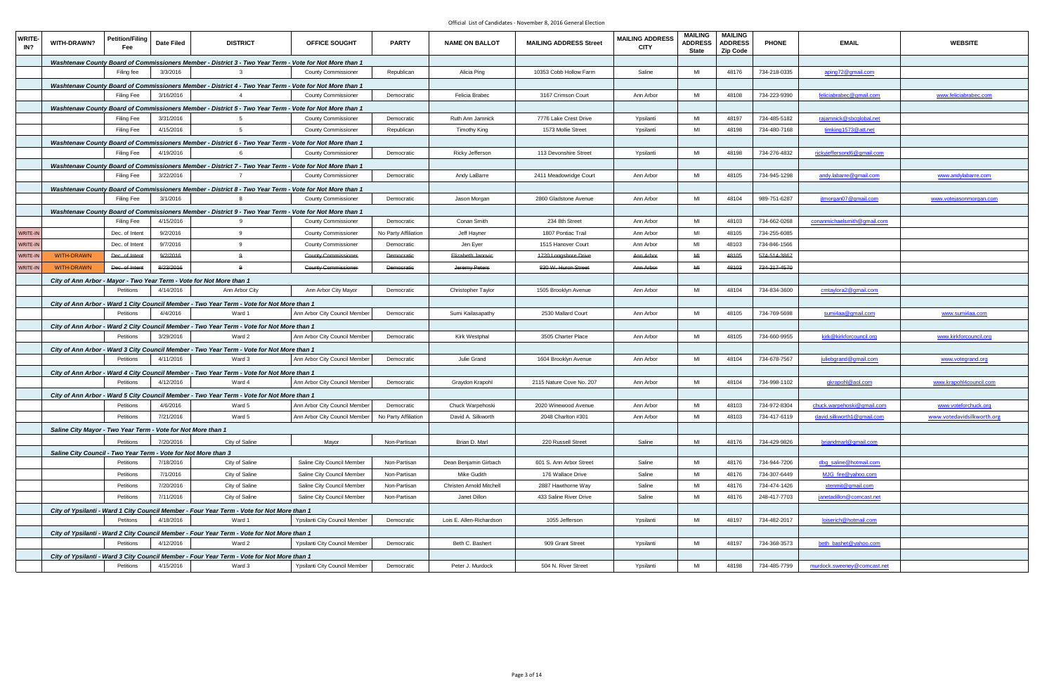| <b>WRITE-</b><br>IN? | WITH-DRAWN?       | <b>Petition/Filing</b><br>Fee | <b>Date Filed</b>                                                    | <b>DISTRICT</b>                                                                                      | OFFICE SOUGHT                                                                                                                        | <b>PARTY</b>         | <b>NAME ON BALLOT</b>    | <b>MAILING ADDRESS Street</b> | <b>MAILING ADDRESS</b><br><b>CITY</b> | <b>MAILING</b><br><b>ADDRESS</b><br><b>State</b> | <b>MAILING</b><br><b>ADDRESS</b><br><b>Zip Code</b> | <b>PHONE</b> | <b>EMAIL</b>                | <b>WEBSITE</b>                 |
|----------------------|-------------------|-------------------------------|----------------------------------------------------------------------|------------------------------------------------------------------------------------------------------|--------------------------------------------------------------------------------------------------------------------------------------|----------------------|--------------------------|-------------------------------|---------------------------------------|--------------------------------------------------|-----------------------------------------------------|--------------|-----------------------------|--------------------------------|
|                      |                   |                               |                                                                      |                                                                                                      | Washtenaw County Board of Commissioners Member - District 3 - Two Year Term - Vote for Not More than 1                               |                      |                          |                               |                                       |                                                  |                                                     |              |                             |                                |
|                      |                   | Filing fee                    | 3/3/2016                                                             |                                                                                                      | <b>County Commissioner</b>                                                                                                           | Republican           | Alicia Ping              | 10353 Cobb Hollow Farm        | Saline                                | MI                                               | 48176                                               | 734-218-0335 | aping72@gmail.com           |                                |
|                      |                   |                               |                                                                      |                                                                                                      | Washtenaw County Board of Commissioners Member - District 4 - Two Year Term - Vote for Not More than 1                               |                      |                          |                               |                                       |                                                  |                                                     |              |                             |                                |
|                      |                   | <b>Filing Fee</b>             | 3/16/2016                                                            |                                                                                                      | <b>County Commissioner</b>                                                                                                           | Democratic           | Felicia Brabec           | 3167 Crimson Court            | Ann Arbor                             | MI                                               | 48108                                               | 734-223-9390 | feliciabrabec@gmail.com     | www.feliciabrabec.com          |
|                      |                   |                               |                                                                      |                                                                                                      | Washtenaw County Board of Commissioners Member - District 5 - Two Year Term - Vote for Not More than 1                               |                      |                          |                               |                                       |                                                  |                                                     |              |                             |                                |
|                      |                   | <b>Filing Fee</b>             | 3/31/2016                                                            |                                                                                                      | <b>County Commissioner</b>                                                                                                           | Democratic           | Ruth Ann Jamnick         | 7776 Lake Crest Drive         | Ypsilanti                             | MI                                               | 48197                                               | 734-485-5182 | rajamnick@sbcglobal.net     |                                |
|                      |                   | <b>Filing Fee</b>             | 4/15/2016                                                            | $5\overline{5}$                                                                                      | <b>County Commissioner</b>                                                                                                           | Republican           | <b>Timothy King</b>      | 1573 Mollie Street            | Ypsilanti                             | MI                                               | 48198                                               | 734-480-7168 | timking1573@att.net         |                                |
|                      |                   |                               |                                                                      |                                                                                                      | Washtenaw County Board of Commissioners Member - District 6 - Two Year Term - Vote for Not More than 1                               |                      |                          |                               |                                       |                                                  |                                                     |              |                             |                                |
|                      |                   | <b>Filing Fee</b>             | 4/19/2016                                                            |                                                                                                      | <b>County Commissioner</b>                                                                                                           | Democratic           | Ricky Jefferson          | 113 Devonshire Street         | Ypsilanti                             | MI                                               | 48198                                               | 734-276-4832 | rickyjeffersond6@gmail.com  |                                |
|                      |                   |                               |                                                                      |                                                                                                      | Washtenaw County Board of Commissioners Member - District 7 - Two Year Term - Vote for Not More than 1                               |                      |                          |                               |                                       |                                                  |                                                     |              |                             |                                |
|                      |                   | Filing Fee                    | 3/22/2016                                                            |                                                                                                      | <b>County Commissioner</b>                                                                                                           | Democratic           | Andy LaBarre             | 2411 Meadowridge Court        | Ann Arbor                             | MI                                               | 48105                                               | 734-945-1298 | andy.labarre@gmail.com      | www.andylabarre.com            |
|                      |                   |                               |                                                                      |                                                                                                      |                                                                                                                                      |                      |                          |                               |                                       |                                                  |                                                     |              |                             |                                |
|                      |                   | <b>Filing Fee</b>             | 3/1/2016                                                             |                                                                                                      | Washtenaw County Board of Commissioners Member - District 8 - Two Year Term - Vote for Not More than 1<br><b>County Commissioner</b> | Democratic           | Jason Morgan             | 2860 Gladstone Avenue         | Ann Arbor                             | MI                                               | 48104                                               | 989-751-6287 | itmorgan07@gmail.com        | <u>www.votejasonmorgan.com</u> |
|                      |                   |                               |                                                                      |                                                                                                      |                                                                                                                                      |                      |                          |                               |                                       |                                                  |                                                     |              |                             |                                |
|                      |                   | Filing Fee                    | 4/15/2016                                                            | 9                                                                                                    | Washtenaw County Board of Commissioners Member - District 9 - Two Year Term - Vote for Not More than 1<br><b>County Commissioner</b> | Democratic           | Conan Smith              | 234 8th Street                | Ann Arbor                             | MI                                               | 48103                                               | 734-662-0268 | conanmichaelsmith@gmail.com |                                |
| WRITE-IN             |                   | Dec. of Intent                | 9/2/2016                                                             | 9                                                                                                    | <b>County Commissioner</b>                                                                                                           | No Party Affiliation | Jeff Hayner              | 1807 Pontiac Trail            | Ann Arbor                             | MI                                               | 48105                                               | 734-255-6085 |                             |                                |
|                      |                   |                               |                                                                      |                                                                                                      |                                                                                                                                      |                      |                          |                               |                                       |                                                  |                                                     |              |                             |                                |
| WRITE-IN             |                   | Dec. of Intent                | 9/7/2016                                                             | 9                                                                                                    | <b>County Commissioner</b>                                                                                                           | Democratic           | Jen Eyer                 | 1515 Hanover Court            | Ann Arbor                             | MI                                               | 48103                                               | 734-846-1566 |                             |                                |
| WRITE-IN             | <b>WITH-DRAWN</b> | Dec. of Intent                | 9/2/2016                                                             | $\Omega$                                                                                             | <b>County Commissioner</b>                                                                                                           | Democratic           | Elizabeth Janovic        | 1720 Longshore Drive          | Ann Arbor                             | MI                                               | 48105                                               | 574-514-3867 |                             |                                |
| WRITE-IN             | <b>WITH-DRAWN</b> | Dec. of Intent                | 8/23/2016                                                            | $\mathbf{q}$                                                                                         | <b>County Commissioner</b>                                                                                                           | <b>Democratic</b>    | Jeremy Peters            | 830 W. Huron Street           | Ann Arbor                             | M <sub>H</sub>                                   | 48103                                               | 734-217-4570 |                             |                                |
|                      |                   |                               | City of Ann Arbor - Mayor - Two Year Term - Vote for Not More than 1 |                                                                                                      |                                                                                                                                      |                      |                          |                               |                                       |                                                  |                                                     |              |                             |                                |
|                      |                   | Petitions                     | 4/14/2016                                                            | Ann Arbor City                                                                                       | Ann Arbor City Mayor                                                                                                                 | Democratic           | Christopher Taylor       | 1505 Brooklyn Avenue          | Ann Arbor                             | MI                                               | 48104                                               | 734-834-3600 | cmtaylora2@gmail.com        |                                |
|                      |                   |                               |                                                                      | City of Ann Arbor - Ward 1 City Council Member - Two Year Term - Vote for Not More than 1            |                                                                                                                                      |                      |                          |                               |                                       |                                                  |                                                     |              |                             |                                |
|                      |                   | Petitions                     | 4/4/2016                                                             | Ward 1                                                                                               | Ann Arbor City Council Member                                                                                                        | Democratic           | Sumi Kailasapathy        | 2530 Mallard Court            | Ann Arbor                             | MI                                               | 48105                                               | 734-769-5698 | sumi4aa@gmail.com           | www.sumi4aa.com                |
|                      |                   |                               |                                                                      | City of Ann Arbor - Ward 2 City Council Member - Two Year Term - Vote for Not More than 1            |                                                                                                                                      |                      |                          |                               |                                       |                                                  |                                                     |              |                             |                                |
|                      |                   | Petitions                     | 3/29/2016                                                            | Ward 2                                                                                               | Ann Arbor City Council Member                                                                                                        | Democratic           | Kirk Westphal            | 3505 Charter Place            | Ann Arbor                             | MI                                               | 48105                                               | 734-660-9955 | kirk@kirkforcouncil.org     | www.kirkforcouncil.org         |
|                      |                   |                               |                                                                      | City of Ann Arbor - Ward 3 City Council Member - Two Year Term - Vote for Not More than 1            |                                                                                                                                      |                      |                          |                               |                                       |                                                  |                                                     |              |                             |                                |
|                      |                   | Petitions                     | 4/11/2016                                                            | Ward 3                                                                                               | Ann Arbor City Council Member                                                                                                        | Democratic           | Julie Grand              | 1604 Brooklyn Avenue          | Ann Arbor                             | MI                                               | 48104                                               | 734-678-7567 | juliebgrand@gmail.com       | www.votegrand.org              |
|                      |                   |                               |                                                                      | City of Ann Arbor - Ward 4 City Council Member - Two Year Term - Vote for Not More than 1            |                                                                                                                                      |                      |                          |                               |                                       |                                                  |                                                     |              |                             |                                |
|                      |                   | Petitions                     | 4/12/2016                                                            | Ward 4                                                                                               | Ann Arbor City Council Member                                                                                                        | Democratic           | Graydon Krapohl          | 2115 Nature Cove No. 207      | Ann Arbor                             | MI                                               | 48104                                               | 734-998-1102 | gkrapohl@aol.com            | www.krapohl4council.com        |
|                      |                   |                               |                                                                      | City of Ann Arbor - Ward 5 City Council Member - Two Year Term - Vote for Not More than 1            |                                                                                                                                      |                      |                          |                               |                                       |                                                  |                                                     |              |                             |                                |
|                      |                   | Petitions                     | 4/6/2016                                                             | Ward 5                                                                                               | Ann Arbor City Council Member                                                                                                        | Democratic           | Chuck Warpehoski         | 2020 Winewood Avenue          | Ann Arbor                             | MI                                               | 48103                                               | 734-972-8304 | chuck.warpehoski@gmail.com  | www.voteforchuck.org           |
|                      |                   |                               | Petitions 7/21/2016                                                  | Ward 5                                                                                               | Ann Arbor City Council Member No Party Affiliation                                                                                   |                      | David A. Silkworth       | 2048 Charlton #301            | Ann Arbor                             | MI                                               | 48103                                               | 734-417-6119 | david.silkworth1@gmail.com  | www.votedavidsilkworth.org     |
|                      |                   |                               | Saline City Mayor - Two Year Term - Vote for Not More than 1         |                                                                                                      |                                                                                                                                      |                      |                          |                               |                                       |                                                  |                                                     |              |                             |                                |
|                      |                   | Petitions                     | 7/20/2016                                                            | City of Saline                                                                                       | Mayor                                                                                                                                | Non-Partisan         | Brian D. Marl            | 220 Russell Street            | Saline                                | MI                                               | 48176                                               | 734-429-9826 | briandmarl@gmail.com        |                                |
|                      |                   |                               | Saline City Council - Two Year Term - Vote for Not More than 3       |                                                                                                      |                                                                                                                                      |                      |                          |                               |                                       |                                                  |                                                     |              |                             |                                |
|                      |                   | Petitions                     | 7/18/2016                                                            | City of Saline                                                                                       | Saline City Council Member                                                                                                           | Non-Partisan         | Dean Benjamin Girbach    | 601 S. Ann Arbor Street       | Saline                                | MI                                               | 48176                                               | 734-944-7206 | dbg saline@hotmail.com      |                                |
|                      |                   | Petitions                     | 7/1/2016                                                             | City of Saline                                                                                       | Saline City Council Member                                                                                                           | Non-Partisan         | Mike Gudith              | 176 Wallace Drive             | Saline                                | MI                                               | 48176                                               | 734-307-6449 | MJG_fire@yahoo.com          |                                |
|                      |                   | Petitions                     | 7/20/2016                                                            | City of Saline                                                                                       | Saline City Council Member                                                                                                           | Non-Partisan         | Christen Arnold Mitchell | 2887 Hawthorne Way            | Saline                                | MI                                               | 48176                                               | 734-474-1426 | xtenmit@gmail.com           |                                |
|                      |                   | Petitions                     | 7/11/2016                                                            | City of Saline                                                                                       | Saline City Council Member                                                                                                           | Non-Partisan         | Janet Dillon             | 433 Saline River Drive        | Saline                                | MI                                               | 48176                                               | 248-417-7703 | janetadillon@comcast.net    |                                |
|                      |                   |                               |                                                                      |                                                                                                      |                                                                                                                                      |                      |                          |                               |                                       |                                                  |                                                     |              |                             |                                |
|                      |                   | Petitons                      | 4/18/2016                                                            | City of Ypsilanti - Ward 1 City Council Member - Four Year Term - Vote for Not More than 1<br>Ward 1 | Ypsilanti City Council Member                                                                                                        | Democratic           | Lois E. Allen-Richardson | 1055 Jefferson                | Ypsilanti                             | MI                                               | 48197                                               | 734-482-2017 | loiserich@hotmail.com       |                                |
|                      |                   |                               |                                                                      |                                                                                                      |                                                                                                                                      |                      |                          |                               |                                       |                                                  |                                                     |              |                             |                                |
|                      |                   | Petitions                     | 4/12/2016                                                            | City of Ypsilanti - Ward 2 City Council Member - Four Year Term - Vote for Not More than 1<br>Ward 2 | Ypsilanti City Council Member                                                                                                        | Democratic           | Beth C. Bashert          | 909 Grant Street              | Ypsilanti                             | MI                                               | 48197                                               | 734-368-3573 | beth_bashet@yahoo.com       |                                |
|                      |                   |                               |                                                                      |                                                                                                      |                                                                                                                                      |                      |                          |                               |                                       |                                                  |                                                     |              |                             |                                |
|                      |                   |                               |                                                                      | City of Ypsilanti - Ward 3 City Council Member - Four Year Term - Vote for Not More than 1           |                                                                                                                                      |                      |                          |                               |                                       |                                                  |                                                     |              |                             |                                |
|                      |                   | Petitions                     | 4/15/2016                                                            | Ward 3                                                                                               | Ypsilanti City Council Member                                                                                                        | Democratic           | Peter J. Murdock         | 504 N. River Street           | Ypsilanti                             | MI                                               | 48198                                               | 734-485-7799 | murdock.sweeney@comcast.net |                                |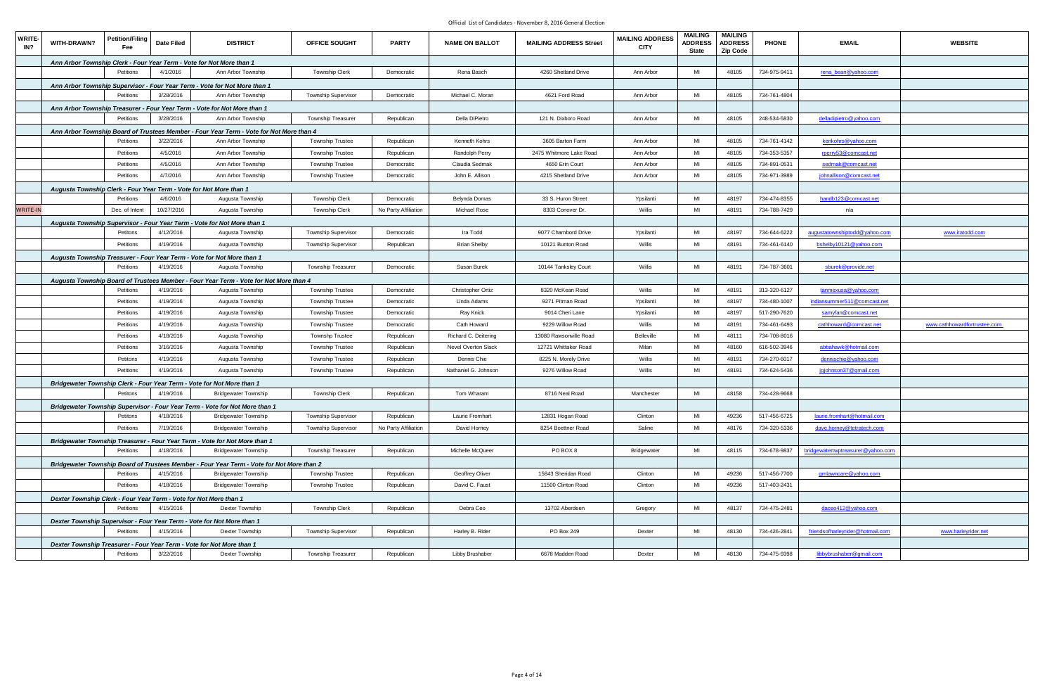| <b>WRITE</b><br>IN? | <b>Petition/Filing</b><br><b>WITH-DRAWN?</b><br>Fee                         | <b>Date Filed</b> | <b>DISTRICT</b>                                                                           | OFFICE SOUGHT              | <b>PARTY</b>         | <b>NAME ON BALLOT</b> | <b>MAILING ADDRESS Street</b> | <b>MAILING ADDRESS</b><br><b>CITY</b> | <b>MAILING</b><br><b>ADDRESS</b><br><b>State</b> | <b>MAILING</b><br><b>ADDRESS</b><br><b>Zip Code</b> | <b>PHONE</b> | <b>EMAIL</b>                         | <b>WEBSITE</b>               |
|---------------------|-----------------------------------------------------------------------------|-------------------|-------------------------------------------------------------------------------------------|----------------------------|----------------------|-----------------------|-------------------------------|---------------------------------------|--------------------------------------------------|-----------------------------------------------------|--------------|--------------------------------------|------------------------------|
|                     | Ann Arbor Township Clerk - Four Year Term - Vote for Not More than 1        |                   |                                                                                           |                            |                      |                       |                               |                                       |                                                  |                                                     |              |                                      |                              |
|                     | Petitions                                                                   | 4/1/2016          | Ann Arbor Township                                                                        | <b>Township Clerk</b>      | Democratic           | Rena Basch            | 4260 Shetland Drive           | Ann Arbor                             | MI                                               | 48105                                               | 734-975-9411 | rena_bean@yahoo.com                  |                              |
|                     | Ann Arbor Township Supervisor - Four Year Term - Vote for Not More than 1   |                   |                                                                                           |                            |                      |                       |                               |                                       |                                                  |                                                     |              |                                      |                              |
|                     | Petitions                                                                   | 3/28/2016         | Ann Arbor Township                                                                        | Township Supervisor        | Democratic           | Michael C. Moran      | 4621 Ford Road                | Ann Arbor                             | MI                                               | 48105                                               | 734-761-4804 |                                      |                              |
|                     | Ann Arbor Township Treasurer - Four Year Term - Vote for Not More than 1    |                   |                                                                                           |                            |                      |                       |                               |                                       |                                                  |                                                     |              |                                      |                              |
|                     | Petitions                                                                   | 3/28/2016         | Ann Arbor Township                                                                        | <b>Township Treasurer</b>  | Republican           | Della DiPietro        | 121 N. Dixboro Road           | Ann Arbor                             | MI                                               | 48105                                               | 248-534-5830 | delladipietro@yahoo.com              |                              |
|                     |                                                                             |                   | Ann Arbor Township Board of Trustees Member - Four Year Term - Vote for Not More than 4   |                            |                      |                       |                               |                                       |                                                  |                                                     |              |                                      |                              |
|                     | Petitions                                                                   | 3/22/2016         | Ann Arbor Township                                                                        | Township Trustee           | Republican           | Kenneth Kohrs         | 3605 Barton Farm              | Ann Arbor                             | MI                                               | 48105                                               | 734-761-4142 | kenkohrs@yahoo.com                   |                              |
|                     | Petitions                                                                   | 4/5/2016          | Ann Arbor Township                                                                        | <b>Township Trustee</b>    | Republican           | Randolph Perry        | 2475 Whitmore Lake Road       | Ann Arbor                             | MI                                               | 48105                                               | 734-353-5357 | rperry53@comcast.net                 |                              |
|                     | Petitions                                                                   | 4/5/2016          | Ann Arbor Township                                                                        | <b>Township Trustee</b>    | Democratic           | Claudia Sedmak        | 4650 Erin Court               | Ann Arbor                             | MI                                               | 48105                                               | 734-891-0531 | <u>sedmak@comcast.net</u>            |                              |
|                     | Petitions                                                                   | 4/7/2016          | Ann Arbor Township                                                                        | <b>Township Trustee</b>    | Democratic           | John E. Allison       | 4215 Shetland Drive           | Ann Arbor                             | MI                                               | 48105                                               | 734-971-3989 | johnallison@comcast.net              |                              |
|                     | Augusta Township Clerk - Four Year Term - Vote for Not More than 1          |                   |                                                                                           |                            |                      |                       |                               |                                       |                                                  |                                                     |              |                                      |                              |
|                     | Petitions                                                                   | 4/6/2016          | Augusta Township                                                                          | Township Clerk             | Democratic           | Belynda Domas         | 33 S. Huron Street            | Ypsilanti                             | MI                                               | 48197                                               | 734-474-8355 | handb123@comcast.net                 |                              |
| <b>WRITE-IN</b>     | Dec. of Intent                                                              | 10/27/2016        | Augusta Township                                                                          | <b>Township Clerk</b>      | No Party Affiliation | <b>Michael Rose</b>   | 8303 Conover Dr.              | Willis                                | MI                                               | 48191                                               | 734-788-7429 | n/a                                  |                              |
|                     | Augusta Township Supervisor - Four Year Term - Vote for Not More than 1     |                   |                                                                                           |                            |                      |                       |                               |                                       |                                                  |                                                     |              |                                      |                              |
|                     | Petitons                                                                    | 4/12/2016         | Augusta Township                                                                          | Township Supervisor        | Democratic           | Ira Todd              | 9077 Chambord Drive           | Ypsilanti                             | MI                                               | 48197                                               | 734-644-6222 | <u>augustatownshiptodd@yahoo.com</u> | <u>www.iratodd.com</u>       |
|                     | Petitions                                                                   | 4/19/2016         | Augusta Township                                                                          | <b>Township Supervisor</b> | Republican           | <b>Brian Shelby</b>   | 10121 Bunton Road             | Willis                                | MI                                               | 48191                                               | 734-461-6140 | bshelby10121@yahoo.com               |                              |
|                     | Augusta Township Treasurer - Four Year Term - Vote for Not More than 1      |                   |                                                                                           |                            |                      |                       |                               |                                       |                                                  |                                                     |              |                                      |                              |
|                     | Petitions                                                                   | 4/19/2016         | Augusta Township                                                                          | <b>Township Treasurer</b>  | Democratic           | Susan Burek           | 10144 Tanksley Court          | Willis                                | MI                                               | 48191                                               | 734-787-3601 | sburek@provide.net                   |                              |
|                     |                                                                             |                   | Augusta Township Board of Trustees Member - Four Year Term - Vote for Not More than 4     |                            |                      |                       |                               |                                       |                                                  |                                                     |              |                                      |                              |
|                     | Petitions                                                                   | 4/19/2016         | Augusta Township                                                                          | <b>Township Trustee</b>    | Democratic           | Christopher Ortiz     | 8320 McKean Road              | Willis                                | MI                                               | 48191                                               | 313-320-6127 | tanmexusa@yahoo.com                  |                              |
|                     | Petitions                                                                   | 4/19/2016         | Augusta Township                                                                          | Township Trustee           | Democratic           | Linda Adams           | 9271 Pitman Road              | Ypsilanti                             | MI                                               | 48197                                               | 734-480-1007 | indiansummer511@comcast.net          |                              |
|                     | Petitions                                                                   | 4/19/2016         | Augusta Township                                                                          | <b>Township Trustee</b>    | Democratic           | Ray Knick             | 9014 Cheri Lane               | Ypsilanti                             | MI                                               | 48197                                               | 517-290-7620 | samyfan@comcast.net                  |                              |
|                     | Petitions                                                                   | 4/19/2016         | Augusta Township                                                                          | <b>Township Trustee</b>    | Democratic           | Cath Howard           | 9229 Willow Road              | Willis                                | MI                                               | 48191                                               | 734-461-6493 | cathhoward@comcast.net               | www.cathhowardfortrustee.com |
|                     | Petitions                                                                   | 4/18/2016         | Augusta Township                                                                          | <b>Townshp Trustee</b>     | Republican           | Richard C. Deitering  | 13080 Rawsonville Road        | Belleville                            | MI                                               | 48111                                               | 734-708-8016 |                                      |                              |
|                     | Petitions                                                                   | 3/16/2016         | Augusta Township                                                                          | <b>Township Trustee</b>    | Republican           | Nevel Overton Slack   | 12721 Whittaker Road          | Milan                                 | MI                                               | 48160                                               | 616-502-3946 | abbahawk@hotmail.com                 |                              |
|                     | Petitons                                                                    | 4/19/2016         | Augusta Township                                                                          | <b>Township Trustee</b>    | Republican           | Dennis Chie           | 8225 N. Morely Drive          | Willis                                | MI                                               | 48191                                               | 734-270-6017 | dennischie@yahoo.com                 |                              |
|                     | Petitions                                                                   | 4/19/2016         | Augusta Township                                                                          | <b>Township Trustee</b>    | Republican           | Nathaniel G. Johnson  | 9276 Willow Road              | Willis                                | MI                                               | 48191                                               | 734-624-5436 | jgjohnson37@gmail.com                |                              |
|                     | Bridgewater Township Clerk - Four Year Term - Vote for Not More than 1      |                   |                                                                                           |                            |                      |                       |                               |                                       |                                                  |                                                     |              |                                      |                              |
|                     | Petitons                                                                    | 4/19/2016         | <b>Bridgewater Township</b>                                                               | Township Clerk             | Republican           | Tom Wharam            | 8716 Neal Road                | Manchester                            | MI                                               | 48158                                               | 734-428-9668 |                                      |                              |
|                     | Bridgewater Township Supervisor - Four Year Term - Vote for Not More than 1 |                   |                                                                                           |                            |                      |                       |                               |                                       |                                                  |                                                     |              |                                      |                              |
|                     | Petitons                                                                    | 4/18/2016         | <b>Bridgewater Township</b>                                                               | <b>Township Supervisor</b> | Republican           | Laurie Fromhart       | 12831 Hogan Road              | Clinton                               | MI                                               | 49236                                               | 517-456-6725 | laurie.fromhart@hotmail.com          |                              |
|                     | Petitions                                                                   | 7/19/2016         | <b>Bridgewater Township</b>                                                               | <b>Township Supervisor</b> | No Party Affiliation | David Horney          | 8254 Boettner Road            | Saline                                | MI                                               | 48176                                               | 734-320-5336 | dave.horney@tetratech.com            |                              |
|                     | Bridgewater Township Treasurer - Four Year Term - Vote for Not More than 1  |                   |                                                                                           |                            |                      |                       |                               |                                       |                                                  |                                                     |              |                                      |                              |
|                     | Petitions                                                                   | 4/18/2016         | <b>Bridgewater Township</b>                                                               | <b>Township Treasurer</b>  | Republican           | Michelle McQueer      | PO BOX 8                      | Bridgewater                           | MI                                               | 48115                                               | 734-678-9837 | bridgewatertwptreasurer@yahoo.com    |                              |
|                     |                                                                             |                   | Bridgewater Township Board of Trustees Member - Four Year Term - Vote for Not More than 2 |                            |                      |                       |                               |                                       |                                                  |                                                     |              |                                      |                              |
|                     | Petitions                                                                   | 4/15/2016         | <b>Bridgewater Township</b>                                                               | Township Trustee           | Republican           | Geoffrey Oliver       | 15843 Sheridan Road           | Clinton                               | MI                                               | 49236                                               | 517-456-7700 | gmlawncare@yahoo.com                 |                              |
|                     | Petitions                                                                   | 4/18/2016         | <b>Bridgewater Township</b>                                                               | Township Trustee           | Republican           | David C. Faust        | 11500 Clinton Road            | Clinton                               | MI                                               | 49236                                               | 517-403-2431 |                                      |                              |
|                     | Dexter Township Clerk - Four Year Term - Vote for Not More than 1           |                   |                                                                                           |                            |                      |                       |                               |                                       |                                                  |                                                     |              |                                      |                              |
|                     | Petitions                                                                   | 4/15/2016         | Dexter Township                                                                           | Township Clerk             | Republican           | Debra Ceo             | 13702 Aberdeen                | Gregory                               | MI                                               | 48137                                               | 734-475-2481 | daceo412@yahoo.com                   |                              |
|                     | Dexter Township Supervisor - Four Year Term - Vote for Not More than 1      |                   |                                                                                           |                            |                      |                       |                               |                                       |                                                  |                                                     |              |                                      |                              |
|                     | Petitions                                                                   | 4/15/2016         | Dexter Township                                                                           | <b>Township Supervisor</b> | Republican           | Harley B. Rider       | PO Box 249                    | Dexter                                | MI                                               | 48130                                               | 734-426-2841 | friendsofharleyrider@hotmail.com     | www.harleyrider.net          |
|                     | Dexter Township Treasurer - Four Year Term - Vote for Not More than 1       |                   |                                                                                           |                            |                      |                       |                               |                                       |                                                  |                                                     |              |                                      |                              |
|                     | Petitions                                                                   | 3/22/2016         | Dexter Township                                                                           | Township Treasurer         | Republican           | Libby Brushaber       | 6678 Madden Road              | Dexter                                | MI                                               | 48130                                               | 734-475-9398 | libbybrushaber@gmail.com             |                              |
|                     |                                                                             |                   |                                                                                           |                            |                      |                       |                               |                                       |                                                  |                                                     |              |                                      |                              |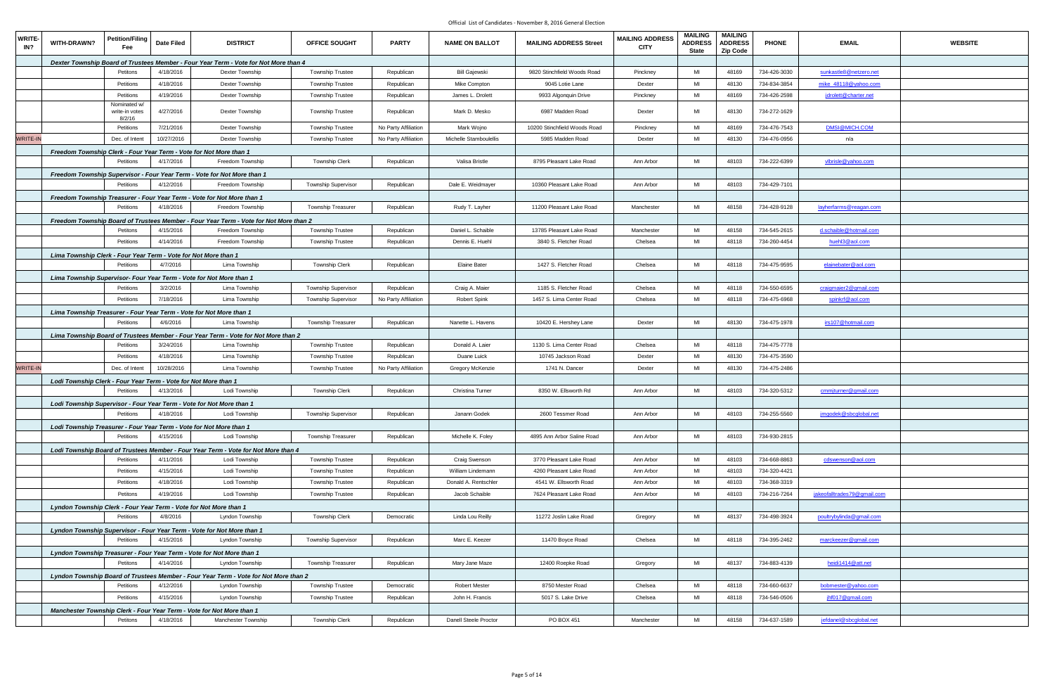| Dexter Township Board of Trustees Member - Four Year Term - Vote for Not More than 4<br>4/18/2016<br><b>Township Trustee</b><br>MI<br>48169<br>Petitons<br>Dexter Township<br>Republican<br><b>Bill Gajewski</b><br>9820 Stinchfield Woods Road<br>734-426-3030<br>sunkastle8@netzero.net<br>Pinckney<br>MI<br>4/18/2016<br>Dexter Township<br><b>Township Trustee</b><br>Mike Compton<br>48130<br>734-834-3854<br>mike 48118@yahoo.com<br>Petitions<br>Republican<br>9045 Lotie Lane<br>Dexter<br>MI<br>Petitions<br>4/19/2016<br>Dexter Township<br><b>Township Trustee</b><br>James L. Drolett<br>9933 Algonquin Drive<br>Pinckney<br>48169<br>734-426-2598<br>Republican<br>jdrolett@charter.net<br>Nominated w/<br>4/27/2016<br>MI<br>48130<br>734-272-1629<br>Dexter Township<br><b>Township Trustee</b><br>Mark D. Mesko<br>6987 Madden Road<br>write-in votes<br>Republican<br>Dexter<br>8/2/16<br>MI<br>48169<br>No Party Affiliation<br>734-476-7543<br>DMSI@MICH.COM<br>Petitions<br>7/21/2016<br>Dexter Township<br><b>Township Trustee</b><br>Mark Wojno<br>10200 Stinchfield Woods Road<br>Pinckney<br>WRITE-IN<br>10/27/2016<br>MI<br>48130<br>Dec. of Intent<br>Dexter Township<br><b>Township Trustee</b><br>No Party Affiliation<br>Michelle Stamboulellis<br>5985 Madden Road<br>Dexter<br>734-476-0956<br>n/a<br>Freedom Township Clerk - Four Year Term - Vote for Not More than 1<br>MI<br>Petitions<br>4/17/2016<br>Freedom Township<br><b>Township Clerk</b><br>Valisa Bristle<br>8795 Pleasant Lake Road<br>Ann Arbor<br>48103<br>734-222-6399<br>Republican<br>vlbrisle@yahoo.com<br>Freedom Township Supervisor - Four Year Term - Vote for Not More than 1<br>MI<br>4/12/2016<br>48103<br>734-429-7101<br>Petitions<br>Freedom Township<br><b>Township Supervisor</b><br>Republican<br>Dale E. Weidmayer<br>10360 Pleasant Lake Road<br>Ann Arbor<br>Freedom Township Treasurer - Four Year Term - Vote for Not More than 1<br>4/18/2016<br>MI<br>48158<br>734-428-9128<br>Petitions<br>Township Treasurer<br>Freedom Township<br>Republican<br>Rudy T. Layher<br>11200 Pleasant Lake Road<br>Manchester<br>layherfarms@reagan.com<br>Freedom Township Board of Trustees Member - Four Year Term - Vote for Not More than 2<br>MI<br>48158<br>4/15/2016<br><b>Township Trustee</b><br>Daniel L. Schaible<br>13785 Pleasant Lake Road<br>734-545-2615<br>Petitons<br>Freedom Township<br>Republican<br>Manchester<br>d.schaible@hotmail.com<br>MI<br>4/14/2016<br>48118<br>734-260-4454<br>Petitions<br>Freedom Township<br><b>Township Trustee</b><br>Republican<br>Dennis E. Huehl<br>3840 S. Fletcher Road<br>Chelsea<br>huehl3@aol.com<br>Lima Township Clerk - Four Year Term - Vote for Not More than 1<br>4/7/2016<br>MI<br>Petitions<br>Lima Township<br><b>Township Clerk</b><br><b>Elaine Bater</b><br>1427 S. Fletcher Road<br>48118<br>734-475-9595<br>Republican<br>Chelsea<br>elainebater@aol.com<br>Lima Township Supervisor- Four Year Term - Vote for Not More than 1<br>MI<br>3/2/2016<br>48118<br>734-550-6595<br>Petitions<br>Lima Township<br><b>Township Supervisor</b><br>Republican<br>Craig A. Maier<br>1185 S. Fletcher Road<br>Chelsea<br>craigmaier2@gmail.com<br>MI<br>7/18/2016<br>48118<br>Petitions<br>Lima Township<br>No Party Affiliation<br><b>Robert Spink</b><br>1457 S. Lima Center Road<br>Chelsea<br>734-475-6968<br>spinkrf@aol.com<br><b>Township Supervisor</b><br>Lima Township Treasurer - Four Year Term - Vote for Not More than 1<br>MI<br>4/6/2016<br>Township Treasurer<br>Nanette L. Havens<br>10420 E. Hershey Lane<br>Dexter<br>48130<br>734-475-1978<br>irs107@hotmail.com<br>Petitions<br>Lima Township<br>Republican<br>Lima Township Board of Trustees Member - Four Year Term - Vote for Not More than 2<br>MI<br>3/24/2016<br>Lima Township<br><b>Township Trustee</b><br>1130 S. Lima Center Road<br>Chelsea<br>48118<br>734-475-7778<br>Petitions<br>Republican<br>Donald A. Laier<br>4/18/2016<br>Lima Township<br>MI<br>48130<br>734-475-3590<br>Petitions<br><b>Township Trustee</b><br>Republican<br>Duane Luick<br>10745 Jackson Road<br>Dexter<br>MI<br>48130<br>WRITE-IN<br>Dec. of Intent<br>10/28/2016<br>734-475-2486<br>Lima Township<br><b>Township Trustee</b><br>No Party Affiliation<br>Gregory McKenzie<br>1741 N. Dancer<br>Dexter<br>Lodi Township Clerk - Four Year Term - Vote for Not More than 1<br>4/13/2016<br>Lodi Township<br>8350 W. Ellsworth Rd<br>MI<br>48103<br>734-320-5312<br>Petitions<br><b>Township Clerk</b><br>Christina Turner<br>Ann Arbor<br>Republican<br>cmmjturner@gmail.com<br>Lodi Township Supervisor - Four Year Term - Vote for Not More than 1<br>4/18/2016<br>MI<br>48103<br>734-255-5560<br>Petitions<br>Lodi Township<br><b>Township Supervisor</b><br>Republican<br>Janann Godek<br>2600 Tessmer Road<br>Ann Arbor<br>jmgodek@sbcglobal.net<br>Lodi Township Treasurer - Four Year Term - Vote for Not More than 1<br>MI<br>4/15/2016<br>Township Treasurer<br>Michelle K. Foley<br>4895 Ann Arbor Saline Road<br>Ann Arbor<br>48103<br>734-930-2815<br>Petitions<br>Lodi Township<br>Republican<br>Lodi Township Board of Trustees Member - Four Year Term - Vote for Not More than 4<br><b>Township Trustee</b><br>MI<br>4/11/2016<br>Lodi Township<br>Craig Swenson<br>3770 Pleasant Lake Road<br>48103<br>734-668-8863<br>cdswenson@aol.com<br>Petitions<br>Republican<br>Ann Arbor<br>4/15/2016<br>Lodi Township<br>MI<br>48103<br>734-320-4421<br>Petitions<br><b>Township Trustee</b><br>Republican<br>William Lindemann<br>4260 Pleasant Lake Road<br>Ann Arbor<br>MI<br>48103<br>734-368-3319<br>4/18/2016<br>Lodi Township<br><b>Township Trustee</b><br>Republican<br>Donald A. Rentschler<br>4541 W. Ellsworth Road<br>Ann Arbor<br>Petitions<br>4/19/2016<br>MI<br>48103<br>Petitons<br>Lodi Township<br><b>Township Trustee</b><br>Republican<br>Jacob Schaible<br>7624 Pleasant Lake Road<br>Ann Arbor<br>734-216-7264<br>jakeofalltrades79@gmail.com<br>Lyndon Township Clerk - Four Year Term - Vote for Not More than 1<br>4/8/2016<br>Lyndon Township<br><b>Township Clerk</b><br>11272 Joslin Lake Road<br>MI<br>48137<br>734-498-3924<br>poultrybylinda@gmail.com<br>Petitions<br>Democratic<br>Linda Lou Reilly<br>Gregory<br>Lyndon Township Supervisor - Four Year Term - Vote for Not More than 1<br>MI<br>4/15/2016<br><b>Township Supervisor</b><br>Marc E. Keezer<br>11470 Boyce Road<br>Chelsea<br>48118<br>734-395-2462<br>Petitions<br>Lyndon Township<br>Republican<br>marckeezer@gmail.com<br>Lyndon Township Treasurer - Four Year Term - Vote for Not More than 1<br>4/14/2016<br>MI<br>48137<br>Petitons<br>Township Treasurer<br>Republican<br>12400 Roepke Road<br>734-883-4139<br>heidi1414@att.net<br>Lyndon Township<br>Mary Jane Maze<br>Gregory<br>Lyndon Township Board of Trustees Member - Four Year Term - Vote for Not More than 2<br>4/12/2016<br>Township Trustee<br>MI<br>48118<br>734-660-6637<br>Petitions<br>Lyndon Township<br>Democratic<br><b>Robert Mester</b><br>8750 Mester Road<br>Chelsea<br>bobmester@yahoo.com<br>4/15/2016<br>MI<br>48118<br>Petitions<br>Lyndon Township<br><b>Township Trustee</b><br>John H. Francis<br>5017 S. Lake Drive<br>Chelsea<br>734-546-0506<br>Republican<br>jhf017@gmail.com<br>Manchester Township Clerk - Four Year Term - Vote for Not More than 1<br>MI<br><b>Township Clerk</b><br>PO BOX 451<br>48158<br>734-637-1589<br>Petitons<br>4/18/2016<br>Manchester Township<br>Republican<br>Danell Steele Proctor<br>Manchester<br>jefdanel@sbcglobal.net | <b>WRITE-</b><br>IN? | WITH-DRAWN? | Petition/Filing<br>Fee | Date Filed | <b>DISTRICT</b> | OFFICE SOUGHT | <b>PARTY</b> | <b>NAME ON BALLOT</b> | <b>MAILING ADDRESS Street</b> | <b>MAILING ADDRESS</b><br><b>CITY</b> | <b>MAILING</b><br><b>ADDRESS</b><br><b>State</b> | <b>MAILING</b><br><b>ADDRESS</b><br>Zip Code | <b>PHONE</b> | <b>EMAIL</b> | <b>WEBSITE</b> |
|----------------------------------------------------------------------------------------------------------------------------------------------------------------------------------------------------------------------------------------------------------------------------------------------------------------------------------------------------------------------------------------------------------------------------------------------------------------------------------------------------------------------------------------------------------------------------------------------------------------------------------------------------------------------------------------------------------------------------------------------------------------------------------------------------------------------------------------------------------------------------------------------------------------------------------------------------------------------------------------------------------------------------------------------------------------------------------------------------------------------------------------------------------------------------------------------------------------------------------------------------------------------------------------------------------------------------------------------------------------------------------------------------------------------------------------------------------------------------------------------------------------------------------------------------------------------------------------------------------------------------------------------------------------------------------------------------------------------------------------------------------------------------------------------------------------------------------------------------------------------------------------------------------------------------------------------------------------------------------------------------------------------------------------------------------------------------------------------------------------------------------------------------------------------------------------------------------------------------------------------------------------------------------------------------------------------------------------------------------------------------------------------------------------------------------------------------------------------------------------------------------------------------------------------------------------------------------------------------------------------------------------------------------------------------------------------------------------------------------------------------------------------------------------------------------------------------------------------------------------------------------------------------------------------------------------------------------------------------------------------------------------------------------------------------------------------------------------------------------------------------------------------------------------------------------------------------------------------------------------------------------------------------------------------------------------------------------------------------------------------------------------------------------------------------------------------------------------------------------------------------------------------------------------------------------------------------------------------------------------------------------------------------------------------------------------------------------------------------------------------------------------------------------------------------------------------------------------------------------------------------------------------------------------------------------------------------------------------------------------------------------------------------------------------------------------------------------------------------------------------------------------------------------------------------------------------------------------------------------------------------------------------------------------------------------------------------------------------------------------------------------------------------------------------------------------------------------------------------------------------------------------------------------------------------------------------------------------------------------------------------------------------------------------------------------------------------------------------------------------------------------------------------------------------------------------------------------------------------------------------------------------------------------------------------------------------------------------------------------------------------------------------------------------------------------------------------------------------------------------------------------------------------------------------------------------------------------------------------------------------------------------------------------------------------------------------------------------------------------------------------------------------------------------------------------------------------------------------------------------------------------------------------------------------------------------------------------------------------------------------------------------------------------------------------------------------------------------------------------------------------------------------------------------------------------------------------------------------------------------------------------------------------------------------------------------------------------------------------------------------------------------------------------------------------------------------------------------------------------------------------------------------------------------------------------------------------------------------------------------------------------------------------------------------------------------------------------------------------------------------------------------------------------------------------------------------------------------------------------------------------------------------------------------------------------------------------------------------------------------------------------------------------------------------------------------------------------------------------------------------------------------------------------------------------------------------------------------------------------------------------------------------------------------------------------------------------------------------------------------------------------------------------------------------------------------------------------------------------------------------------------------------------------------------------------------------------------------------------------------------------------------------------------------------------------------------------------------------------------------------------------------------------------------------------------------------------------------------------------------------------------------------------------------------------------------------------------------------------------|----------------------|-------------|------------------------|------------|-----------------|---------------|--------------|-----------------------|-------------------------------|---------------------------------------|--------------------------------------------------|----------------------------------------------|--------------|--------------|----------------|
|                                                                                                                                                                                                                                                                                                                                                                                                                                                                                                                                                                                                                                                                                                                                                                                                                                                                                                                                                                                                                                                                                                                                                                                                                                                                                                                                                                                                                                                                                                                                                                                                                                                                                                                                                                                                                                                                                                                                                                                                                                                                                                                                                                                                                                                                                                                                                                                                                                                                                                                                                                                                                                                                                                                                                                                                                                                                                                                                                                                                                                                                                                                                                                                                                                                                                                                                                                                                                                                                                                                                                                                                                                                                                                                                                                                                                                                                                                                                                                                                                                                                                                                                                                                                                                                                                                                                                                                                                                                                                                                                                                                                                                                                                                                                                                                                                                                                                                                                                                                                                                                                                                                                                                                                                                                                                                                                                                                                                                                                                                                                                                                                                                                                                                                                                                                                                                                                                                                                                                                                                                                                                                                                                                                                                                                                                                                                                                                                                                                                                                                                                                                                                                                                                                                                                                                                                                                                                                                                                                                                                                                                                                                                                                                                                                                                                                                                                                                                                                                                                                                                                                                                          |                      |             |                        |            |                 |               |              |                       |                               |                                       |                                                  |                                              |              |              |                |
|                                                                                                                                                                                                                                                                                                                                                                                                                                                                                                                                                                                                                                                                                                                                                                                                                                                                                                                                                                                                                                                                                                                                                                                                                                                                                                                                                                                                                                                                                                                                                                                                                                                                                                                                                                                                                                                                                                                                                                                                                                                                                                                                                                                                                                                                                                                                                                                                                                                                                                                                                                                                                                                                                                                                                                                                                                                                                                                                                                                                                                                                                                                                                                                                                                                                                                                                                                                                                                                                                                                                                                                                                                                                                                                                                                                                                                                                                                                                                                                                                                                                                                                                                                                                                                                                                                                                                                                                                                                                                                                                                                                                                                                                                                                                                                                                                                                                                                                                                                                                                                                                                                                                                                                                                                                                                                                                                                                                                                                                                                                                                                                                                                                                                                                                                                                                                                                                                                                                                                                                                                                                                                                                                                                                                                                                                                                                                                                                                                                                                                                                                                                                                                                                                                                                                                                                                                                                                                                                                                                                                                                                                                                                                                                                                                                                                                                                                                                                                                                                                                                                                                                                          |                      |             |                        |            |                 |               |              |                       |                               |                                       |                                                  |                                              |              |              |                |
|                                                                                                                                                                                                                                                                                                                                                                                                                                                                                                                                                                                                                                                                                                                                                                                                                                                                                                                                                                                                                                                                                                                                                                                                                                                                                                                                                                                                                                                                                                                                                                                                                                                                                                                                                                                                                                                                                                                                                                                                                                                                                                                                                                                                                                                                                                                                                                                                                                                                                                                                                                                                                                                                                                                                                                                                                                                                                                                                                                                                                                                                                                                                                                                                                                                                                                                                                                                                                                                                                                                                                                                                                                                                                                                                                                                                                                                                                                                                                                                                                                                                                                                                                                                                                                                                                                                                                                                                                                                                                                                                                                                                                                                                                                                                                                                                                                                                                                                                                                                                                                                                                                                                                                                                                                                                                                                                                                                                                                                                                                                                                                                                                                                                                                                                                                                                                                                                                                                                                                                                                                                                                                                                                                                                                                                                                                                                                                                                                                                                                                                                                                                                                                                                                                                                                                                                                                                                                                                                                                                                                                                                                                                                                                                                                                                                                                                                                                                                                                                                                                                                                                                                          |                      |             |                        |            |                 |               |              |                       |                               |                                       |                                                  |                                              |              |              |                |
|                                                                                                                                                                                                                                                                                                                                                                                                                                                                                                                                                                                                                                                                                                                                                                                                                                                                                                                                                                                                                                                                                                                                                                                                                                                                                                                                                                                                                                                                                                                                                                                                                                                                                                                                                                                                                                                                                                                                                                                                                                                                                                                                                                                                                                                                                                                                                                                                                                                                                                                                                                                                                                                                                                                                                                                                                                                                                                                                                                                                                                                                                                                                                                                                                                                                                                                                                                                                                                                                                                                                                                                                                                                                                                                                                                                                                                                                                                                                                                                                                                                                                                                                                                                                                                                                                                                                                                                                                                                                                                                                                                                                                                                                                                                                                                                                                                                                                                                                                                                                                                                                                                                                                                                                                                                                                                                                                                                                                                                                                                                                                                                                                                                                                                                                                                                                                                                                                                                                                                                                                                                                                                                                                                                                                                                                                                                                                                                                                                                                                                                                                                                                                                                                                                                                                                                                                                                                                                                                                                                                                                                                                                                                                                                                                                                                                                                                                                                                                                                                                                                                                                                                          |                      |             |                        |            |                 |               |              |                       |                               |                                       |                                                  |                                              |              |              |                |
|                                                                                                                                                                                                                                                                                                                                                                                                                                                                                                                                                                                                                                                                                                                                                                                                                                                                                                                                                                                                                                                                                                                                                                                                                                                                                                                                                                                                                                                                                                                                                                                                                                                                                                                                                                                                                                                                                                                                                                                                                                                                                                                                                                                                                                                                                                                                                                                                                                                                                                                                                                                                                                                                                                                                                                                                                                                                                                                                                                                                                                                                                                                                                                                                                                                                                                                                                                                                                                                                                                                                                                                                                                                                                                                                                                                                                                                                                                                                                                                                                                                                                                                                                                                                                                                                                                                                                                                                                                                                                                                                                                                                                                                                                                                                                                                                                                                                                                                                                                                                                                                                                                                                                                                                                                                                                                                                                                                                                                                                                                                                                                                                                                                                                                                                                                                                                                                                                                                                                                                                                                                                                                                                                                                                                                                                                                                                                                                                                                                                                                                                                                                                                                                                                                                                                                                                                                                                                                                                                                                                                                                                                                                                                                                                                                                                                                                                                                                                                                                                                                                                                                                                          |                      |             |                        |            |                 |               |              |                       |                               |                                       |                                                  |                                              |              |              |                |
|                                                                                                                                                                                                                                                                                                                                                                                                                                                                                                                                                                                                                                                                                                                                                                                                                                                                                                                                                                                                                                                                                                                                                                                                                                                                                                                                                                                                                                                                                                                                                                                                                                                                                                                                                                                                                                                                                                                                                                                                                                                                                                                                                                                                                                                                                                                                                                                                                                                                                                                                                                                                                                                                                                                                                                                                                                                                                                                                                                                                                                                                                                                                                                                                                                                                                                                                                                                                                                                                                                                                                                                                                                                                                                                                                                                                                                                                                                                                                                                                                                                                                                                                                                                                                                                                                                                                                                                                                                                                                                                                                                                                                                                                                                                                                                                                                                                                                                                                                                                                                                                                                                                                                                                                                                                                                                                                                                                                                                                                                                                                                                                                                                                                                                                                                                                                                                                                                                                                                                                                                                                                                                                                                                                                                                                                                                                                                                                                                                                                                                                                                                                                                                                                                                                                                                                                                                                                                                                                                                                                                                                                                                                                                                                                                                                                                                                                                                                                                                                                                                                                                                                                          |                      |             |                        |            |                 |               |              |                       |                               |                                       |                                                  |                                              |              |              |                |
|                                                                                                                                                                                                                                                                                                                                                                                                                                                                                                                                                                                                                                                                                                                                                                                                                                                                                                                                                                                                                                                                                                                                                                                                                                                                                                                                                                                                                                                                                                                                                                                                                                                                                                                                                                                                                                                                                                                                                                                                                                                                                                                                                                                                                                                                                                                                                                                                                                                                                                                                                                                                                                                                                                                                                                                                                                                                                                                                                                                                                                                                                                                                                                                                                                                                                                                                                                                                                                                                                                                                                                                                                                                                                                                                                                                                                                                                                                                                                                                                                                                                                                                                                                                                                                                                                                                                                                                                                                                                                                                                                                                                                                                                                                                                                                                                                                                                                                                                                                                                                                                                                                                                                                                                                                                                                                                                                                                                                                                                                                                                                                                                                                                                                                                                                                                                                                                                                                                                                                                                                                                                                                                                                                                                                                                                                                                                                                                                                                                                                                                                                                                                                                                                                                                                                                                                                                                                                                                                                                                                                                                                                                                                                                                                                                                                                                                                                                                                                                                                                                                                                                                                          |                      |             |                        |            |                 |               |              |                       |                               |                                       |                                                  |                                              |              |              |                |
|                                                                                                                                                                                                                                                                                                                                                                                                                                                                                                                                                                                                                                                                                                                                                                                                                                                                                                                                                                                                                                                                                                                                                                                                                                                                                                                                                                                                                                                                                                                                                                                                                                                                                                                                                                                                                                                                                                                                                                                                                                                                                                                                                                                                                                                                                                                                                                                                                                                                                                                                                                                                                                                                                                                                                                                                                                                                                                                                                                                                                                                                                                                                                                                                                                                                                                                                                                                                                                                                                                                                                                                                                                                                                                                                                                                                                                                                                                                                                                                                                                                                                                                                                                                                                                                                                                                                                                                                                                                                                                                                                                                                                                                                                                                                                                                                                                                                                                                                                                                                                                                                                                                                                                                                                                                                                                                                                                                                                                                                                                                                                                                                                                                                                                                                                                                                                                                                                                                                                                                                                                                                                                                                                                                                                                                                                                                                                                                                                                                                                                                                                                                                                                                                                                                                                                                                                                                                                                                                                                                                                                                                                                                                                                                                                                                                                                                                                                                                                                                                                                                                                                                                          |                      |             |                        |            |                 |               |              |                       |                               |                                       |                                                  |                                              |              |              |                |
|                                                                                                                                                                                                                                                                                                                                                                                                                                                                                                                                                                                                                                                                                                                                                                                                                                                                                                                                                                                                                                                                                                                                                                                                                                                                                                                                                                                                                                                                                                                                                                                                                                                                                                                                                                                                                                                                                                                                                                                                                                                                                                                                                                                                                                                                                                                                                                                                                                                                                                                                                                                                                                                                                                                                                                                                                                                                                                                                                                                                                                                                                                                                                                                                                                                                                                                                                                                                                                                                                                                                                                                                                                                                                                                                                                                                                                                                                                                                                                                                                                                                                                                                                                                                                                                                                                                                                                                                                                                                                                                                                                                                                                                                                                                                                                                                                                                                                                                                                                                                                                                                                                                                                                                                                                                                                                                                                                                                                                                                                                                                                                                                                                                                                                                                                                                                                                                                                                                                                                                                                                                                                                                                                                                                                                                                                                                                                                                                                                                                                                                                                                                                                                                                                                                                                                                                                                                                                                                                                                                                                                                                                                                                                                                                                                                                                                                                                                                                                                                                                                                                                                                                          |                      |             |                        |            |                 |               |              |                       |                               |                                       |                                                  |                                              |              |              |                |
|                                                                                                                                                                                                                                                                                                                                                                                                                                                                                                                                                                                                                                                                                                                                                                                                                                                                                                                                                                                                                                                                                                                                                                                                                                                                                                                                                                                                                                                                                                                                                                                                                                                                                                                                                                                                                                                                                                                                                                                                                                                                                                                                                                                                                                                                                                                                                                                                                                                                                                                                                                                                                                                                                                                                                                                                                                                                                                                                                                                                                                                                                                                                                                                                                                                                                                                                                                                                                                                                                                                                                                                                                                                                                                                                                                                                                                                                                                                                                                                                                                                                                                                                                                                                                                                                                                                                                                                                                                                                                                                                                                                                                                                                                                                                                                                                                                                                                                                                                                                                                                                                                                                                                                                                                                                                                                                                                                                                                                                                                                                                                                                                                                                                                                                                                                                                                                                                                                                                                                                                                                                                                                                                                                                                                                                                                                                                                                                                                                                                                                                                                                                                                                                                                                                                                                                                                                                                                                                                                                                                                                                                                                                                                                                                                                                                                                                                                                                                                                                                                                                                                                                                          |                      |             |                        |            |                 |               |              |                       |                               |                                       |                                                  |                                              |              |              |                |
|                                                                                                                                                                                                                                                                                                                                                                                                                                                                                                                                                                                                                                                                                                                                                                                                                                                                                                                                                                                                                                                                                                                                                                                                                                                                                                                                                                                                                                                                                                                                                                                                                                                                                                                                                                                                                                                                                                                                                                                                                                                                                                                                                                                                                                                                                                                                                                                                                                                                                                                                                                                                                                                                                                                                                                                                                                                                                                                                                                                                                                                                                                                                                                                                                                                                                                                                                                                                                                                                                                                                                                                                                                                                                                                                                                                                                                                                                                                                                                                                                                                                                                                                                                                                                                                                                                                                                                                                                                                                                                                                                                                                                                                                                                                                                                                                                                                                                                                                                                                                                                                                                                                                                                                                                                                                                                                                                                                                                                                                                                                                                                                                                                                                                                                                                                                                                                                                                                                                                                                                                                                                                                                                                                                                                                                                                                                                                                                                                                                                                                                                                                                                                                                                                                                                                                                                                                                                                                                                                                                                                                                                                                                                                                                                                                                                                                                                                                                                                                                                                                                                                                                                          |                      |             |                        |            |                 |               |              |                       |                               |                                       |                                                  |                                              |              |              |                |
|                                                                                                                                                                                                                                                                                                                                                                                                                                                                                                                                                                                                                                                                                                                                                                                                                                                                                                                                                                                                                                                                                                                                                                                                                                                                                                                                                                                                                                                                                                                                                                                                                                                                                                                                                                                                                                                                                                                                                                                                                                                                                                                                                                                                                                                                                                                                                                                                                                                                                                                                                                                                                                                                                                                                                                                                                                                                                                                                                                                                                                                                                                                                                                                                                                                                                                                                                                                                                                                                                                                                                                                                                                                                                                                                                                                                                                                                                                                                                                                                                                                                                                                                                                                                                                                                                                                                                                                                                                                                                                                                                                                                                                                                                                                                                                                                                                                                                                                                                                                                                                                                                                                                                                                                                                                                                                                                                                                                                                                                                                                                                                                                                                                                                                                                                                                                                                                                                                                                                                                                                                                                                                                                                                                                                                                                                                                                                                                                                                                                                                                                                                                                                                                                                                                                                                                                                                                                                                                                                                                                                                                                                                                                                                                                                                                                                                                                                                                                                                                                                                                                                                                                          |                      |             |                        |            |                 |               |              |                       |                               |                                       |                                                  |                                              |              |              |                |
|                                                                                                                                                                                                                                                                                                                                                                                                                                                                                                                                                                                                                                                                                                                                                                                                                                                                                                                                                                                                                                                                                                                                                                                                                                                                                                                                                                                                                                                                                                                                                                                                                                                                                                                                                                                                                                                                                                                                                                                                                                                                                                                                                                                                                                                                                                                                                                                                                                                                                                                                                                                                                                                                                                                                                                                                                                                                                                                                                                                                                                                                                                                                                                                                                                                                                                                                                                                                                                                                                                                                                                                                                                                                                                                                                                                                                                                                                                                                                                                                                                                                                                                                                                                                                                                                                                                                                                                                                                                                                                                                                                                                                                                                                                                                                                                                                                                                                                                                                                                                                                                                                                                                                                                                                                                                                                                                                                                                                                                                                                                                                                                                                                                                                                                                                                                                                                                                                                                                                                                                                                                                                                                                                                                                                                                                                                                                                                                                                                                                                                                                                                                                                                                                                                                                                                                                                                                                                                                                                                                                                                                                                                                                                                                                                                                                                                                                                                                                                                                                                                                                                                                                          |                      |             |                        |            |                 |               |              |                       |                               |                                       |                                                  |                                              |              |              |                |
|                                                                                                                                                                                                                                                                                                                                                                                                                                                                                                                                                                                                                                                                                                                                                                                                                                                                                                                                                                                                                                                                                                                                                                                                                                                                                                                                                                                                                                                                                                                                                                                                                                                                                                                                                                                                                                                                                                                                                                                                                                                                                                                                                                                                                                                                                                                                                                                                                                                                                                                                                                                                                                                                                                                                                                                                                                                                                                                                                                                                                                                                                                                                                                                                                                                                                                                                                                                                                                                                                                                                                                                                                                                                                                                                                                                                                                                                                                                                                                                                                                                                                                                                                                                                                                                                                                                                                                                                                                                                                                                                                                                                                                                                                                                                                                                                                                                                                                                                                                                                                                                                                                                                                                                                                                                                                                                                                                                                                                                                                                                                                                                                                                                                                                                                                                                                                                                                                                                                                                                                                                                                                                                                                                                                                                                                                                                                                                                                                                                                                                                                                                                                                                                                                                                                                                                                                                                                                                                                                                                                                                                                                                                                                                                                                                                                                                                                                                                                                                                                                                                                                                                                          |                      |             |                        |            |                 |               |              |                       |                               |                                       |                                                  |                                              |              |              |                |
|                                                                                                                                                                                                                                                                                                                                                                                                                                                                                                                                                                                                                                                                                                                                                                                                                                                                                                                                                                                                                                                                                                                                                                                                                                                                                                                                                                                                                                                                                                                                                                                                                                                                                                                                                                                                                                                                                                                                                                                                                                                                                                                                                                                                                                                                                                                                                                                                                                                                                                                                                                                                                                                                                                                                                                                                                                                                                                                                                                                                                                                                                                                                                                                                                                                                                                                                                                                                                                                                                                                                                                                                                                                                                                                                                                                                                                                                                                                                                                                                                                                                                                                                                                                                                                                                                                                                                                                                                                                                                                                                                                                                                                                                                                                                                                                                                                                                                                                                                                                                                                                                                                                                                                                                                                                                                                                                                                                                                                                                                                                                                                                                                                                                                                                                                                                                                                                                                                                                                                                                                                                                                                                                                                                                                                                                                                                                                                                                                                                                                                                                                                                                                                                                                                                                                                                                                                                                                                                                                                                                                                                                                                                                                                                                                                                                                                                                                                                                                                                                                                                                                                                                          |                      |             |                        |            |                 |               |              |                       |                               |                                       |                                                  |                                              |              |              |                |
|                                                                                                                                                                                                                                                                                                                                                                                                                                                                                                                                                                                                                                                                                                                                                                                                                                                                                                                                                                                                                                                                                                                                                                                                                                                                                                                                                                                                                                                                                                                                                                                                                                                                                                                                                                                                                                                                                                                                                                                                                                                                                                                                                                                                                                                                                                                                                                                                                                                                                                                                                                                                                                                                                                                                                                                                                                                                                                                                                                                                                                                                                                                                                                                                                                                                                                                                                                                                                                                                                                                                                                                                                                                                                                                                                                                                                                                                                                                                                                                                                                                                                                                                                                                                                                                                                                                                                                                                                                                                                                                                                                                                                                                                                                                                                                                                                                                                                                                                                                                                                                                                                                                                                                                                                                                                                                                                                                                                                                                                                                                                                                                                                                                                                                                                                                                                                                                                                                                                                                                                                                                                                                                                                                                                                                                                                                                                                                                                                                                                                                                                                                                                                                                                                                                                                                                                                                                                                                                                                                                                                                                                                                                                                                                                                                                                                                                                                                                                                                                                                                                                                                                                          |                      |             |                        |            |                 |               |              |                       |                               |                                       |                                                  |                                              |              |              |                |
|                                                                                                                                                                                                                                                                                                                                                                                                                                                                                                                                                                                                                                                                                                                                                                                                                                                                                                                                                                                                                                                                                                                                                                                                                                                                                                                                                                                                                                                                                                                                                                                                                                                                                                                                                                                                                                                                                                                                                                                                                                                                                                                                                                                                                                                                                                                                                                                                                                                                                                                                                                                                                                                                                                                                                                                                                                                                                                                                                                                                                                                                                                                                                                                                                                                                                                                                                                                                                                                                                                                                                                                                                                                                                                                                                                                                                                                                                                                                                                                                                                                                                                                                                                                                                                                                                                                                                                                                                                                                                                                                                                                                                                                                                                                                                                                                                                                                                                                                                                                                                                                                                                                                                                                                                                                                                                                                                                                                                                                                                                                                                                                                                                                                                                                                                                                                                                                                                                                                                                                                                                                                                                                                                                                                                                                                                                                                                                                                                                                                                                                                                                                                                                                                                                                                                                                                                                                                                                                                                                                                                                                                                                                                                                                                                                                                                                                                                                                                                                                                                                                                                                                                          |                      |             |                        |            |                 |               |              |                       |                               |                                       |                                                  |                                              |              |              |                |
|                                                                                                                                                                                                                                                                                                                                                                                                                                                                                                                                                                                                                                                                                                                                                                                                                                                                                                                                                                                                                                                                                                                                                                                                                                                                                                                                                                                                                                                                                                                                                                                                                                                                                                                                                                                                                                                                                                                                                                                                                                                                                                                                                                                                                                                                                                                                                                                                                                                                                                                                                                                                                                                                                                                                                                                                                                                                                                                                                                                                                                                                                                                                                                                                                                                                                                                                                                                                                                                                                                                                                                                                                                                                                                                                                                                                                                                                                                                                                                                                                                                                                                                                                                                                                                                                                                                                                                                                                                                                                                                                                                                                                                                                                                                                                                                                                                                                                                                                                                                                                                                                                                                                                                                                                                                                                                                                                                                                                                                                                                                                                                                                                                                                                                                                                                                                                                                                                                                                                                                                                                                                                                                                                                                                                                                                                                                                                                                                                                                                                                                                                                                                                                                                                                                                                                                                                                                                                                                                                                                                                                                                                                                                                                                                                                                                                                                                                                                                                                                                                                                                                                                                          |                      |             |                        |            |                 |               |              |                       |                               |                                       |                                                  |                                              |              |              |                |
|                                                                                                                                                                                                                                                                                                                                                                                                                                                                                                                                                                                                                                                                                                                                                                                                                                                                                                                                                                                                                                                                                                                                                                                                                                                                                                                                                                                                                                                                                                                                                                                                                                                                                                                                                                                                                                                                                                                                                                                                                                                                                                                                                                                                                                                                                                                                                                                                                                                                                                                                                                                                                                                                                                                                                                                                                                                                                                                                                                                                                                                                                                                                                                                                                                                                                                                                                                                                                                                                                                                                                                                                                                                                                                                                                                                                                                                                                                                                                                                                                                                                                                                                                                                                                                                                                                                                                                                                                                                                                                                                                                                                                                                                                                                                                                                                                                                                                                                                                                                                                                                                                                                                                                                                                                                                                                                                                                                                                                                                                                                                                                                                                                                                                                                                                                                                                                                                                                                                                                                                                                                                                                                                                                                                                                                                                                                                                                                                                                                                                                                                                                                                                                                                                                                                                                                                                                                                                                                                                                                                                                                                                                                                                                                                                                                                                                                                                                                                                                                                                                                                                                                                          |                      |             |                        |            |                 |               |              |                       |                               |                                       |                                                  |                                              |              |              |                |
|                                                                                                                                                                                                                                                                                                                                                                                                                                                                                                                                                                                                                                                                                                                                                                                                                                                                                                                                                                                                                                                                                                                                                                                                                                                                                                                                                                                                                                                                                                                                                                                                                                                                                                                                                                                                                                                                                                                                                                                                                                                                                                                                                                                                                                                                                                                                                                                                                                                                                                                                                                                                                                                                                                                                                                                                                                                                                                                                                                                                                                                                                                                                                                                                                                                                                                                                                                                                                                                                                                                                                                                                                                                                                                                                                                                                                                                                                                                                                                                                                                                                                                                                                                                                                                                                                                                                                                                                                                                                                                                                                                                                                                                                                                                                                                                                                                                                                                                                                                                                                                                                                                                                                                                                                                                                                                                                                                                                                                                                                                                                                                                                                                                                                                                                                                                                                                                                                                                                                                                                                                                                                                                                                                                                                                                                                                                                                                                                                                                                                                                                                                                                                                                                                                                                                                                                                                                                                                                                                                                                                                                                                                                                                                                                                                                                                                                                                                                                                                                                                                                                                                                                          |                      |             |                        |            |                 |               |              |                       |                               |                                       |                                                  |                                              |              |              |                |
|                                                                                                                                                                                                                                                                                                                                                                                                                                                                                                                                                                                                                                                                                                                                                                                                                                                                                                                                                                                                                                                                                                                                                                                                                                                                                                                                                                                                                                                                                                                                                                                                                                                                                                                                                                                                                                                                                                                                                                                                                                                                                                                                                                                                                                                                                                                                                                                                                                                                                                                                                                                                                                                                                                                                                                                                                                                                                                                                                                                                                                                                                                                                                                                                                                                                                                                                                                                                                                                                                                                                                                                                                                                                                                                                                                                                                                                                                                                                                                                                                                                                                                                                                                                                                                                                                                                                                                                                                                                                                                                                                                                                                                                                                                                                                                                                                                                                                                                                                                                                                                                                                                                                                                                                                                                                                                                                                                                                                                                                                                                                                                                                                                                                                                                                                                                                                                                                                                                                                                                                                                                                                                                                                                                                                                                                                                                                                                                                                                                                                                                                                                                                                                                                                                                                                                                                                                                                                                                                                                                                                                                                                                                                                                                                                                                                                                                                                                                                                                                                                                                                                                                                          |                      |             |                        |            |                 |               |              |                       |                               |                                       |                                                  |                                              |              |              |                |
|                                                                                                                                                                                                                                                                                                                                                                                                                                                                                                                                                                                                                                                                                                                                                                                                                                                                                                                                                                                                                                                                                                                                                                                                                                                                                                                                                                                                                                                                                                                                                                                                                                                                                                                                                                                                                                                                                                                                                                                                                                                                                                                                                                                                                                                                                                                                                                                                                                                                                                                                                                                                                                                                                                                                                                                                                                                                                                                                                                                                                                                                                                                                                                                                                                                                                                                                                                                                                                                                                                                                                                                                                                                                                                                                                                                                                                                                                                                                                                                                                                                                                                                                                                                                                                                                                                                                                                                                                                                                                                                                                                                                                                                                                                                                                                                                                                                                                                                                                                                                                                                                                                                                                                                                                                                                                                                                                                                                                                                                                                                                                                                                                                                                                                                                                                                                                                                                                                                                                                                                                                                                                                                                                                                                                                                                                                                                                                                                                                                                                                                                                                                                                                                                                                                                                                                                                                                                                                                                                                                                                                                                                                                                                                                                                                                                                                                                                                                                                                                                                                                                                                                                          |                      |             |                        |            |                 |               |              |                       |                               |                                       |                                                  |                                              |              |              |                |
|                                                                                                                                                                                                                                                                                                                                                                                                                                                                                                                                                                                                                                                                                                                                                                                                                                                                                                                                                                                                                                                                                                                                                                                                                                                                                                                                                                                                                                                                                                                                                                                                                                                                                                                                                                                                                                                                                                                                                                                                                                                                                                                                                                                                                                                                                                                                                                                                                                                                                                                                                                                                                                                                                                                                                                                                                                                                                                                                                                                                                                                                                                                                                                                                                                                                                                                                                                                                                                                                                                                                                                                                                                                                                                                                                                                                                                                                                                                                                                                                                                                                                                                                                                                                                                                                                                                                                                                                                                                                                                                                                                                                                                                                                                                                                                                                                                                                                                                                                                                                                                                                                                                                                                                                                                                                                                                                                                                                                                                                                                                                                                                                                                                                                                                                                                                                                                                                                                                                                                                                                                                                                                                                                                                                                                                                                                                                                                                                                                                                                                                                                                                                                                                                                                                                                                                                                                                                                                                                                                                                                                                                                                                                                                                                                                                                                                                                                                                                                                                                                                                                                                                                          |                      |             |                        |            |                 |               |              |                       |                               |                                       |                                                  |                                              |              |              |                |
|                                                                                                                                                                                                                                                                                                                                                                                                                                                                                                                                                                                                                                                                                                                                                                                                                                                                                                                                                                                                                                                                                                                                                                                                                                                                                                                                                                                                                                                                                                                                                                                                                                                                                                                                                                                                                                                                                                                                                                                                                                                                                                                                                                                                                                                                                                                                                                                                                                                                                                                                                                                                                                                                                                                                                                                                                                                                                                                                                                                                                                                                                                                                                                                                                                                                                                                                                                                                                                                                                                                                                                                                                                                                                                                                                                                                                                                                                                                                                                                                                                                                                                                                                                                                                                                                                                                                                                                                                                                                                                                                                                                                                                                                                                                                                                                                                                                                                                                                                                                                                                                                                                                                                                                                                                                                                                                                                                                                                                                                                                                                                                                                                                                                                                                                                                                                                                                                                                                                                                                                                                                                                                                                                                                                                                                                                                                                                                                                                                                                                                                                                                                                                                                                                                                                                                                                                                                                                                                                                                                                                                                                                                                                                                                                                                                                                                                                                                                                                                                                                                                                                                                                          |                      |             |                        |            |                 |               |              |                       |                               |                                       |                                                  |                                              |              |              |                |
|                                                                                                                                                                                                                                                                                                                                                                                                                                                                                                                                                                                                                                                                                                                                                                                                                                                                                                                                                                                                                                                                                                                                                                                                                                                                                                                                                                                                                                                                                                                                                                                                                                                                                                                                                                                                                                                                                                                                                                                                                                                                                                                                                                                                                                                                                                                                                                                                                                                                                                                                                                                                                                                                                                                                                                                                                                                                                                                                                                                                                                                                                                                                                                                                                                                                                                                                                                                                                                                                                                                                                                                                                                                                                                                                                                                                                                                                                                                                                                                                                                                                                                                                                                                                                                                                                                                                                                                                                                                                                                                                                                                                                                                                                                                                                                                                                                                                                                                                                                                                                                                                                                                                                                                                                                                                                                                                                                                                                                                                                                                                                                                                                                                                                                                                                                                                                                                                                                                                                                                                                                                                                                                                                                                                                                                                                                                                                                                                                                                                                                                                                                                                                                                                                                                                                                                                                                                                                                                                                                                                                                                                                                                                                                                                                                                                                                                                                                                                                                                                                                                                                                                                          |                      |             |                        |            |                 |               |              |                       |                               |                                       |                                                  |                                              |              |              |                |
|                                                                                                                                                                                                                                                                                                                                                                                                                                                                                                                                                                                                                                                                                                                                                                                                                                                                                                                                                                                                                                                                                                                                                                                                                                                                                                                                                                                                                                                                                                                                                                                                                                                                                                                                                                                                                                                                                                                                                                                                                                                                                                                                                                                                                                                                                                                                                                                                                                                                                                                                                                                                                                                                                                                                                                                                                                                                                                                                                                                                                                                                                                                                                                                                                                                                                                                                                                                                                                                                                                                                                                                                                                                                                                                                                                                                                                                                                                                                                                                                                                                                                                                                                                                                                                                                                                                                                                                                                                                                                                                                                                                                                                                                                                                                                                                                                                                                                                                                                                                                                                                                                                                                                                                                                                                                                                                                                                                                                                                                                                                                                                                                                                                                                                                                                                                                                                                                                                                                                                                                                                                                                                                                                                                                                                                                                                                                                                                                                                                                                                                                                                                                                                                                                                                                                                                                                                                                                                                                                                                                                                                                                                                                                                                                                                                                                                                                                                                                                                                                                                                                                                                                          |                      |             |                        |            |                 |               |              |                       |                               |                                       |                                                  |                                              |              |              |                |
|                                                                                                                                                                                                                                                                                                                                                                                                                                                                                                                                                                                                                                                                                                                                                                                                                                                                                                                                                                                                                                                                                                                                                                                                                                                                                                                                                                                                                                                                                                                                                                                                                                                                                                                                                                                                                                                                                                                                                                                                                                                                                                                                                                                                                                                                                                                                                                                                                                                                                                                                                                                                                                                                                                                                                                                                                                                                                                                                                                                                                                                                                                                                                                                                                                                                                                                                                                                                                                                                                                                                                                                                                                                                                                                                                                                                                                                                                                                                                                                                                                                                                                                                                                                                                                                                                                                                                                                                                                                                                                                                                                                                                                                                                                                                                                                                                                                                                                                                                                                                                                                                                                                                                                                                                                                                                                                                                                                                                                                                                                                                                                                                                                                                                                                                                                                                                                                                                                                                                                                                                                                                                                                                                                                                                                                                                                                                                                                                                                                                                                                                                                                                                                                                                                                                                                                                                                                                                                                                                                                                                                                                                                                                                                                                                                                                                                                                                                                                                                                                                                                                                                                                          |                      |             |                        |            |                 |               |              |                       |                               |                                       |                                                  |                                              |              |              |                |
|                                                                                                                                                                                                                                                                                                                                                                                                                                                                                                                                                                                                                                                                                                                                                                                                                                                                                                                                                                                                                                                                                                                                                                                                                                                                                                                                                                                                                                                                                                                                                                                                                                                                                                                                                                                                                                                                                                                                                                                                                                                                                                                                                                                                                                                                                                                                                                                                                                                                                                                                                                                                                                                                                                                                                                                                                                                                                                                                                                                                                                                                                                                                                                                                                                                                                                                                                                                                                                                                                                                                                                                                                                                                                                                                                                                                                                                                                                                                                                                                                                                                                                                                                                                                                                                                                                                                                                                                                                                                                                                                                                                                                                                                                                                                                                                                                                                                                                                                                                                                                                                                                                                                                                                                                                                                                                                                                                                                                                                                                                                                                                                                                                                                                                                                                                                                                                                                                                                                                                                                                                                                                                                                                                                                                                                                                                                                                                                                                                                                                                                                                                                                                                                                                                                                                                                                                                                                                                                                                                                                                                                                                                                                                                                                                                                                                                                                                                                                                                                                                                                                                                                                          |                      |             |                        |            |                 |               |              |                       |                               |                                       |                                                  |                                              |              |              |                |
|                                                                                                                                                                                                                                                                                                                                                                                                                                                                                                                                                                                                                                                                                                                                                                                                                                                                                                                                                                                                                                                                                                                                                                                                                                                                                                                                                                                                                                                                                                                                                                                                                                                                                                                                                                                                                                                                                                                                                                                                                                                                                                                                                                                                                                                                                                                                                                                                                                                                                                                                                                                                                                                                                                                                                                                                                                                                                                                                                                                                                                                                                                                                                                                                                                                                                                                                                                                                                                                                                                                                                                                                                                                                                                                                                                                                                                                                                                                                                                                                                                                                                                                                                                                                                                                                                                                                                                                                                                                                                                                                                                                                                                                                                                                                                                                                                                                                                                                                                                                                                                                                                                                                                                                                                                                                                                                                                                                                                                                                                                                                                                                                                                                                                                                                                                                                                                                                                                                                                                                                                                                                                                                                                                                                                                                                                                                                                                                                                                                                                                                                                                                                                                                                                                                                                                                                                                                                                                                                                                                                                                                                                                                                                                                                                                                                                                                                                                                                                                                                                                                                                                                                          |                      |             |                        |            |                 |               |              |                       |                               |                                       |                                                  |                                              |              |              |                |
|                                                                                                                                                                                                                                                                                                                                                                                                                                                                                                                                                                                                                                                                                                                                                                                                                                                                                                                                                                                                                                                                                                                                                                                                                                                                                                                                                                                                                                                                                                                                                                                                                                                                                                                                                                                                                                                                                                                                                                                                                                                                                                                                                                                                                                                                                                                                                                                                                                                                                                                                                                                                                                                                                                                                                                                                                                                                                                                                                                                                                                                                                                                                                                                                                                                                                                                                                                                                                                                                                                                                                                                                                                                                                                                                                                                                                                                                                                                                                                                                                                                                                                                                                                                                                                                                                                                                                                                                                                                                                                                                                                                                                                                                                                                                                                                                                                                                                                                                                                                                                                                                                                                                                                                                                                                                                                                                                                                                                                                                                                                                                                                                                                                                                                                                                                                                                                                                                                                                                                                                                                                                                                                                                                                                                                                                                                                                                                                                                                                                                                                                                                                                                                                                                                                                                                                                                                                                                                                                                                                                                                                                                                                                                                                                                                                                                                                                                                                                                                                                                                                                                                                                          |                      |             |                        |            |                 |               |              |                       |                               |                                       |                                                  |                                              |              |              |                |
|                                                                                                                                                                                                                                                                                                                                                                                                                                                                                                                                                                                                                                                                                                                                                                                                                                                                                                                                                                                                                                                                                                                                                                                                                                                                                                                                                                                                                                                                                                                                                                                                                                                                                                                                                                                                                                                                                                                                                                                                                                                                                                                                                                                                                                                                                                                                                                                                                                                                                                                                                                                                                                                                                                                                                                                                                                                                                                                                                                                                                                                                                                                                                                                                                                                                                                                                                                                                                                                                                                                                                                                                                                                                                                                                                                                                                                                                                                                                                                                                                                                                                                                                                                                                                                                                                                                                                                                                                                                                                                                                                                                                                                                                                                                                                                                                                                                                                                                                                                                                                                                                                                                                                                                                                                                                                                                                                                                                                                                                                                                                                                                                                                                                                                                                                                                                                                                                                                                                                                                                                                                                                                                                                                                                                                                                                                                                                                                                                                                                                                                                                                                                                                                                                                                                                                                                                                                                                                                                                                                                                                                                                                                                                                                                                                                                                                                                                                                                                                                                                                                                                                                                          |                      |             |                        |            |                 |               |              |                       |                               |                                       |                                                  |                                              |              |              |                |
|                                                                                                                                                                                                                                                                                                                                                                                                                                                                                                                                                                                                                                                                                                                                                                                                                                                                                                                                                                                                                                                                                                                                                                                                                                                                                                                                                                                                                                                                                                                                                                                                                                                                                                                                                                                                                                                                                                                                                                                                                                                                                                                                                                                                                                                                                                                                                                                                                                                                                                                                                                                                                                                                                                                                                                                                                                                                                                                                                                                                                                                                                                                                                                                                                                                                                                                                                                                                                                                                                                                                                                                                                                                                                                                                                                                                                                                                                                                                                                                                                                                                                                                                                                                                                                                                                                                                                                                                                                                                                                                                                                                                                                                                                                                                                                                                                                                                                                                                                                                                                                                                                                                                                                                                                                                                                                                                                                                                                                                                                                                                                                                                                                                                                                                                                                                                                                                                                                                                                                                                                                                                                                                                                                                                                                                                                                                                                                                                                                                                                                                                                                                                                                                                                                                                                                                                                                                                                                                                                                                                                                                                                                                                                                                                                                                                                                                                                                                                                                                                                                                                                                                                          |                      |             |                        |            |                 |               |              |                       |                               |                                       |                                                  |                                              |              |              |                |
|                                                                                                                                                                                                                                                                                                                                                                                                                                                                                                                                                                                                                                                                                                                                                                                                                                                                                                                                                                                                                                                                                                                                                                                                                                                                                                                                                                                                                                                                                                                                                                                                                                                                                                                                                                                                                                                                                                                                                                                                                                                                                                                                                                                                                                                                                                                                                                                                                                                                                                                                                                                                                                                                                                                                                                                                                                                                                                                                                                                                                                                                                                                                                                                                                                                                                                                                                                                                                                                                                                                                                                                                                                                                                                                                                                                                                                                                                                                                                                                                                                                                                                                                                                                                                                                                                                                                                                                                                                                                                                                                                                                                                                                                                                                                                                                                                                                                                                                                                                                                                                                                                                                                                                                                                                                                                                                                                                                                                                                                                                                                                                                                                                                                                                                                                                                                                                                                                                                                                                                                                                                                                                                                                                                                                                                                                                                                                                                                                                                                                                                                                                                                                                                                                                                                                                                                                                                                                                                                                                                                                                                                                                                                                                                                                                                                                                                                                                                                                                                                                                                                                                                                          |                      |             |                        |            |                 |               |              |                       |                               |                                       |                                                  |                                              |              |              |                |
|                                                                                                                                                                                                                                                                                                                                                                                                                                                                                                                                                                                                                                                                                                                                                                                                                                                                                                                                                                                                                                                                                                                                                                                                                                                                                                                                                                                                                                                                                                                                                                                                                                                                                                                                                                                                                                                                                                                                                                                                                                                                                                                                                                                                                                                                                                                                                                                                                                                                                                                                                                                                                                                                                                                                                                                                                                                                                                                                                                                                                                                                                                                                                                                                                                                                                                                                                                                                                                                                                                                                                                                                                                                                                                                                                                                                                                                                                                                                                                                                                                                                                                                                                                                                                                                                                                                                                                                                                                                                                                                                                                                                                                                                                                                                                                                                                                                                                                                                                                                                                                                                                                                                                                                                                                                                                                                                                                                                                                                                                                                                                                                                                                                                                                                                                                                                                                                                                                                                                                                                                                                                                                                                                                                                                                                                                                                                                                                                                                                                                                                                                                                                                                                                                                                                                                                                                                                                                                                                                                                                                                                                                                                                                                                                                                                                                                                                                                                                                                                                                                                                                                                                          |                      |             |                        |            |                 |               |              |                       |                               |                                       |                                                  |                                              |              |              |                |
|                                                                                                                                                                                                                                                                                                                                                                                                                                                                                                                                                                                                                                                                                                                                                                                                                                                                                                                                                                                                                                                                                                                                                                                                                                                                                                                                                                                                                                                                                                                                                                                                                                                                                                                                                                                                                                                                                                                                                                                                                                                                                                                                                                                                                                                                                                                                                                                                                                                                                                                                                                                                                                                                                                                                                                                                                                                                                                                                                                                                                                                                                                                                                                                                                                                                                                                                                                                                                                                                                                                                                                                                                                                                                                                                                                                                                                                                                                                                                                                                                                                                                                                                                                                                                                                                                                                                                                                                                                                                                                                                                                                                                                                                                                                                                                                                                                                                                                                                                                                                                                                                                                                                                                                                                                                                                                                                                                                                                                                                                                                                                                                                                                                                                                                                                                                                                                                                                                                                                                                                                                                                                                                                                                                                                                                                                                                                                                                                                                                                                                                                                                                                                                                                                                                                                                                                                                                                                                                                                                                                                                                                                                                                                                                                                                                                                                                                                                                                                                                                                                                                                                                                          |                      |             |                        |            |                 |               |              |                       |                               |                                       |                                                  |                                              |              |              |                |
|                                                                                                                                                                                                                                                                                                                                                                                                                                                                                                                                                                                                                                                                                                                                                                                                                                                                                                                                                                                                                                                                                                                                                                                                                                                                                                                                                                                                                                                                                                                                                                                                                                                                                                                                                                                                                                                                                                                                                                                                                                                                                                                                                                                                                                                                                                                                                                                                                                                                                                                                                                                                                                                                                                                                                                                                                                                                                                                                                                                                                                                                                                                                                                                                                                                                                                                                                                                                                                                                                                                                                                                                                                                                                                                                                                                                                                                                                                                                                                                                                                                                                                                                                                                                                                                                                                                                                                                                                                                                                                                                                                                                                                                                                                                                                                                                                                                                                                                                                                                                                                                                                                                                                                                                                                                                                                                                                                                                                                                                                                                                                                                                                                                                                                                                                                                                                                                                                                                                                                                                                                                                                                                                                                                                                                                                                                                                                                                                                                                                                                                                                                                                                                                                                                                                                                                                                                                                                                                                                                                                                                                                                                                                                                                                                                                                                                                                                                                                                                                                                                                                                                                                          |                      |             |                        |            |                 |               |              |                       |                               |                                       |                                                  |                                              |              |              |                |
|                                                                                                                                                                                                                                                                                                                                                                                                                                                                                                                                                                                                                                                                                                                                                                                                                                                                                                                                                                                                                                                                                                                                                                                                                                                                                                                                                                                                                                                                                                                                                                                                                                                                                                                                                                                                                                                                                                                                                                                                                                                                                                                                                                                                                                                                                                                                                                                                                                                                                                                                                                                                                                                                                                                                                                                                                                                                                                                                                                                                                                                                                                                                                                                                                                                                                                                                                                                                                                                                                                                                                                                                                                                                                                                                                                                                                                                                                                                                                                                                                                                                                                                                                                                                                                                                                                                                                                                                                                                                                                                                                                                                                                                                                                                                                                                                                                                                                                                                                                                                                                                                                                                                                                                                                                                                                                                                                                                                                                                                                                                                                                                                                                                                                                                                                                                                                                                                                                                                                                                                                                                                                                                                                                                                                                                                                                                                                                                                                                                                                                                                                                                                                                                                                                                                                                                                                                                                                                                                                                                                                                                                                                                                                                                                                                                                                                                                                                                                                                                                                                                                                                                                          |                      |             |                        |            |                 |               |              |                       |                               |                                       |                                                  |                                              |              |              |                |
|                                                                                                                                                                                                                                                                                                                                                                                                                                                                                                                                                                                                                                                                                                                                                                                                                                                                                                                                                                                                                                                                                                                                                                                                                                                                                                                                                                                                                                                                                                                                                                                                                                                                                                                                                                                                                                                                                                                                                                                                                                                                                                                                                                                                                                                                                                                                                                                                                                                                                                                                                                                                                                                                                                                                                                                                                                                                                                                                                                                                                                                                                                                                                                                                                                                                                                                                                                                                                                                                                                                                                                                                                                                                                                                                                                                                                                                                                                                                                                                                                                                                                                                                                                                                                                                                                                                                                                                                                                                                                                                                                                                                                                                                                                                                                                                                                                                                                                                                                                                                                                                                                                                                                                                                                                                                                                                                                                                                                                                                                                                                                                                                                                                                                                                                                                                                                                                                                                                                                                                                                                                                                                                                                                                                                                                                                                                                                                                                                                                                                                                                                                                                                                                                                                                                                                                                                                                                                                                                                                                                                                                                                                                                                                                                                                                                                                                                                                                                                                                                                                                                                                                                          |                      |             |                        |            |                 |               |              |                       |                               |                                       |                                                  |                                              |              |              |                |
|                                                                                                                                                                                                                                                                                                                                                                                                                                                                                                                                                                                                                                                                                                                                                                                                                                                                                                                                                                                                                                                                                                                                                                                                                                                                                                                                                                                                                                                                                                                                                                                                                                                                                                                                                                                                                                                                                                                                                                                                                                                                                                                                                                                                                                                                                                                                                                                                                                                                                                                                                                                                                                                                                                                                                                                                                                                                                                                                                                                                                                                                                                                                                                                                                                                                                                                                                                                                                                                                                                                                                                                                                                                                                                                                                                                                                                                                                                                                                                                                                                                                                                                                                                                                                                                                                                                                                                                                                                                                                                                                                                                                                                                                                                                                                                                                                                                                                                                                                                                                                                                                                                                                                                                                                                                                                                                                                                                                                                                                                                                                                                                                                                                                                                                                                                                                                                                                                                                                                                                                                                                                                                                                                                                                                                                                                                                                                                                                                                                                                                                                                                                                                                                                                                                                                                                                                                                                                                                                                                                                                                                                                                                                                                                                                                                                                                                                                                                                                                                                                                                                                                                                          |                      |             |                        |            |                 |               |              |                       |                               |                                       |                                                  |                                              |              |              |                |
|                                                                                                                                                                                                                                                                                                                                                                                                                                                                                                                                                                                                                                                                                                                                                                                                                                                                                                                                                                                                                                                                                                                                                                                                                                                                                                                                                                                                                                                                                                                                                                                                                                                                                                                                                                                                                                                                                                                                                                                                                                                                                                                                                                                                                                                                                                                                                                                                                                                                                                                                                                                                                                                                                                                                                                                                                                                                                                                                                                                                                                                                                                                                                                                                                                                                                                                                                                                                                                                                                                                                                                                                                                                                                                                                                                                                                                                                                                                                                                                                                                                                                                                                                                                                                                                                                                                                                                                                                                                                                                                                                                                                                                                                                                                                                                                                                                                                                                                                                                                                                                                                                                                                                                                                                                                                                                                                                                                                                                                                                                                                                                                                                                                                                                                                                                                                                                                                                                                                                                                                                                                                                                                                                                                                                                                                                                                                                                                                                                                                                                                                                                                                                                                                                                                                                                                                                                                                                                                                                                                                                                                                                                                                                                                                                                                                                                                                                                                                                                                                                                                                                                                                          |                      |             |                        |            |                 |               |              |                       |                               |                                       |                                                  |                                              |              |              |                |
|                                                                                                                                                                                                                                                                                                                                                                                                                                                                                                                                                                                                                                                                                                                                                                                                                                                                                                                                                                                                                                                                                                                                                                                                                                                                                                                                                                                                                                                                                                                                                                                                                                                                                                                                                                                                                                                                                                                                                                                                                                                                                                                                                                                                                                                                                                                                                                                                                                                                                                                                                                                                                                                                                                                                                                                                                                                                                                                                                                                                                                                                                                                                                                                                                                                                                                                                                                                                                                                                                                                                                                                                                                                                                                                                                                                                                                                                                                                                                                                                                                                                                                                                                                                                                                                                                                                                                                                                                                                                                                                                                                                                                                                                                                                                                                                                                                                                                                                                                                                                                                                                                                                                                                                                                                                                                                                                                                                                                                                                                                                                                                                                                                                                                                                                                                                                                                                                                                                                                                                                                                                                                                                                                                                                                                                                                                                                                                                                                                                                                                                                                                                                                                                                                                                                                                                                                                                                                                                                                                                                                                                                                                                                                                                                                                                                                                                                                                                                                                                                                                                                                                                                          |                      |             |                        |            |                 |               |              |                       |                               |                                       |                                                  |                                              |              |              |                |
|                                                                                                                                                                                                                                                                                                                                                                                                                                                                                                                                                                                                                                                                                                                                                                                                                                                                                                                                                                                                                                                                                                                                                                                                                                                                                                                                                                                                                                                                                                                                                                                                                                                                                                                                                                                                                                                                                                                                                                                                                                                                                                                                                                                                                                                                                                                                                                                                                                                                                                                                                                                                                                                                                                                                                                                                                                                                                                                                                                                                                                                                                                                                                                                                                                                                                                                                                                                                                                                                                                                                                                                                                                                                                                                                                                                                                                                                                                                                                                                                                                                                                                                                                                                                                                                                                                                                                                                                                                                                                                                                                                                                                                                                                                                                                                                                                                                                                                                                                                                                                                                                                                                                                                                                                                                                                                                                                                                                                                                                                                                                                                                                                                                                                                                                                                                                                                                                                                                                                                                                                                                                                                                                                                                                                                                                                                                                                                                                                                                                                                                                                                                                                                                                                                                                                                                                                                                                                                                                                                                                                                                                                                                                                                                                                                                                                                                                                                                                                                                                                                                                                                                                          |                      |             |                        |            |                 |               |              |                       |                               |                                       |                                                  |                                              |              |              |                |
|                                                                                                                                                                                                                                                                                                                                                                                                                                                                                                                                                                                                                                                                                                                                                                                                                                                                                                                                                                                                                                                                                                                                                                                                                                                                                                                                                                                                                                                                                                                                                                                                                                                                                                                                                                                                                                                                                                                                                                                                                                                                                                                                                                                                                                                                                                                                                                                                                                                                                                                                                                                                                                                                                                                                                                                                                                                                                                                                                                                                                                                                                                                                                                                                                                                                                                                                                                                                                                                                                                                                                                                                                                                                                                                                                                                                                                                                                                                                                                                                                                                                                                                                                                                                                                                                                                                                                                                                                                                                                                                                                                                                                                                                                                                                                                                                                                                                                                                                                                                                                                                                                                                                                                                                                                                                                                                                                                                                                                                                                                                                                                                                                                                                                                                                                                                                                                                                                                                                                                                                                                                                                                                                                                                                                                                                                                                                                                                                                                                                                                                                                                                                                                                                                                                                                                                                                                                                                                                                                                                                                                                                                                                                                                                                                                                                                                                                                                                                                                                                                                                                                                                                          |                      |             |                        |            |                 |               |              |                       |                               |                                       |                                                  |                                              |              |              |                |
|                                                                                                                                                                                                                                                                                                                                                                                                                                                                                                                                                                                                                                                                                                                                                                                                                                                                                                                                                                                                                                                                                                                                                                                                                                                                                                                                                                                                                                                                                                                                                                                                                                                                                                                                                                                                                                                                                                                                                                                                                                                                                                                                                                                                                                                                                                                                                                                                                                                                                                                                                                                                                                                                                                                                                                                                                                                                                                                                                                                                                                                                                                                                                                                                                                                                                                                                                                                                                                                                                                                                                                                                                                                                                                                                                                                                                                                                                                                                                                                                                                                                                                                                                                                                                                                                                                                                                                                                                                                                                                                                                                                                                                                                                                                                                                                                                                                                                                                                                                                                                                                                                                                                                                                                                                                                                                                                                                                                                                                                                                                                                                                                                                                                                                                                                                                                                                                                                                                                                                                                                                                                                                                                                                                                                                                                                                                                                                                                                                                                                                                                                                                                                                                                                                                                                                                                                                                                                                                                                                                                                                                                                                                                                                                                                                                                                                                                                                                                                                                                                                                                                                                                          |                      |             |                        |            |                 |               |              |                       |                               |                                       |                                                  |                                              |              |              |                |
|                                                                                                                                                                                                                                                                                                                                                                                                                                                                                                                                                                                                                                                                                                                                                                                                                                                                                                                                                                                                                                                                                                                                                                                                                                                                                                                                                                                                                                                                                                                                                                                                                                                                                                                                                                                                                                                                                                                                                                                                                                                                                                                                                                                                                                                                                                                                                                                                                                                                                                                                                                                                                                                                                                                                                                                                                                                                                                                                                                                                                                                                                                                                                                                                                                                                                                                                                                                                                                                                                                                                                                                                                                                                                                                                                                                                                                                                                                                                                                                                                                                                                                                                                                                                                                                                                                                                                                                                                                                                                                                                                                                                                                                                                                                                                                                                                                                                                                                                                                                                                                                                                                                                                                                                                                                                                                                                                                                                                                                                                                                                                                                                                                                                                                                                                                                                                                                                                                                                                                                                                                                                                                                                                                                                                                                                                                                                                                                                                                                                                                                                                                                                                                                                                                                                                                                                                                                                                                                                                                                                                                                                                                                                                                                                                                                                                                                                                                                                                                                                                                                                                                                                          |                      |             |                        |            |                 |               |              |                       |                               |                                       |                                                  |                                              |              |              |                |
|                                                                                                                                                                                                                                                                                                                                                                                                                                                                                                                                                                                                                                                                                                                                                                                                                                                                                                                                                                                                                                                                                                                                                                                                                                                                                                                                                                                                                                                                                                                                                                                                                                                                                                                                                                                                                                                                                                                                                                                                                                                                                                                                                                                                                                                                                                                                                                                                                                                                                                                                                                                                                                                                                                                                                                                                                                                                                                                                                                                                                                                                                                                                                                                                                                                                                                                                                                                                                                                                                                                                                                                                                                                                                                                                                                                                                                                                                                                                                                                                                                                                                                                                                                                                                                                                                                                                                                                                                                                                                                                                                                                                                                                                                                                                                                                                                                                                                                                                                                                                                                                                                                                                                                                                                                                                                                                                                                                                                                                                                                                                                                                                                                                                                                                                                                                                                                                                                                                                                                                                                                                                                                                                                                                                                                                                                                                                                                                                                                                                                                                                                                                                                                                                                                                                                                                                                                                                                                                                                                                                                                                                                                                                                                                                                                                                                                                                                                                                                                                                                                                                                                                                          |                      |             |                        |            |                 |               |              |                       |                               |                                       |                                                  |                                              |              |              |                |
|                                                                                                                                                                                                                                                                                                                                                                                                                                                                                                                                                                                                                                                                                                                                                                                                                                                                                                                                                                                                                                                                                                                                                                                                                                                                                                                                                                                                                                                                                                                                                                                                                                                                                                                                                                                                                                                                                                                                                                                                                                                                                                                                                                                                                                                                                                                                                                                                                                                                                                                                                                                                                                                                                                                                                                                                                                                                                                                                                                                                                                                                                                                                                                                                                                                                                                                                                                                                                                                                                                                                                                                                                                                                                                                                                                                                                                                                                                                                                                                                                                                                                                                                                                                                                                                                                                                                                                                                                                                                                                                                                                                                                                                                                                                                                                                                                                                                                                                                                                                                                                                                                                                                                                                                                                                                                                                                                                                                                                                                                                                                                                                                                                                                                                                                                                                                                                                                                                                                                                                                                                                                                                                                                                                                                                                                                                                                                                                                                                                                                                                                                                                                                                                                                                                                                                                                                                                                                                                                                                                                                                                                                                                                                                                                                                                                                                                                                                                                                                                                                                                                                                                                          |                      |             |                        |            |                 |               |              |                       |                               |                                       |                                                  |                                              |              |              |                |
|                                                                                                                                                                                                                                                                                                                                                                                                                                                                                                                                                                                                                                                                                                                                                                                                                                                                                                                                                                                                                                                                                                                                                                                                                                                                                                                                                                                                                                                                                                                                                                                                                                                                                                                                                                                                                                                                                                                                                                                                                                                                                                                                                                                                                                                                                                                                                                                                                                                                                                                                                                                                                                                                                                                                                                                                                                                                                                                                                                                                                                                                                                                                                                                                                                                                                                                                                                                                                                                                                                                                                                                                                                                                                                                                                                                                                                                                                                                                                                                                                                                                                                                                                                                                                                                                                                                                                                                                                                                                                                                                                                                                                                                                                                                                                                                                                                                                                                                                                                                                                                                                                                                                                                                                                                                                                                                                                                                                                                                                                                                                                                                                                                                                                                                                                                                                                                                                                                                                                                                                                                                                                                                                                                                                                                                                                                                                                                                                                                                                                                                                                                                                                                                                                                                                                                                                                                                                                                                                                                                                                                                                                                                                                                                                                                                                                                                                                                                                                                                                                                                                                                                                          |                      |             |                        |            |                 |               |              |                       |                               |                                       |                                                  |                                              |              |              |                |
|                                                                                                                                                                                                                                                                                                                                                                                                                                                                                                                                                                                                                                                                                                                                                                                                                                                                                                                                                                                                                                                                                                                                                                                                                                                                                                                                                                                                                                                                                                                                                                                                                                                                                                                                                                                                                                                                                                                                                                                                                                                                                                                                                                                                                                                                                                                                                                                                                                                                                                                                                                                                                                                                                                                                                                                                                                                                                                                                                                                                                                                                                                                                                                                                                                                                                                                                                                                                                                                                                                                                                                                                                                                                                                                                                                                                                                                                                                                                                                                                                                                                                                                                                                                                                                                                                                                                                                                                                                                                                                                                                                                                                                                                                                                                                                                                                                                                                                                                                                                                                                                                                                                                                                                                                                                                                                                                                                                                                                                                                                                                                                                                                                                                                                                                                                                                                                                                                                                                                                                                                                                                                                                                                                                                                                                                                                                                                                                                                                                                                                                                                                                                                                                                                                                                                                                                                                                                                                                                                                                                                                                                                                                                                                                                                                                                                                                                                                                                                                                                                                                                                                                                          |                      |             |                        |            |                 |               |              |                       |                               |                                       |                                                  |                                              |              |              |                |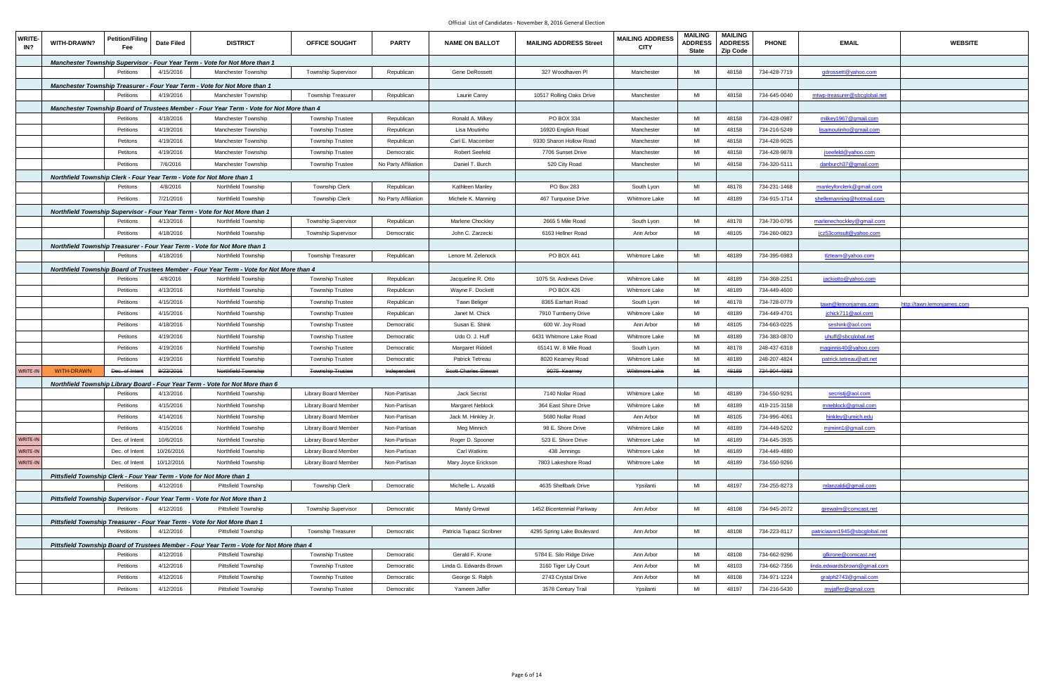| <b>WRITE-</b><br>IN? | WITH-DRAWN?       | <b>Petition/Filing</b><br>Fee | Date Filed | <b>DISTRICT</b>                                                                          | <b>OFFICE SOUGHT</b>        | <b>PARTY</b>         | <b>NAME ON BALLOT</b>        | <b>MAILING ADDRESS Street</b> | <b>MAILING ADDRESS</b><br><b>CITY</b> | <b>MAILING</b><br><b>ADDRESS</b><br><b>State</b> | <b>MAILING</b><br><b>ADDRESS</b><br><b>Zip Code</b> | <b>PHONE</b> | <b>EMAIL</b>                  | <b>WEBSITE</b>             |
|----------------------|-------------------|-------------------------------|------------|------------------------------------------------------------------------------------------|-----------------------------|----------------------|------------------------------|-------------------------------|---------------------------------------|--------------------------------------------------|-----------------------------------------------------|--------------|-------------------------------|----------------------------|
|                      |                   |                               |            | <b>Manchester Township Supervisor - Four Year Term - Vote for Not More than 1</b>        |                             |                      |                              |                               |                                       |                                                  |                                                     |              |                               |                            |
|                      |                   | Petitions                     | 4/15/2016  | Manchester Township                                                                      | <b>Township Supervisor</b>  | Republican           | Gene DeRossett               | 327 Woodhaven Pl              | Manchester                            | MI                                               | 48158                                               | 734-428-7719 | gdrossett@yahoo.com           |                            |
|                      |                   |                               |            | Manchester Township Treasurer - Four Year Term - Vote for Not More than 1                |                             |                      |                              |                               |                                       |                                                  |                                                     |              |                               |                            |
|                      |                   | Petitions                     | 4/19/2016  | <b>Manchester Township</b>                                                               | Township Treasurer          | Republican           | <b>Laurie Carey</b>          | 10517 Rolling Oaks Drive      | Manchester                            | MI                                               | 48158                                               | 734-645-0040 | mtwp-treasurer@sbcglobal.net  |                            |
|                      |                   |                               |            | Manchester Township Board of Trustees Member - Four Year Term - Vote for Not More than 4 |                             |                      |                              |                               |                                       |                                                  |                                                     |              |                               |                            |
|                      |                   | Petitions                     | 4/18/2016  | Manchester Township                                                                      | <b>Township Trustee</b>     | Republican           | Ronald A. Milkey             | PO BOX 334                    | Manchester                            | MI                                               | 48158                                               | 734-428-0987 | milkey1967@gmail.com          |                            |
|                      |                   | Petitions                     | 4/19/2016  | Manchester Township                                                                      | <b>Township Trustee</b>     | Republican           | Lisa Moutinho                | 16920 English Road            | Manchester                            | MI                                               | 48158                                               | 734-216-5249 | lisamoutinho@gmail.com        |                            |
|                      |                   | Petitons                      | 4/19/2016  | Manchester Township                                                                      | <b>Township Trustee</b>     | Republican           | Carl E. Macomber             | 9330 Sharon Hollow Road       | Manchester                            | MI                                               | 48158                                               | 734-428-9025 |                               |                            |
|                      |                   | Petitons                      | 4/19/2016  | Manchester Township                                                                      | <b>Township Trustee</b>     | Democratic           | <b>Robert Seefeld</b>        | 7706 Sunset Drive             | Manchester                            | MI                                               | 48158                                               | 734-428-9878 | jseefeld@yahoo.com            |                            |
|                      |                   | Petitions                     | 7/6/2016   | Manchester Township                                                                      | <b>Township Trustee</b>     | No Party Affiliation | Daniel T. Burch              | 520 City Road                 | Manchester                            | MI                                               | 48158                                               | 734-320-5111 | danburch37@gmail.com          |                            |
|                      |                   |                               |            | Northfield Township Clerk - Four Year Term - Vote for Not More than 1                    |                             |                      |                              |                               |                                       |                                                  |                                                     |              |                               |                            |
|                      |                   | Petitons                      | 4/8/2016   | Northfield Township                                                                      | <b>Township Clerk</b>       | Republican           | Kathleen Manley              | PO Box 283                    | South Lyon                            | MI                                               | 48178                                               | 734-231-1468 | manleyforclerk@gmail.com      |                            |
|                      |                   | Petitions                     | 7/21/2016  | Northfield Township                                                                      | <b>Township Clerk</b>       | No Party Affiliation | Michele K. Manning           | 467 Turquoise Drive           | <b>Whitmore Lake</b>                  | MI                                               | 48189                                               | 734-915-1714 | shellemanning@hotmail.com     |                            |
|                      |                   |                               |            | Northfield Township Supervisor - Four Year Term - Vote for Not More than 1               |                             |                      |                              |                               |                                       |                                                  |                                                     |              |                               |                            |
|                      |                   | Petitions                     | 4/13/2016  | Northfield Township                                                                      | <b>Township Supervisor</b>  | Republican           | Marlene Chockley             | 2665 5 Mile Road              | South Lyon                            | MI                                               | 48178                                               | 734-730-0795 | marlenechockley@gmail.com     |                            |
|                      |                   | Petitions                     | 4/18/2016  | Northfield Township                                                                      | Township Supervisor         | Democratic           | John C. Zarzecki             | 6163 Hellner Road             | Ann Arbor                             | MI                                               | 48105                                               | 734-260-0823 | <u>icz53consult@yahoo.com</u> |                            |
|                      |                   |                               |            | Northfield Township Treasurer - Four Year Term - Vote for Not More than 1                |                             |                      |                              |                               |                                       |                                                  |                                                     |              |                               |                            |
|                      |                   | Petitons                      | 4/18/2016  | Northfield Township                                                                      | Township Treasurer          | Republican           | Lenore M. Zelenock           | PO BOX 441                    | Whitmore Lake                         | MI                                               | 48189                                               | 734-395-6983 | tlzteam@yahoo.com             |                            |
|                      |                   |                               |            | Northfield Township Board of Trustees Member - Four Year Term - Vote for Not More than 4 |                             |                      |                              |                               |                                       |                                                  |                                                     |              |                               |                            |
|                      |                   | Petitions                     | 4/8/2016   | Northfield Township                                                                      | <b>Township Trustee</b>     | Republican           | Jacqueline R. Otto           | 1075 St. Andrews Drive        | Whitmore Lake                         | MI                                               | 48189                                               | 734-368-2251 | jackiotto@yahoo.com           |                            |
|                      |                   | Petitions                     | 4/13/2016  | Northfield Township                                                                      | <b>Township Trustee</b>     | Republican           | Wayne F. Dockett             | PO BOX 426                    | Whitmore Lake                         | MI                                               | 48189                                               | 734-449-4600 |                               |                            |
|                      |                   | Petitions                     | 4/15/2016  | Northfield Township                                                                      | <b>Township Trustee</b>     | Republican           | <b>Tawn Beliger</b>          | 8365 Earhart Road             | South Lyon                            | MI                                               | 48178                                               | 734-728-0779 | tawn@lemonjames.com           | http://tawn.lemonjames.com |
|                      |                   | Petitions                     | 4/15/2016  | Northfield Township                                                                      | <b>Township Trustee</b>     | Republican           | Janet M. Chick               | 7910 Turnberry Drive          | Whitmore Lake                         | MI                                               | 48189                                               | 734-449-4701 | jchick711@aol.com             |                            |
|                      |                   | Petitions                     | 4/18/2016  | Northfield Township                                                                      | <b>Township Trustee</b>     | Democratic           | Susan E. Shink               | 600 W. Joy Road               | Ann Arbor                             | MI                                               | 48105                                               | 734-663-0225 | seshink@aol.com               |                            |
|                      |                   | Petitons                      | 4/19/2016  | Northfield Township                                                                      | <b>Township Trustee</b>     | Democratic           | Udo O. J. Huff               | 6431 Whitmore Lake Road       | Whitmore Lake                         | MI                                               | 48189                                               | 734-383-0870 | uhuff@sbcglobal.net           |                            |
|                      |                   | Petitions                     | 4/19/2016  | Northfield Township                                                                      | Township Trustee            | Democratic           | Margaret Riddell             | 65141 W. 8 Mile Road          | South Lyon                            | MI                                               | 48178                                               | 248-437-6318 | maginnis40@yahoo.com          |                            |
|                      |                   | Petitions                     | 4/19/2016  | Northfield Township                                                                      | <b>Township Trustee</b>     | Democratic           | Patrick Tetreau              | 8020 Kearney Road             | Whitmore Lake                         | MI                                               | 48189                                               | 248-207-4824 | patrick.tetreau@att.net       |                            |
| WRITE-IN             | <b>WITH-DRAWN</b> | Dec. of Intent                | 9/23/2016  | Northfield Township                                                                      | <b>Township Trustee</b>     | Independent          | <b>Scott Charles Stewart</b> | 9075 Kearney                  | Whitmore Lake                         | M <sub>H</sub>                                   | 48189                                               | 734-904-4983 |                               |                            |
|                      |                   |                               |            | Northfield Township Library Board - Four Year Term - Vote for Not More than 6            |                             |                      |                              |                               |                                       |                                                  |                                                     |              |                               |                            |
|                      |                   | Petitions                     | 4/13/2016  | Northfield Township                                                                      | Library Board Member        | Non-Partisan         | Jack Secrist                 | 7140 Nollar Road              | Whitmore Lake                         | MI                                               | 48189                                               | 734-550-9291 | secristi@aol.com              |                            |
|                      |                   | Petitions                     | 4/15/2016  | Northfield Township                                                                      | Library Board Member        | Non-Partisan         | Margaret Neblock             | 364 East Shore Drive          | Whitmore Lake                         | MI                                               | 48189                                               | 419-215-3158 | mneblock@gmail.com            |                            |
|                      |                   | Petitions                     | 4/14/2016  | Northfield Township                                                                      | Library Board Member        | Non-Partisan         | Jack M. Hinkley Jr.          | 5680 Nollar Road              | Ann Arbor                             | MI                                               | 48105                                               | 734-996-4061 | hinkley@umich.edu             |                            |
|                      |                   | Petitions                     | 4/15/2016  | Northfield Township                                                                      | <b>Library Board Member</b> | Non-Partisan         | Meg Minnich                  | 98 E. Shore Drive             | Whitmore Lake                         | MI                                               | 48189                                               | 734-449-5202 | mjminn1@gmail.com             |                            |
| WRITE-IN             |                   | Dec. of Intent                | 10/6/2016  | Northfield Township                                                                      | Library Board Member        | Non-Partisan         | Roger D. Spooner             | 523 E. Shore Drive            | Whitmore Lake                         | MI                                               | 48189                                               | 734-645-3935 |                               |                            |
| WRITE-IN             |                   | Dec. of Intent                | 10/26/2016 | Northfield Township                                                                      | Library Board Member        | Non-Partisan         | Carl Watkins                 | 438 Jennings                  | Whitmore Lake                         | MI                                               | 48189                                               | 734-449-4880 |                               |                            |
| WRITE-IN             |                   | Dec. of Intent                | 10/12/2016 | Northfield Township                                                                      | Library Board Member        | Non-Partisan         | Mary Joyce Erickson          | 7803 Lakeshore Road           | Whitmore Lake                         | MI                                               | 48189                                               | 734-550-9266 |                               |                            |
|                      |                   |                               |            | Pittsfield Township Clerk - Four Year Term - Vote for Not More than 1                    |                             |                      |                              |                               |                                       |                                                  |                                                     |              |                               |                            |
|                      |                   | Petitions                     | 4/12/2016  | Pittsfield Township                                                                      | Township Clerk              | Democratic           | Michelle L. Anzaldi          | 4635 Shellbark Drive          | Ypsilanti                             | MI                                               | 48197                                               | 734-255-8273 | mlanzaldi@gmail.com           |                            |
|                      |                   |                               |            | Pittsfield Township Supervisor - Four Year Term - Vote for Not More than 1               |                             |                      |                              |                               |                                       |                                                  |                                                     |              |                               |                            |
|                      |                   | Petitions                     | 4/12/2016  | Pittsfield Township                                                                      | <b>Township Supervisor</b>  | Democratic           | <b>Mandy Grewal</b>          | 1452 Bicentennial Parkway     | Ann Arbor                             | MI                                               | 48108                                               | 734-945-2072 | grewalm@comcast.net           |                            |
|                      |                   |                               |            | Pittsfield Township Treasurer - Four Year Term - Vote for Not More than 1                |                             |                      |                              |                               |                                       |                                                  |                                                     |              |                               |                            |
|                      |                   | Petitions                     | 4/12/2016  | <b>Pittsfield Township</b>                                                               | Township Treasurer          | Democratic           | Patricia Tupacz Scribner     | 4295 Spring Lake Boulevard    | Ann Arbor                             | MI                                               | 48108                                               | 734-223-8117 | patriciaann1945@sbcqlobal.net |                            |
|                      |                   |                               |            | Pittsfield Township Board of Trustees Member - Four Year Term - Vote for Not More than 4 |                             |                      |                              |                               |                                       |                                                  |                                                     |              |                               |                            |
|                      |                   | Petitions                     | 4/12/2016  | Pittsfield Township                                                                      | <b>Township Trustee</b>     | Democratic           | Gerald F. Krone              | 5784 E. Silo Ridge Drive      | Ann Arbor                             | MI                                               | 48108                                               | 734-662-9296 | gfkrone@comcast.net           |                            |
|                      |                   | Petitions                     | 4/12/2016  | Pittsfield Township                                                                      | <b>Township Trustee</b>     | Democratic           | Linda G. Edwards-Brown       | 3160 Tiger Lily Court         | Ann Arbor                             | MI                                               | 48103                                               | 734-662-7356 | linda.edwardsbrown@gmail.com  |                            |
|                      |                   | Petitions                     | 4/12/2016  | Pittsfield Township                                                                      | <b>Township Trustee</b>     | Democratic           | George S. Ralph              | 2743 Crystal Drive            | Ann Arbor                             | MI                                               | 48108                                               | 734-971-1224 | gralph2743@gmail.com          |                            |
|                      |                   | Petitions                     | 4/12/2016  | Pittsfield Township                                                                      | <b>Township Trustee</b>     | Democratic           | Yameen Jaffer                | 3578 Century Trail            | Ypsilanti                             | MI                                               | 48197                                               | 734-216-5430 | myjaffer@gmail.com            |                            |
|                      |                   |                               |            |                                                                                          |                             |                      |                              |                               |                                       |                                                  |                                                     |              |                               |                            |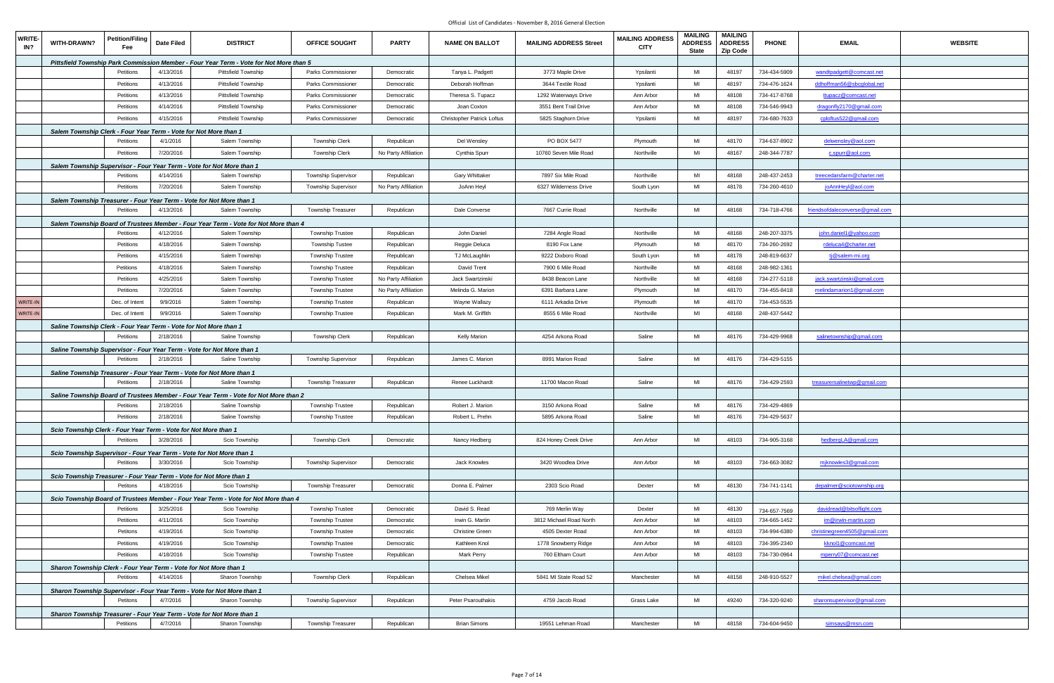| <b>WRITE-</b><br>IN? | WITH-DRAWN?                                                       | <b>Petition/Filing</b><br>Fee | <b>Date Filed</b> | <b>DISTRICT</b>                                                                        | <b>OFFICE SOUGHT</b>       | <b>PARTY</b>         | <b>NAME ON BALLOT</b>             | <b>MAILING ADDRESS Street</b> | <b>MAILING ADDRESS</b><br><b>CITY</b> | <b>MAILING</b><br><b>ADDRESS</b><br><b>State</b> | <b>MAILING</b><br><b>ADDRESS</b><br><b>Zip Code</b> | <b>PHONE</b> | <b>EMAIL</b>                    | <b>WEBSITE</b> |
|----------------------|-------------------------------------------------------------------|-------------------------------|-------------------|----------------------------------------------------------------------------------------|----------------------------|----------------------|-----------------------------------|-------------------------------|---------------------------------------|--------------------------------------------------|-----------------------------------------------------|--------------|---------------------------------|----------------|
|                      |                                                                   |                               |                   | Pittsfield Township Park Commission Member - Four Year Term - Vote for Not More than 5 |                            |                      |                                   |                               |                                       |                                                  |                                                     |              |                                 |                |
|                      |                                                                   | Petitions                     | 4/13/2016         | Pittsfield Township                                                                    | Parks Commissioner         | Democratic           | Tanya L. Padgett                  | 3773 Maple Drive              | Ypsilanti                             | MI                                               | 48197                                               | 734-434-5909 | wandtpadgett@comcast.net        |                |
|                      |                                                                   | Petitions                     | 4/13/2016         | <b>Pittsfield Township</b>                                                             | Parks Commissioner         | Democratic           | Deborah Hoffman                   | 3644 Textile Road             | Ypsilanti                             | MI                                               | 48197                                               | 734-476-1624 | ddhoffman56@sbcqlobal.net       |                |
|                      |                                                                   | Petitions                     | 4/13/2016         | Pittsfield Township                                                                    | Parks Commissioner         | Democratic           | Theresa S. Tupacz                 | 1292 Waterways Drive          | Ann Arbor                             | MI                                               | 48108                                               | 734-417-8768 | ttupacz@comcast.net             |                |
|                      |                                                                   | Petitions                     | 4/14/2016         | Pittsfield Township                                                                    | Parks Commissioner         | Democratic           | Joan Coxton                       | 3551 Bent Trail Drive         | Ann Arbor                             | MI                                               | 48108                                               | 734-546-9943 | dragonfly2170@gmail.com         |                |
|                      |                                                                   | Petitions                     | 4/15/2016         | Pittsfield Township                                                                    | Parks Commissioner         | Democratic           | <b>Christopher Patrick Loftus</b> | 5825 Staghorn Drive           | Ypsilanti                             | MI                                               | 48197                                               | 734-680-7633 | cploftus522@gmail.com           |                |
|                      | Salem Township Clerk - Four Year Term - Vote for Not More than 1  |                               |                   |                                                                                        |                            |                      |                                   |                               |                                       |                                                  |                                                     |              |                                 |                |
|                      |                                                                   | Petitions                     | 4/1/2016          | Salem Township                                                                         | <b>Township Clerk</b>      | Republican           | Del Wensley                       | PO BOX 5477                   | Plymouth                              | MI                                               | 48170                                               | 734-637-8902 | delwensley@aol.com              |                |
|                      |                                                                   | Petitions                     | 7/20/2016         | Salem Township                                                                         | <b>Township Clerk</b>      | No Party Affiliation | Cynthia Spurr                     | 10760 Seven Mile Road         | Northville                            | MI                                               | 48167                                               | 248-344-7787 | c.spurr@aol.com                 |                |
|                      |                                                                   |                               |                   | Salem Township Supervisor - Four Year Term - Vote for Not More than 1                  |                            |                      |                                   |                               |                                       |                                                  |                                                     |              |                                 |                |
|                      |                                                                   | Petitions                     | 4/14/2016         | Salem Township                                                                         | Township Supervisor        | Republican           | Gary Whittaker                    | 7897 Six Mile Road            | Northville                            | MI                                               | 48168                                               | 248-437-2453 | treecedarsfarm@charter.net      |                |
|                      |                                                                   | Petitions                     | 7/20/2016         | Salem Township                                                                         | <b>Township Supervisor</b> | No Party Affiliation | JoAnn Heyl                        | 6327 Wilderness Drive         | South Lyon                            | MI                                               | 48178                                               | 734-260-4610 | joAnnHeyl@aol.com               |                |
|                      |                                                                   |                               |                   | Salem Township Treasurer - Four Year Term - Vote for Not More than 1                   |                            |                      |                                   |                               |                                       |                                                  |                                                     |              |                                 |                |
|                      |                                                                   | Petitions                     | 4/13/2016         | Salem Township                                                                         | Township Treasurer         | Republican           | Dale Converse                     | 7667 Currie Road              | Northville                            | MI                                               | 48168                                               | 734-718-4766 | friendsofdaleconverse@gmail.com |                |
|                      |                                                                   |                               |                   | Salem Township Board of Trustees Member - Four Year Term - Vote for Not More than 4    |                            |                      |                                   |                               |                                       |                                                  |                                                     |              |                                 |                |
|                      |                                                                   | Petitions                     | 4/12/2016         | Salem Township                                                                         | <b>Township Trustee</b>    | Republican           | John Daniel                       | 7284 Angle Road               | Northville                            | MI                                               | 48168                                               | 248-207-3375 | john.daniel1@yahoo.com          |                |
|                      |                                                                   | Petitions                     | 4/18/2016         | Salem Township                                                                         | <b>Township Tustee</b>     | Republican           | Reggie Deluca                     | 8190 Fox Lane                 | Plymouth                              | MI                                               | 48170                                               | 734-260-2692 | rdeluca4@charter.net            |                |
|                      |                                                                   | Petitions                     | 4/15/2016         | Salem Township                                                                         | <b>Township Trustee</b>    | Republican           | TJ McLaughlin                     | 9222 Dixboro Road             | South Lyon                            | MI                                               | 48178                                               | 248-819-6637 | tj@salem-mi.org                 |                |
|                      |                                                                   | Petitions                     | 4/18/2016         | Salem Township                                                                         | <b>Township Trustee</b>    | Republican           | David Trent                       | 7900 6 Mile Road              | Northville                            | MI                                               | 48168                                               | 248-982-1361 |                                 |                |
|                      |                                                                   | Petitions                     | 4/25/2016         | Salem Township                                                                         | <b>Township Trustee</b>    | No Party Affiliation | Jack Swartzinski                  | 8438 Beacon Lane              | Northville                            | MI                                               | 48168                                               | 734-277-5118 | jack.swartzinski@gmail.com      |                |
|                      |                                                                   | Petitions                     | 7/20/2016         | Salem Township                                                                         | <b>Township Trustee</b>    | No Party Affiliation | Melinda G. Marion                 | 6391 Barbara Lane             | Plymouth                              | MI                                               | 48170                                               | 734-455-8418 | melindamarion1@gmail.com        |                |
| WRITE-IN             |                                                                   | Dec. of Intent                | 9/9/2016          | Salem Township                                                                         | <b>Township Trustee</b>    | Republican           | Wayne Wallazy                     | 6111 Arkadia Drive            | Plymouth                              | MI                                               | 48170                                               | 734-453-5535 |                                 |                |
| WRITE-IN             |                                                                   | Dec. of Intent                | 9/9/2016          | Salem Township                                                                         | <b>Township Trustee</b>    | Republican           | Mark M. Griffith                  | 8555 6 Mile Road              | Northville                            | MI                                               | 48168                                               | 248-437-5442 |                                 |                |
|                      | Saline Township Clerk - Four Year Term - Vote for Not More than 1 |                               |                   |                                                                                        |                            |                      |                                   |                               |                                       |                                                  |                                                     |              |                                 |                |
|                      |                                                                   | Petitions                     | 2/18/2016         | Saline Township                                                                        | <b>Township Clerk</b>      | Republican           | Kelly Marion                      | 4254 Arkona Road              | Saline                                | MI                                               | 48176                                               | 734-429-9968 | salinetownship@gmail.com        |                |
|                      |                                                                   |                               |                   | Saline Township Supervisor - Four Year Term - Vote for Not More than 1                 |                            |                      |                                   |                               |                                       |                                                  |                                                     |              |                                 |                |
|                      |                                                                   | Petitions                     | 2/18/2016         | Saline Township                                                                        | <b>Township Supervisor</b> | Republican           | James C. Marion                   | 8991 Marion Road              | Saline                                | MI                                               | 48176                                               | 734-429-5155 |                                 |                |
|                      |                                                                   |                               |                   | Saline Township Treasurer - Four Year Term - Vote for Not More than 1                  |                            |                      |                                   |                               |                                       |                                                  |                                                     |              |                                 |                |
|                      |                                                                   | Petitions                     | 2/18/2016         | Saline Township                                                                        | <b>Township Treasurer</b>  | Republican           | Renee Luckhardt                   | 11700 Macon Road              | Saline                                | MI                                               | 48176                                               | 734-429-2593 | treasurersalinetwp@gmail.com    |                |
|                      |                                                                   |                               |                   | Saline Township Board of Trustees Member - Four Year Term - Vote for Not More than 2   |                            |                      |                                   |                               |                                       |                                                  |                                                     |              |                                 |                |
|                      |                                                                   | Petitions                     | 2/18/2016         | Saline Township                                                                        | <b>Township Trustee</b>    | Republican           | Robert J. Marion                  | 3150 Arkona Road              | Saline                                | MI                                               | 48176                                               | 734-429-4869 |                                 |                |
|                      |                                                                   | Petitions                     | 2/18/2016         | Saline Township                                                                        | Township Trustee           | Republican           | Robert L. Prehn                   | 5895 Arkona Road              | Saline                                | MI                                               | 48176                                               | 734-429-5637 |                                 |                |
|                      | Scio Township Clerk - Four Year Term - Vote for Not More than 1   |                               |                   |                                                                                        |                            |                      |                                   |                               |                                       |                                                  |                                                     |              |                                 |                |
|                      |                                                                   | Petitions                     | 3/28/2016         | Scio Township                                                                          | Township Clerk             | Democratic           | Nancy Hedberg                     | 824 Honey Creek Drive         | Ann Arbor                             | MI                                               | 48103                                               | 734-905-3168 | hedbergLA@gmail.com             |                |
|                      |                                                                   |                               |                   | Scio Township Supervisor - Four Year Term - Vote for Not More than 1                   |                            |                      |                                   |                               |                                       |                                                  |                                                     |              |                                 |                |
|                      |                                                                   | Petitions                     | 3/30/2016         | Scio Township                                                                          | <b>Township Supervisor</b> | Democratic           | Jack Knowles                      | 3420 Woodlea Drive            | Ann Arbor                             | MI                                               | 48103                                               | 734-663-3082 | miknowles3@gmail.com            |                |
|                      |                                                                   |                               |                   | Scio Township Treasurer - Four Year Term - Vote for Not More than 1                    |                            |                      |                                   |                               |                                       |                                                  |                                                     |              |                                 |                |
|                      |                                                                   | Petitons                      | 4/18/2016         | Scio Township                                                                          | Township Treasurer         | Democratic           | Donna E. Palmer                   | 2303 Scio Road                | Dexter                                | MI                                               | 48130                                               | 734-741-1141 | depalmer@sciotownship.org       |                |
|                      |                                                                   |                               |                   | Scio Township Board of Trustees Member - Four Year Term - Vote for Not More than 4     |                            |                      |                                   |                               |                                       |                                                  |                                                     |              |                                 |                |
|                      |                                                                   | Petitions                     | 3/25/2016         | Scio Township                                                                          | <b>Township Trustee</b>    | Democratic           | David S. Read                     | 769 Merlin Way                | Dexter                                | MI                                               | 48130                                               | 734-657-7569 | davidread@bitsoflight.com       |                |
|                      |                                                                   | Petitions                     | 4/11/2016         | Scio Township                                                                          | <b>Township Trustee</b>    | Democratic           | Irwin G. Martin                   | 3812 Michael Road North       | Ann Arbor                             | MI                                               | 48103                                               | 734-665-1452 | im@irwin-martin.com             |                |
|                      |                                                                   | Petitons                      | 4/19/2016         | Scio Township                                                                          | <b>Township Trustee</b>    | Democratic           | <b>Christine Green</b>            | 4505 Dexter Road              | Ann Arbor                             | MI                                               | 48103                                               | 734-994-6380 | christinegreen4505@gmail.com    |                |
|                      |                                                                   | Petitions                     | 4/19/2016         | Scio Township                                                                          | <b>Township Trustee</b>    | Democratic           | Kathleen Knol                     | 1778 Snowberry Ridge          | Ann Arbor                             | MI                                               | 48103                                               | 734-395-2340 | kknol1@comcast.net              |                |
|                      |                                                                   | Petitions                     | 4/18/2016         | Scio Township                                                                          | Township Trustee           | Republican           | <b>Mark Perry</b>                 | 760 Eltham Court              | Ann Arbor                             | MI                                               | 48103                                               | 734-730-0964 | mperry07@comcast.net            |                |
|                      |                                                                   |                               |                   | Sharon Township Clerk - Four Year Term - Vote for Not More than 1                      |                            |                      |                                   |                               |                                       |                                                  |                                                     |              |                                 |                |
|                      |                                                                   | Petitions                     | 4/14/2016         | Sharon Township                                                                        | Township Clerk             | Republican           | Chelsea Mikel                     | 5841 MI State Road 52         | Manchester                            | MI                                               | 48158                                               | 248-910-5527 | mikel.chelsea@gmail.com         |                |
|                      |                                                                   |                               |                   | Sharon Township Supervisor - Four Year Term - Vote for Not More than 1                 |                            |                      |                                   |                               |                                       |                                                  |                                                     |              |                                 |                |
|                      |                                                                   | Petitons                      | 4/7/2016          | Sharon Township                                                                        | Township Supervisor        | Republican           | Peter Psarouthakis                | 4759 Jacob Road               | Grass Lake                            | MI                                               | 49240                                               | 734-320-9240 | sharonsupervisor@gmail.com      |                |
|                      |                                                                   |                               |                   | Sharon Township Treasurer - Four Year Term - Vote for Not More than 1                  |                            |                      |                                   |                               |                                       |                                                  |                                                     |              |                                 |                |
|                      |                                                                   | Petitions                     | 4/7/2016          | Sharon Township                                                                        | Township Treasurer         | Republican           | <b>Brian Simons</b>               | 19551 Lehman Road             | Manchester                            | MI                                               | 48158                                               | 734-604-9450 | simsays@msn.com                 |                |
|                      |                                                                   |                               |                   |                                                                                        |                            |                      |                                   |                               |                                       |                                                  |                                                     |              |                                 |                |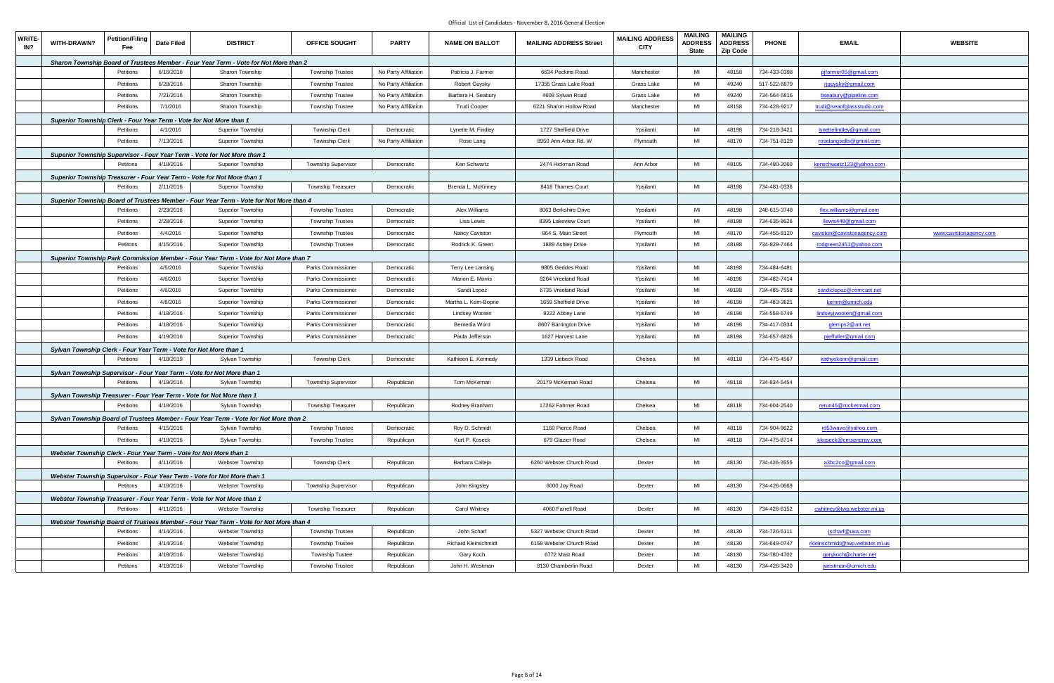| <b>WRITE-</b><br>IN? | WITH-DRAWN?                                                         | <b>Petition/Filing</b><br>Fee | <b>Date Filed</b> | <b>DISTRICT</b>                                                                        | <b>OFFICE SOUGHT</b>       | <b>PARTY</b>         | <b>NAME ON BALLOT</b>       | <b>MAILING ADDRESS Street</b> | <b>MAILING ADDRESS</b><br><b>CITY</b> | <b>MAILING</b><br><b>ADDRESS</b><br><b>State</b> | <b>MAILING</b><br><b>ADDRESS</b><br><b>Zip Code</b> | <b>PHONE</b> | <b>EMAIL</b>                    | <b>WEBSITE</b>         |
|----------------------|---------------------------------------------------------------------|-------------------------------|-------------------|----------------------------------------------------------------------------------------|----------------------------|----------------------|-----------------------------|-------------------------------|---------------------------------------|--------------------------------------------------|-----------------------------------------------------|--------------|---------------------------------|------------------------|
|                      |                                                                     |                               |                   | Sharon Township Board of Trustees Member - Four Year Term - Vote for Not More than 2   |                            |                      |                             |                               |                                       |                                                  |                                                     |              |                                 |                        |
|                      |                                                                     | Petitions                     | 6/16/2016         | Sharon Township                                                                        | <b>Township Trustee</b>    | No Party Affiliation | Patricia J. Farmer          | 6634 Peckins Road             | Manchester                            | MI                                               | 48158                                               | 734-433-0398 | pjfarmer05@gmail.com            |                        |
|                      |                                                                     | Petitions                     | 6/28/2016         | Sharon Township                                                                        | <b>Township Trustee</b>    | No Party Affiliation | Robert Guysky               | 17355 Grass Lake Road         | Grass Lake                            | MI                                               | 49240                                               | 517-522-6879 | <u>riguysky@gmail.com</u>       |                        |
|                      |                                                                     | Petitions                     | 7/21/2016         | Sharon Township                                                                        | <b>Township Trustee</b>    | No Party Affiliation | Barbara H. Seabury          | 4608 Sylvan Road              | Grass Lake                            | MI                                               | 49240                                               | 734-564-5816 | bseabury@pipeline.com           |                        |
|                      |                                                                     | Petitions                     | 7/1/2016          | Sharon Township                                                                        | <b>Township Trustee</b>    | No Party Affiliation | <b>Trudi Cooper</b>         | 6221 Sharon Hollow Road       | Manchester                            | MI                                               | 48158                                               | 734-428-9217 | trudi@seaofglassstudio.com      |                        |
|                      | Superior Township Clerk - Four Year Term - Vote for Not More than 1 |                               |                   |                                                                                        |                            |                      |                             |                               |                                       |                                                  |                                                     |              |                                 |                        |
|                      |                                                                     | Petitions                     | 4/1/2016          | Superior Township                                                                      | Township Clerk             | Democratic           | Lynette M. Findley          | 1727 Sheffield Drive          | Ypsilanti                             | MI                                               | 48198                                               | 734-218-3421 | lynettefindley@gmail.com        |                        |
|                      |                                                                     | Petitions                     | 7/13/2016         | Superior Township                                                                      | <b>Township Clerk</b>      | No Party Affiliation | Rose Lang                   | 8950 Ann Arbor Rd. W          | Plymouth                              | MI                                               | 48170                                               | 734-751-8129 | roselangsells@gmail.com         |                        |
|                      |                                                                     |                               |                   | Superior Township Supervisor - Four Year Term - Vote for Not More than 1               |                            |                      |                             |                               |                                       |                                                  |                                                     |              |                                 |                        |
|                      |                                                                     | Petitons                      | 4/18/2016         | Superior Township                                                                      | <b>Township Supervisor</b> | Democratic           | Ken Schwartz                | 2474 Hickman Road             | Ann Arbor                             | MI                                               | 48105                                               | 734-480-2060 | kenschwartz123@yahoo.com        |                        |
|                      |                                                                     |                               |                   | Superior Township Treasurer - Four Year Term - Vote for Not More than 1                |                            |                      |                             |                               |                                       |                                                  |                                                     |              |                                 |                        |
|                      |                                                                     | Petitions                     | 2/11/2016         | <b>Superior Township</b>                                                               | Township Treasurer         | Democratic           | Brenda L. McKinney          | 8418 Thames Court             | Ypsilanti                             | MI                                               | 48198                                               | 734-481-0336 |                                 |                        |
|                      |                                                                     |                               |                   | Superior Township Board of Trustees Member - Four Year Term - Vote for Not More than 4 |                            |                      |                             |                               |                                       |                                                  |                                                     |              |                                 |                        |
|                      |                                                                     | Petitions                     | 2/23/2016         | Superior Township                                                                      | <b>Township Trustee</b>    | Democratic           | Alex Williams               | 8063 Berkshire Drive          | Ypsilanti                             | MI                                               | 48198                                               | 248-615-3748 | flex.williams@gmail.com         |                        |
|                      |                                                                     | Petitions                     | 2/28/2016         | Superior Township                                                                      | <b>Township Trustee</b>    | Democratic           | Lisa Lewis                  | 8395 Lakeview Court           | Ypsilanti                             | MI                                               | 48198                                               | 734-635-8626 | llewis448@gmail.com             |                        |
|                      |                                                                     | Petitions                     | 4/4/2016          | Superior Township                                                                      | <b>Township Trustee</b>    | Democratic           | Nancy Caviston              | 864 S. Main Street            | Plymouth                              | MI                                               | 48170                                               | 734-455-8120 | caviston@cavistonagency.com     | www.cavistonagency.com |
|                      |                                                                     | Petitons                      | 4/15/2016         | Superior Township                                                                      | <b>Township Trustee</b>    | Democratic           | Rodrick K. Green            | 1889 Ashley Drive             | Ypsilanti                             | MI                                               | 48198                                               | 734-829-7464 | rodgreen2451@yahoo.com          |                        |
|                      |                                                                     |                               |                   | Superior Township Park Commission Member - Four Year Term - Vote for Not More than 7   |                            |                      |                             |                               |                                       |                                                  |                                                     |              |                                 |                        |
|                      |                                                                     | Petitions                     | 4/5/2016          | Superior Township                                                                      | Parks Commissioner         | Democratic           | Terry Lee Lansing           | 9805 Geddes Road              | Ypsilanti                             | MI                                               | 48198                                               | 734-484-6481 |                                 |                        |
|                      |                                                                     | Petitions                     | 4/6/2016          | Superior Township                                                                      | Parks Commissioner         | Democratic           | Marion E. Morris            | 8264 Vreeland Road            | Ypsilanti                             | MI                                               | 48198                                               | 734-482-7414 |                                 |                        |
|                      |                                                                     | Petitions                     | 4/6/2016          | Superior Township                                                                      | Parks Commissioner         | Democratic           | Sandi Lopez                 | 6735 Vreeland Road            | Ypsilanti                             | MI                                               | 48198                                               | 734-485-7558 | sandiclopez@comcast.net         |                        |
|                      |                                                                     | Petitions                     | 4/8/2016          | Superior Township                                                                      | Parks Commissioner         | Democratic           | Martha L. Kern-Boprie       | 1659 Sheffield Drive          | Ypsilanti                             | MI                                               | 48198                                               | 734-483-3621 | kernm@umich.edu                 |                        |
|                      |                                                                     | Petitions                     | 4/18/2016         | Superior Township                                                                      | Parks Commissioner         | Democratic           | <b>Lindsey Wooten</b>       | 9222 Abbey Lane               | Ypsilanti                             | MI                                               | 48198                                               | 734-558-5749 | lindseyjwooten@gmail.com        |                        |
|                      |                                                                     | Petitions                     | 4/18/2016         | Superior Township                                                                      | Parks Commissioner         | Democratic           | Bernedia Word               | 8607 Barrington Drive         | Ypsilanti                             | MI                                               | 48198                                               | 734-417-0334 | glemps2@att.net                 |                        |
|                      |                                                                     | Petitions                     | 4/19/2016         | Superior Township                                                                      | Parks Commissioner         | Democratic           | Paula Jefferson             | 1627 Harvest Lane             | Ypsilanti                             | MI                                               | 48198                                               | 734-657-6826 | pjeffuller@gmail.com            |                        |
|                      | Sylvan Township Clerk - Four Year Term - Vote for Not More than 1   |                               |                   |                                                                                        |                            |                      |                             |                               |                                       |                                                  |                                                     |              |                                 |                        |
|                      |                                                                     | Petitions                     | 4/18/2019         | Sylvan Township                                                                        | <b>Township Clerk</b>      | Democratic           | Kathleen E. Kennedy         | 1339 Liebeck Road             | Chelsea                               | MI                                               | 48118                                               | 734-475-4567 | kathyekenn@gmail.com            |                        |
|                      |                                                                     |                               |                   | Sylvan Township Supervisor - Four Year Term - Vote for Not More than 1                 |                            |                      |                             |                               |                                       |                                                  |                                                     |              |                                 |                        |
|                      |                                                                     | Petitions                     | 4/19/2016         | Sylvan Township                                                                        | <b>Township Supervisor</b> | Republican           | Tom McKernan                | 20179 McKernan Road           | Chelsea                               | MI                                               | 48118                                               | 734-834-5454 |                                 |                        |
|                      |                                                                     |                               |                   | Sylvan Township Treasurer - Four Year Term - Vote for Not More than 1                  |                            |                      |                             |                               |                                       |                                                  |                                                     |              |                                 |                        |
|                      |                                                                     | Petitions                     | 4/18/2016         | Sylvan Township                                                                        | <b>Township Treasurer</b>  | Republican           | Rodney Branham              | 17262 Fahrner Road            | Chelsea                               | MI                                               | 48118                                               | 734-604-2540 | rerun45@rocketmail.com          |                        |
|                      |                                                                     |                               |                   | Sylvan Township Board of Trustees Member - Four Year Term - Vote for Not More than 2   |                            |                      |                             |                               |                                       |                                                  |                                                     |              |                                 |                        |
|                      |                                                                     | Petitions                     | 4/15/2016         | Sylvan Township                                                                        | <b>Township Trustee</b>    | Democratic           | Roy D. Schmidt              | 1160 Pierce Road              | Chelsea                               | MI                                               | 48118                                               | 734-904-9622 | rd53wave@yahoo.com              |                        |
|                      |                                                                     | Petitions                     | 4/18/2016         | Sylvan Township                                                                        | <b>Township Trustee</b>    | Republican           | Kurt P. Koseck              | 679 Glazier Road              | Chelsea                               | MI                                               | 48118                                               | 734-475-8714 | kkoseck@cmsenergy.com           |                        |
|                      | Webster Township Clerk - Four Year Term - Vote for Not More than 1  |                               |                   |                                                                                        |                            |                      |                             |                               |                                       |                                                  |                                                     |              |                                 |                        |
|                      |                                                                     | Petitions                     | 4/11/2016         | Webster Township                                                                       | <b>Township Clerk</b>      | Republican           | Barbara Calleja             | 6260 Webster Church Road      | Dexter                                | MI                                               | 48130                                               | 734-426-3555 | a3bc2co@qmail.com               |                        |
|                      |                                                                     |                               |                   | Webster Township Supervisor - Four Year Term - Vote for Not More than 1                |                            |                      |                             |                               |                                       |                                                  |                                                     |              |                                 |                        |
|                      |                                                                     | Petitons                      | 4/18/2016         | Webster Township                                                                       | <b>Township Supervisor</b> | Republican           | John Kingsley               | 6000 Joy Road                 | Dexter                                | MI                                               | 48130                                               | 734-426-0669 |                                 |                        |
|                      |                                                                     |                               |                   | Webster Township Treasurer - Four Year Term - Vote for Not More than 1                 |                            |                      |                             |                               |                                       |                                                  |                                                     |              |                                 |                        |
|                      |                                                                     | Petitions                     | 4/11/2016         | Webster Township                                                                       | Township Treasurer         | Republican           | Carol Whitney               | 4060 Farrell Road             | Dexter                                | MI                                               | 48130                                               | 734-426-6152 | cwhitney@twp.webster.mi.us      |                        |
|                      |                                                                     |                               |                   | Webster Township Board of Trustees Member - Four Year Term - Vote for Not More than 4  |                            |                      |                             |                               |                                       |                                                  |                                                     |              |                                 |                        |
|                      |                                                                     | Petitions                     | 4/14/2016         | Webster Township                                                                       | <b>Township Trustee</b>    | Republican           | John Scharf                 | 5327 Webster Church Road      | Dexter                                | MI                                               | 48130                                               | 734-726-5111 | scharf@usa.com                  |                        |
|                      |                                                                     | Petitions                     | 4/14/2016         | Webster Township                                                                       | <b>Township Trustee</b>    | Republican           | <b>Richard Kleinschmidt</b> | 6158 Webster Church Road      | Dexter                                | MI                                               | 48130                                               | 734-649-0747 | rkleinschmidt@twp.webster.mi.us |                        |
|                      |                                                                     | Petitions                     | 4/18/2016         | Webster Township                                                                       | <b>Township Tustee</b>     | Republican           | Gary Koch                   | 6772 Mast Road                | Dexter                                | MI                                               | 48130                                               | 734-780-4702 | garykoch@charter.net            |                        |
|                      |                                                                     | Petitons                      | 4/18/2016         | Webster Township                                                                       | <b>Township Trustee</b>    | Republican           | John H. Westman             | 8130 Chamberlin Road          | Dexter                                | MI                                               | 48130                                               | 734-426-3420 | jwestman@umich.edu              |                        |
|                      |                                                                     |                               |                   |                                                                                        |                            |                      |                             |                               |                                       |                                                  |                                                     |              |                                 |                        |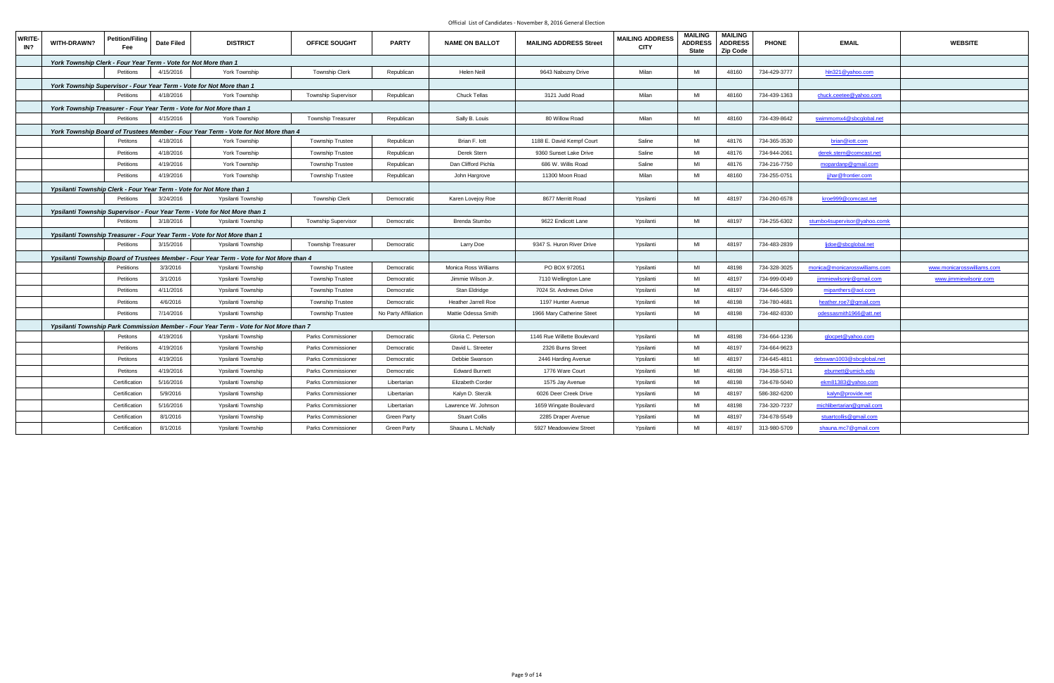| <b>WRITE-</b><br>IN? | WITH-DRAWN?                                                     | Petition/Filing<br><b>Fee</b> | <b>Date Filed</b> | <b>DISTRICT</b>                                                                         | OFFICE SOUGHT              | <b>PARTY</b>         | <b>NAME ON BALLOT</b> | <b>MAILING ADDRESS Street</b> | <b>MAILING ADDRESS</b><br><b>CITY</b> | <b>MAILING</b><br><b>ADDRESS</b><br><b>State</b> | <b>MAILING</b><br><b>ADDRESS</b><br><b>Zip Code</b> | <b>PHONE</b> | <b>EMAIL</b>                    | <b>WEBSITE</b>             |
|----------------------|-----------------------------------------------------------------|-------------------------------|-------------------|-----------------------------------------------------------------------------------------|----------------------------|----------------------|-----------------------|-------------------------------|---------------------------------------|--------------------------------------------------|-----------------------------------------------------|--------------|---------------------------------|----------------------------|
|                      | York Township Clerk - Four Year Term - Vote for Not More than 1 |                               |                   |                                                                                         |                            |                      |                       |                               |                                       |                                                  |                                                     |              |                                 |                            |
|                      |                                                                 | Petitions                     | 4/15/2016         | York Township                                                                           | <b>Township Clerk</b>      | Republican           | Helen Neill           | 9643 Nabozny Drive            | Milan                                 | MI                                               | 48160                                               | 734-429-3777 | hln321@yahoo.com                |                            |
|                      |                                                                 |                               |                   | York Township Supervisor - Four Year Term - Vote for Not More than 1                    |                            |                      |                       |                               |                                       |                                                  |                                                     |              |                                 |                            |
|                      |                                                                 | Petitions                     | 4/18/2016         | York Township                                                                           | <b>Township Supervisor</b> | Republican           | <b>Chuck Tellas</b>   | 3121 Judd Road                | Milan                                 | MI                                               | 48160                                               | 734-439-1363 | chuck.ceetee@yahoo.com          |                            |
|                      |                                                                 |                               |                   | York Township Treasurer - Four Year Term - Vote for Not More than 1                     |                            |                      |                       |                               |                                       |                                                  |                                                     |              |                                 |                            |
|                      |                                                                 | Petitions                     | 4/15/2016         | York Township                                                                           | Township Treasurer         | Republican           | Sally B. Louis        | 80 Willow Road                | Milan                                 | MI                                               | 48160                                               | 734-439-8642 | swimmomx4@sbcglobal.net         |                            |
|                      |                                                                 |                               |                   | York Township Board of Trustees Member - Four Year Term - Vote for Not More than 4      |                            |                      |                       |                               |                                       |                                                  |                                                     |              |                                 |                            |
|                      |                                                                 | Petitons                      | 4/18/2016         | York Township                                                                           | Township Trustee           | Republican           | Brian F. lott         | 1188 E. David Kempf Court     | Saline                                | MI                                               | 48176                                               | 734-365-3530 | brian@iott.com                  |                            |
|                      |                                                                 | Petitions                     | 4/18/2016         | York Township                                                                           | <b>Township Trustee</b>    | Republican           | Derek Stern           | 9360 Sunset Lake Drive        | Saline                                | MI                                               | 48176                                               | 734-944-2061 | derek.stern@comcast.net         |                            |
|                      |                                                                 | Petitions                     | 4/19/2016         | York Township                                                                           | <b>Township Trustee</b>    | Republican           | Dan Clifford Pichla   | 686 W. Willis Road            | Saline                                | MI                                               | 48176                                               | 734-216-7750 | mopardanp@gmail.com             |                            |
|                      |                                                                 | Petitions                     | 4/19/2016         | York Township                                                                           | <b>Township Trustee</b>    | Republican           | John Hargrove         | 11300 Moon Road               | Milan                                 | MI                                               | 48160                                               | 734-255-0751 | jihar@frontier.com              |                            |
|                      |                                                                 |                               |                   | Ypsilanti Township Clerk - Four Year Term - Vote for Not More than 1                    |                            |                      |                       |                               |                                       |                                                  |                                                     |              |                                 |                            |
|                      |                                                                 | Petitions                     | 3/24/2016         | Ypsilanti Township                                                                      | <b>Township Clerk</b>      | Democratic           | Karen Lovejoy Roe     | 8677 Merritt Road             | Ypsilanti                             | MI                                               | 48197                                               | 734-260-6578 | kroe999@comcast.net             |                            |
|                      |                                                                 |                               |                   | Ypsilanti Township Supervisor - Four Year Term - Vote for Not More than 1               |                            |                      |                       |                               |                                       |                                                  |                                                     |              |                                 |                            |
|                      |                                                                 | Petitions                     | 3/18/2016         | Ypsilanti Township                                                                      | <b>Township Supervisor</b> | Democratic           | Brenda Stumbo         | 9622 Endicott Lane            | Ypsilanti                             | MI                                               | 48197                                               | 734-255-6302 | stumbo4supervisor@yahoo.comk    |                            |
|                      |                                                                 |                               |                   | Ypsilanti Township Treasurer - Four Year Term - Vote for Not More than 1                |                            |                      |                       |                               |                                       |                                                  |                                                     |              |                                 |                            |
|                      |                                                                 | Petitions                     | 3/15/2016         | Ypsilanti Township                                                                      | <b>Township Treasurer</b>  | Democratic           | Larry Doe             | 9347 S. Huron River Drive     | Ypsilanti                             | MI                                               | 48197                                               | 734-483-2839 | lidoe@sbcqlobal.net             |                            |
|                      |                                                                 |                               |                   | Ypsilanti Township Board of Trustees Member - Four Year Term - Vote for Not More than 4 |                            |                      |                       |                               |                                       |                                                  |                                                     |              |                                 |                            |
|                      |                                                                 | Petiitions                    | 3/3/2016          | Ypsilanti Township                                                                      | <b>Township Trustee</b>    | Democratic           | Monica Ross Williams  | PO BOX 972051                 | Ypsilanti                             | MI                                               | 48198                                               | 734-328-3025 | monica@monicarosswilliams.com   | www.monicarosswilliams.com |
|                      |                                                                 | Petitions                     | 3/1/2016          | Ypsilanti Township                                                                      | <b>Township Trustee</b>    | Democratic           | Jimmie Wilson Jr.     | 7110 Wellington Lane          | Ypsilanti                             | MI                                               | 48197                                               | 734-999-0049 | <u>jimmiewilsonjr@gmail.com</u> | www.jimmiewilsonjr.com     |
|                      |                                                                 | Petitions                     | 4/11/2016         | Ypsilanti Township                                                                      | <b>Township Trustee</b>    | Democratic           | Stan Eldridge         | 7024 St. Andrews Drive        | Ypsilanti                             | MI                                               | 48197                                               | 734-646-5309 | mipanthers@aol.com              |                            |
|                      |                                                                 | Petitions                     | 4/6/2016          | Ypsilanti Township                                                                      | <b>Township Trustee</b>    | Democratic           | Heather Jarrell Roe   | 1197 Hunter Avenue            | Ypsilanti                             | MI                                               | 48198                                               | 734-780-4681 | heather.roe7@gmail.com          |                            |
|                      |                                                                 | Petitions                     | 7/14/2016         | Ypsilanti Township                                                                      | <b>Township Trustee</b>    | No Party Affiliation | Mattie Odessa Smith   | 1966 Mary Catherine Steet     | Ypsilanti                             | MI                                               | 48198                                               | 734-482-8330 | odessasmith1966@att.net         |                            |
|                      |                                                                 |                               |                   | Ypsilanti Township Park Commission Member - Four Year Term - Vote for Not More than 7   |                            |                      |                       |                               |                                       |                                                  |                                                     |              |                                 |                            |
|                      |                                                                 | Petitons                      | 4/19/2016         | Ypsilanti Township                                                                      | Parks Commissioner         | Democratic           | Gloria C. Peterson    | 1146 Rue Willette Boulevard   | Ypsilanti                             | MI                                               | 48198                                               | 734-664-1236 | glocpet@yahoo.com               |                            |
|                      |                                                                 | Petitions                     | 4/19/2016         | Ypsilanti Township                                                                      | Parks Commissioner         | Democratic           | David L. Streeter     | 2326 Burns Street             | Ypsilanti                             | MI                                               | 48197                                               | 734-664-9623 |                                 |                            |
|                      |                                                                 | Petitons                      | 4/19/2016         | Ypsilanti Township                                                                      | Parks Commissioner         | Democratic           | Debbie Swanson        | 2446 Harding Avenue           | Ypsilanti                             | MI                                               | 48197                                               | 734-645-4811 | debswan1003@sbcglobal.net       |                            |
|                      |                                                                 | Petitons                      | 4/19/2016         | Ypsilanti Township                                                                      | Parks Commissioner         | Democratic           | <b>Edward Burnett</b> | 1776 Ware Court               | Ypsilanti                             | MI                                               | 48198                                               | 734-358-5711 | eburnett@umich.edu              |                            |
|                      |                                                                 | Certification                 | 5/16/2016         | Ypsilanti Township                                                                      | Parks Commissioner         | Libertarian          | Elizabeth Corder      | 1575 Jay Avenue               | Ypsilanti                             | MI                                               | 48198                                               | 734-678-5040 | ekm81383@yahoo.com              |                            |
|                      |                                                                 | Certification                 | 5/9/2016          | Ypsilanti Township                                                                      | Parks Commissioner         | Libertarian          | Kalyn D. Sterzik      | 6026 Deer Creek Drive         | Ypsilanti                             | MI                                               | 48197                                               | 586-382-6200 | kalyn@provide.net               |                            |
|                      |                                                                 | Certification                 | 5/16/2016         | Ypsilanti Township                                                                      | Parks Commissioner         | Libertarian          | Lawrence W. Johnson   | 1659 Wingate Boulevard        | Ypsilanti                             | MI                                               | 48198                                               | 734-320-7237 | michlibertarian@gmail.com       |                            |
|                      |                                                                 | Certification                 | 8/1/2016          | Ypsilanti Township                                                                      | Parks Commissioner         | <b>Green Party</b>   | <b>Stuart Collis</b>  | 2285 Draper Avenue            | Ypsilanti                             | MI                                               | 48197                                               | 734-678-5549 | stuartcollis@gmail.com          |                            |
|                      |                                                                 | Certification                 | 8/1/2016          | Ypsilanti Township                                                                      | Parks Commissioner         | <b>Green Party</b>   | Shauna L. McNally     | 5927 Meadowview Street        | Ypsilanti                             | MI                                               | 48197                                               | 313-980-5709 | shauna.mc7@gmail.com            |                            |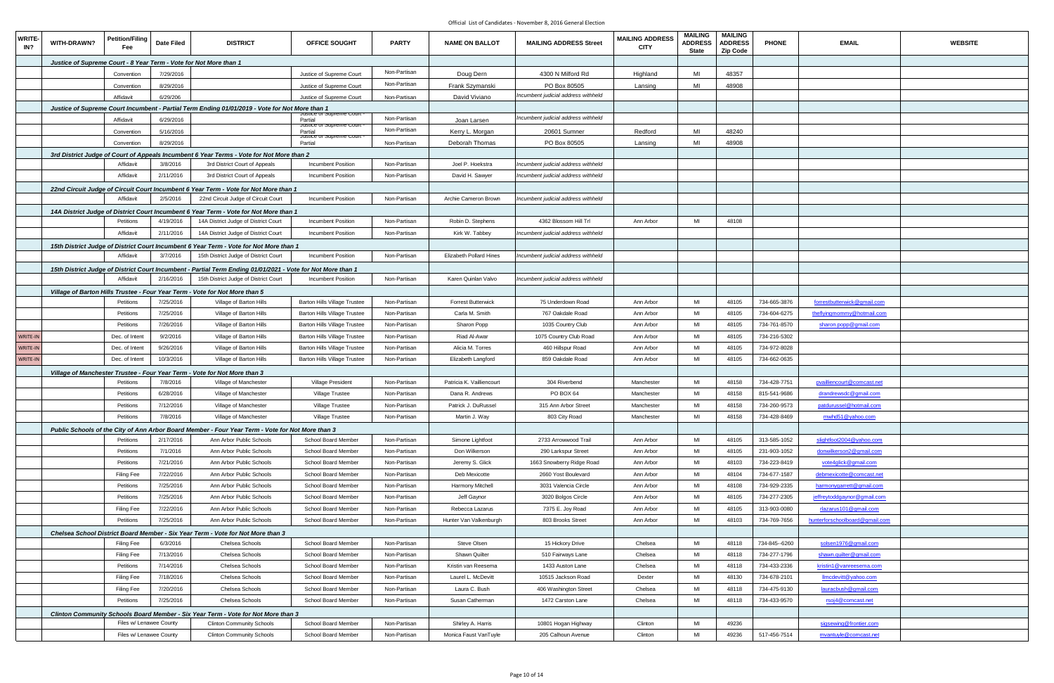| <b>WRITE-</b><br>IN? | WITH-DRAWN?                                                       | <b>Petition/Filing</b><br>Fee | Date Filed | <b>DISTRICT</b>                                                                                             | <b>OFFICE SOUGHT</b>                | <b>PARTY</b> | <b>NAME ON BALLOT</b>          | <b>MAILING ADDRESS Street</b>       | <b>MAILING ADDRESS</b><br><b>CITY</b> | <b>MAILING</b><br><b>ADDRESS</b><br><b>State</b> | <b>MAILING</b><br><b>ADDRESS</b><br>Zip Code | <b>PHONE</b>  | <b>EMAIL</b>                   | <b>WEBSITE</b> |
|----------------------|-------------------------------------------------------------------|-------------------------------|------------|-------------------------------------------------------------------------------------------------------------|-------------------------------------|--------------|--------------------------------|-------------------------------------|---------------------------------------|--------------------------------------------------|----------------------------------------------|---------------|--------------------------------|----------------|
|                      | Justice of Supreme Court - 8 Year Term - Vote for Not More than 1 |                               |            |                                                                                                             |                                     |              |                                |                                     |                                       |                                                  |                                              |               |                                |                |
|                      |                                                                   | Convention                    | 7/29/2016  |                                                                                                             | Justice of Supreme Court            | Non-Partisan | Doug Dern                      | 4300 N Milford Rd                   | Highland                              | MI                                               | 48357                                        |               |                                |                |
|                      |                                                                   | Convention                    | 8/29/2016  |                                                                                                             | Justice of Supreme Court            | Non-Partisan | Frank Szymanski                | PO Box 80505                        | Lansing                               | MI                                               | 48908                                        |               |                                |                |
|                      |                                                                   | Affidavit                     | 6/29/206   |                                                                                                             | Justice of Supreme Court            | Non-Partisan | David Viviano                  | Incumbent judicial address withheld |                                       |                                                  |                                              |               |                                |                |
|                      |                                                                   |                               |            | Justice of Supreme Court Incumbent - Partial Term Ending 01/01/2019 - Vote for Not More than 1              |                                     |              |                                |                                     |                                       |                                                  |                                              |               |                                |                |
|                      |                                                                   | Affidavit                     | 6/29/2016  |                                                                                                             | ustice or supreme Court<br>Partial  | Non-Partisan | Joan Larsen                    | Incumbent judicial address withheld |                                       |                                                  |                                              |               |                                |                |
|                      |                                                                   |                               |            |                                                                                                             | Justice or Supreme Court            | Non-Partisan |                                |                                     | Redford                               | MI                                               | 48240                                        |               |                                |                |
|                      |                                                                   | Convention                    | 5/16/2016  |                                                                                                             | Partial<br>Justice or Supreme Court |              | Kerry L. Morgan                | 20601 Sumner                        |                                       |                                                  |                                              |               |                                |                |
|                      |                                                                   | Convention                    | 8/29/2016  |                                                                                                             | Partial                             | Non-Partisan | Deborah Thomas                 | PO Box 80505                        | Lansing                               | MI                                               | 48908                                        |               |                                |                |
|                      |                                                                   |                               |            | 3rd District Judge of Court of Appeals Incumbent 6 Year Terms - Vote for Not More than 2                    |                                     |              |                                |                                     |                                       |                                                  |                                              |               |                                |                |
|                      |                                                                   | Affidavit                     | 3/8/2016   | 3rd District Court of Appeals                                                                               | <b>Incumbent Position</b>           | Non-Partisan | Joel P. Hoekstra               | Incumbent judicial address withheld |                                       |                                                  |                                              |               |                                |                |
|                      |                                                                   | Affidavit                     | 2/11/2016  | 3rd District Court of Appeals                                                                               | Incumbent Position                  | Non-Partisan | David H. Sawyer                | Incumbent judicial address withheld |                                       |                                                  |                                              |               |                                |                |
|                      |                                                                   |                               |            | 22nd Circuit Judge of Circuit Court Incumbent 6 Year Term - Vote for Not More than 1                        |                                     |              |                                |                                     |                                       |                                                  |                                              |               |                                |                |
|                      |                                                                   | Affidavit                     | 2/5/2016   | 22nd Circuit Judge of Circuit Court                                                                         | <b>Incumbent Position</b>           | Non-Partisan | Archie Cameron Brown           | Incumbent judicial address withheld |                                       |                                                  |                                              |               |                                |                |
|                      |                                                                   |                               |            | 14A District Judge of District Court Incumbent 6 Year Term - Vote for Not More than 1                       |                                     |              |                                |                                     |                                       |                                                  |                                              |               |                                |                |
|                      |                                                                   | Petitions                     | 4/19/2016  | 14A District Judge of District Court                                                                        | Incumbent Position                  | Non-Partisan | Robin D. Stephens              | 4362 Blossom Hill Trl               | Ann Arbor                             | MI                                               | 48108                                        |               |                                |                |
|                      |                                                                   | Affidavit                     | 2/11/2016  | 14A District Judge of District Court                                                                        | <b>Incumbent Position</b>           | Non-Partisan | Kirk W. Tabbey                 | ncumbent judicial address withheld  |                                       |                                                  |                                              |               |                                |                |
|                      |                                                                   |                               |            | 15th District Judge of District Court Incumbent 6 Year Term - Vote for Not More than 1                      |                                     |              |                                |                                     |                                       |                                                  |                                              |               |                                |                |
|                      |                                                                   | Affidavit                     | 3/7/2016   | 15th District Judge of District Court                                                                       | Incumbent Position                  | Non-Partisan | <b>Elizabeth Pollard Hines</b> | Incumbent judicial address withheld |                                       |                                                  |                                              |               |                                |                |
|                      |                                                                   |                               |            | 15th District Judge of District Court Incumbent - Partial Term Ending 01/01/2021 - Vote for Not More than 1 |                                     |              |                                |                                     |                                       |                                                  |                                              |               |                                |                |
|                      |                                                                   | Affidavit                     | 2/16/2016  | 15th District Judge of District Court                                                                       | Incumbent Position                  | Non-Partisan | Karen Quinlan Valvo            | ncumbent judicial address withheld  |                                       |                                                  |                                              |               |                                |                |
|                      |                                                                   |                               |            | Village of Barton Hills Trustee - Four Year Term - Vote for Not More than 5                                 |                                     |              |                                |                                     |                                       |                                                  |                                              |               |                                |                |
|                      |                                                                   | Petitions                     | 7/25/2016  | Village of Barton Hills                                                                                     | <b>Barton Hills Village Trustee</b> | Non-Partisan | <b>Forrest Butterwick</b>      | 75 Underdown Road                   | Ann Arbor                             | MI                                               | 48105                                        | 734-665-3876  | forrestbutterwick@gmail.com    |                |
|                      |                                                                   | Petitions                     | 7/25/2016  | Village of Barton Hills                                                                                     | <b>Barton Hills Village Trustee</b> | Non-Partisan | Carla M. Smith                 | 767 Oakdale Road                    | Ann Arbor                             | MI                                               | 48105                                        | 734-604-6275  | theflyingmommy@hotmail.com     |                |
|                      |                                                                   | Petitions                     | 7/26/2016  | Village of Barton Hills                                                                                     | <b>Barton Hills Village Trustee</b> | Non-Partisan | Sharon Popp                    | 1035 Country Club                   | Ann Arbor                             | MI                                               | 48105                                        | 734-761-8570  | sharon.popp@gmail.com          |                |
| WRITE-IN             |                                                                   | Dec. of Intent                | 9/2/2016   | Village of Barton Hills                                                                                     | <b>Barton Hills Village Trustee</b> | Non-Partisan | Riad Al-Awar                   | 1075 Country Club Road              | Ann Arbor                             | MI                                               | 48105                                        | 734-216-5302  |                                |                |
| WRITE-IN             |                                                                   | Dec. of Intent                | 9/26/2016  | Village of Barton Hills                                                                                     | <b>Barton Hills Village Trustee</b> | Non-Partisan | Alicia M. Torres               | 460 Hillspur Road                   | Ann Arbor                             | MI                                               | 48105                                        | 734-972-8028  |                                |                |
| WRITE-IN             |                                                                   | Dec. of Intent                | 10/3/2016  | Village of Barton Hills                                                                                     | <b>Barton Hills Village Trustee</b> | Non-Partisan | Elizabeth Langford             | 859 Oakdale Road                    | Ann Arbor                             | MI                                               | 48105                                        | 734-662-0635  |                                |                |
|                      |                                                                   |                               |            |                                                                                                             |                                     |              |                                |                                     |                                       |                                                  |                                              |               |                                |                |
|                      |                                                                   |                               |            | Village of Manchester Trustee - Four Year Term - Vote for Not More than 3                                   |                                     |              |                                |                                     |                                       | MI                                               |                                              |               |                                |                |
|                      |                                                                   | Petitions                     | 7/8/2016   | Village of Manchester                                                                                       | Village President                   | Non-Partisan | Patricia K. Vailliencourt      | 304 Riverbend                       | Manchester                            |                                                  | 48158                                        | 734-428-7751  | pvailliencourt@comcast.net     |                |
|                      |                                                                   | Petitions                     | 6/28/2016  | Village of Manchester                                                                                       | Village Trustee                     | Non-Partisan | Dana R. Andrews                | PO BOX 64                           | Manchester                            | MI                                               | 48158                                        | 815-541-9686  | drandrewsdc@gmail.com          |                |
|                      |                                                                   | Petitions                     | 7/12/2016  | Village of Manchester                                                                                       | Village Trustee                     | Non-Partisan | Patrick J. DuRussel            | 315 Ann Arbor Street                | Manchester                            | MI                                               | 48158                                        | 734-260-9573  | patdurussel@hotmail.com        |                |
|                      |                                                                   | Petitions 7/8/2016            |            | Village of Manchester                                                                                       | Village Trustee                     | Non-Partisan | Martin J. Way                  | 803 City Road                       | Manchester                            | MI                                               | 48158                                        | 734-428-8469  | mwhd51@yahoo.com               |                |
|                      |                                                                   |                               |            | Public Schools of the City of Ann Arbor Board Member - Four Year Term - Vote for Not More than 3            |                                     |              |                                |                                     |                                       |                                                  |                                              |               |                                |                |
|                      |                                                                   | Petitions                     | 2/17/2016  | Ann Arbor Public Schools                                                                                    | School Board Member                 | Non-Partisan | Simone Lightfoot               | 2733 Arrowwood Trail                | Ann Arbor                             | MI                                               | 48105                                        | 313-585-1052  | slightfoot2004@yahoo.com       |                |
|                      |                                                                   | Petitions                     | 7/1/2016   | Ann Arbor Public Schools                                                                                    | School Board Member                 | Non-Partisan | Don Wilkerson                  | 290 Larkspur Street                 | Ann Arbor                             | MI                                               | 48105                                        | 231-903-1052  | donwilkerson2@gmail.com        |                |
|                      |                                                                   | Petitions                     | 7/21/2016  | Ann Arbor Public Schools                                                                                    | School Board Member                 | Non-Partisan | Jeremy S. Glick                | 1663 Snowberry Ridge Road           | Ann Arbor                             | MI                                               | 48103                                        | 734-223-8419  | vote4glick@gmail.com           |                |
|                      |                                                                   | <b>Filing Fee</b>             | 7/22/2016  | Ann Arbor Public Schools                                                                                    | School Board Member                 | Non-Partisan | Deb Mexicotte                  | 2660 Yost Boulevard                 | Ann Arbor                             | MI                                               | 48104                                        | 734-677-1587  | debmexicotte@comcast.net       |                |
|                      |                                                                   | Petitions                     | 7/25/2016  | Ann Arbor Public Schools                                                                                    | School Board Member                 | Non-Partisan | Harmony Mitchell               | 3031 Valencia Circle                | Ann Arbor                             | MI                                               | 48108                                        | 734-929-2335  | harmonygarrett@gmail.com       |                |
|                      |                                                                   | Petitions                     | 7/25/2016  | Ann Arbor Public Schools                                                                                    | School Board Member                 | Non-Partisan | Jeff Gaynor                    | 3020 Bolgos Circle                  | Ann Arbor                             | MI                                               | 48105                                        | 734-277-2305  | jeffreytoddgaynor@gmail.com    |                |
|                      |                                                                   | <b>Filing Fee</b>             | 7/22/2016  | Ann Arbor Public Schools                                                                                    | School Board Member                 | Non-Partisan | Rebecca Lazarus                | 7375 E. Joy Road                    | Ann Arbor                             | MI                                               | 48105                                        | 313-903-0080  | rlazarus101@gmail.com          |                |
|                      |                                                                   | Petitions                     | 7/25/2016  | Ann Arbor Public Schools                                                                                    | School Board Member                 | Non-Partisan | Hunter Van Valkenburgh         | 803 Brooks Street                   | Ann Arbor                             | MI                                               | 48103                                        | 734-769-7656  | hunterforschoolboard@gmail.com |                |
|                      |                                                                   |                               |            | Chelsea School District Board Member - Six Year Term - Vote for Not More than 3                             |                                     |              |                                |                                     |                                       |                                                  |                                              |               |                                |                |
|                      |                                                                   | Filing Fee                    | 6/3/2016   | Chelsea Schools                                                                                             | School Board Member                 | Non-Partisan | Steve Olsen                    | 15 Hickory Drive                    | Chelsea                               | MI                                               | 48118                                        | 734-845--6260 | solsen1976@gmail.com           |                |
|                      |                                                                   | <b>Filing Fee</b>             | 7/13/2016  | Chelsea Schools                                                                                             | School Board Member                 | Non-Partisan | Shawn Quilter                  | 510 Fairways Lane                   | Chelsea                               | MI                                               | 48118                                        | 734-277-1796  | shawn.quilter@gmail.com        |                |
|                      |                                                                   | Petitions                     | 7/14/2016  | Chelsea Schools                                                                                             | School Board Member                 | Non-Partisan | Kristin van Reesema            | 1433 Auston Lane                    | Chelsea                               | MI                                               | 48118                                        | 734-433-2336  | kristin1@vanreesema.com        |                |
|                      |                                                                   | Filing Fee                    | 7/18/2016  | Chelsea Schools                                                                                             | School Board Member                 | Non-Partisan | Laurel L. McDevitt             | 10515 Jackson Road                  | Dexter                                | MI                                               | 48130                                        | 734-678-2101  | Ilmcdevitt@yahoo.com           |                |
|                      |                                                                   |                               |            | Chelsea Schools                                                                                             | School Board Member                 |              | Laura C. Bush                  |                                     | Chelsea                               | MI                                               | 48118                                        | 734-475-9130  |                                |                |
|                      |                                                                   | <b>Filing Fee</b>             | 7/20/2016  |                                                                                                             |                                     | Non-Partisan |                                | 406 Washington Street               |                                       |                                                  |                                              |               | lauracbush@gmail.com           |                |
|                      |                                                                   | Petitions                     | 7/25/2016  | Chelsea Schools                                                                                             | School Board Member                 | Non-Partisan | Susan Catherman                | 1472 Carston Lane                   | Chelsea                               | MI                                               | 48118                                        | 734-433-9570  | rsoj4@comcast.net              |                |
|                      |                                                                   |                               |            | Clinton Community Schools Board Member - Six Year Term - Vote for Not More than 3                           |                                     |              |                                |                                     |                                       |                                                  |                                              |               |                                |                |
|                      |                                                                   | Files w/ Lenawee County       |            | <b>Clinton Community Schools</b>                                                                            | School Board Member                 | Non-Partisan | Shirley A. Harris              | 10801 Hogan Highway                 | Clinton                               | MI                                               | 49236                                        |               | sigsewing@frontier.com         |                |
|                      |                                                                   | Files w/ Lenawee County       |            | <b>Clinton Community Schools</b>                                                                            | School Board Member                 | Non-Partisan | Monica Faust VanTuyle          | 205 Calhoun Avenue                  | Clinton                               | MI                                               | 49236                                        | 517-456-7514  | mvantuyle@comcast.net          |                |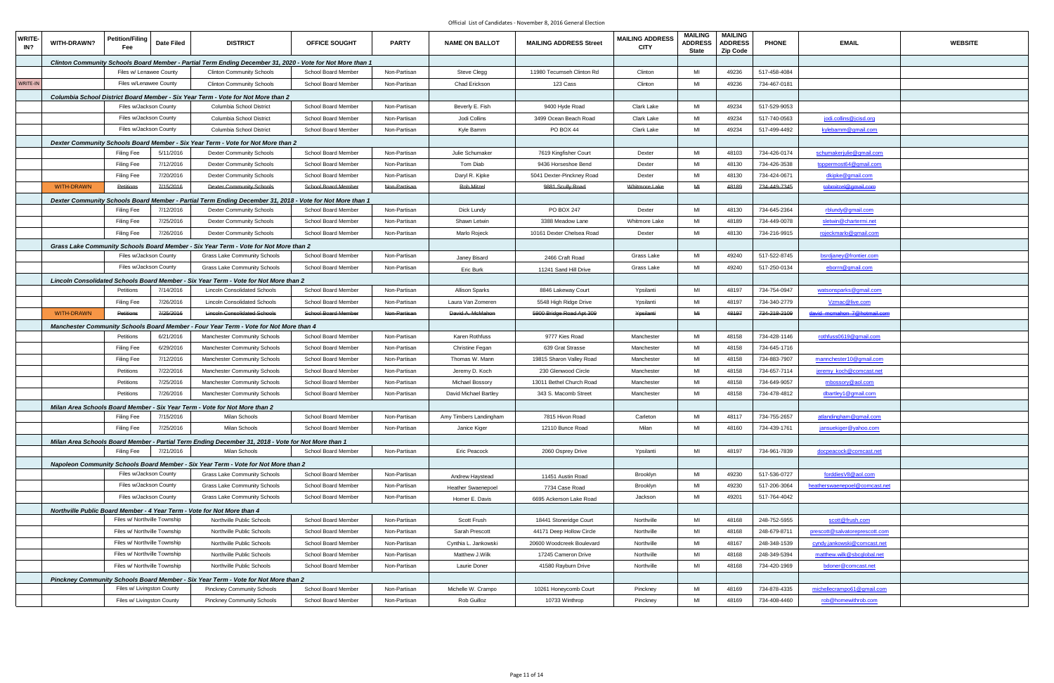| <b>WRITE-</b><br>IN? | WITH-DRAWN?       | <b>Petition/Filing</b><br>Fee | <b>Date Filed</b> | <b>DISTRICT</b>                                                                                           | <b>OFFICE SOUGHT</b> | <b>PARTY</b> | <b>NAME ON BALLOT</b>  | <b>MAILING ADDRESS Street</b> | <b>MAILING ADDRESS</b><br><b>CITY</b> | <b>MAILING</b><br><b>ADDRESS</b><br><b>State</b> | <b>MAILING</b><br><b>ADDRESS</b><br><b>Zip Code</b> | <b>PHONE</b> | <b>EMAIL</b>                   | <b>WEBSITE</b> |
|----------------------|-------------------|-------------------------------|-------------------|-----------------------------------------------------------------------------------------------------------|----------------------|--------------|------------------------|-------------------------------|---------------------------------------|--------------------------------------------------|-----------------------------------------------------|--------------|--------------------------------|----------------|
|                      |                   |                               |                   | Clinton Community Schools Board Member - Partial Term Ending December 31, 2020 - Vote for Not More than 1 |                      |              |                        |                               |                                       |                                                  |                                                     |              |                                |                |
|                      |                   | Files w/ Lenawee County       |                   | <b>Clinton Community Schools</b>                                                                          | School Board Member  | Non-Partisan | Steve Clegg            | 11980 Tecumseh Clinton Rd     | Clinton                               | MI                                               | 49236                                               | 517-458-4084 |                                |                |
| WRITE-IN             |                   | Files w/Lenawee County        |                   | <b>Clinton Community Schools</b>                                                                          | School Board Member  | Non-Partisan | Chad Erickson          | 123 Cass                      | Clinton                               | MI                                               | 49236                                               | 734-467-0181 |                                |                |
|                      |                   |                               |                   | Columbia School District Board Member - Six Year Term - Vote for Not More than 2                          |                      |              |                        |                               |                                       |                                                  |                                                     |              |                                |                |
|                      |                   | Files w/Jackson County        |                   | Columbia School District                                                                                  | School Board Member  | Non-Partisan | Beverly E. Fish        | 9400 Hyde Road                | <b>Clark Lake</b>                     | MI                                               | 49234                                               | 517-529-9053 |                                |                |
|                      |                   | Files w/Jackson County        |                   | Columbia School District                                                                                  | School Board Member  | Non-Partisan | Jodi Collins           | 3499 Ocean Beach Road         | <b>Clark Lake</b>                     | MI                                               | 49234                                               | 517-740-0563 | jodi.collins@jcisd.org         |                |
|                      |                   | Files w/Jackson County        |                   | Columbia School District                                                                                  | School Board Member  | Non-Partisan | Kyle Bamm              | PO BOX 44                     | Clark Lake                            | MI                                               | 49234                                               | 517-499-4492 | kylebamm@gmail.com             |                |
|                      |                   |                               |                   | Dexter Community Schools Board Member - Six Year Term - Vote for Not More than 2                          |                      |              |                        |                               |                                       |                                                  |                                                     |              |                                |                |
|                      |                   | <b>Filing Fee</b>             | 5/11/2016         | <b>Dexter Community Schools</b>                                                                           | School Board Member  | Non-Partisan | Julie Schumaker        | 7619 Kingfisher Court         | Dexter                                | MI                                               | 48103                                               | 734-426-0174 | schumakerjulie@gmail.com       |                |
|                      |                   | <b>Filing Fee</b>             | 7/12/2016         | <b>Dexter Community Schools</b>                                                                           | School Board Member  | Non-Partisan | Tom Diab               | 9436 Horseshoe Bend           | Dexter                                | MI                                               | 48130                                               | 734-426-3538 | toppermost64@gmail.com         |                |
|                      |                   | <b>Filing Fee</b>             | 7/20/2016         | <b>Dexter Community Schools</b>                                                                           | School Board Member  | Non-Partisan | Daryl R. Kipke         | 5041 Dexter-Pinckney Road     | Dexter                                | MI                                               | 48130                                               | 734-424-0671 | dkipke@gmail.com               |                |
|                      | <b>WITH-DRAWN</b> | Petitions                     | 7/15/2016         | <b>Dexter Community Schools</b>                                                                           | School Board Member  | Non-Partisan | Rob Mitzel             | 9881 Scully Road              | Whitmore Lake                         | $M+$                                             | 48189                                               | 734-449-7345 | robmitzel@gmail.com            |                |
|                      |                   |                               |                   | Dexter Community Schools Board Member - Partial Term Ending December 31, 2018 - Vote for Not More than 1  |                      |              |                        |                               |                                       |                                                  |                                                     |              |                                |                |
|                      |                   | Filing Fee                    | 7/12/2016         | <b>Dexter Community Schools</b>                                                                           | School Board Member  | Non-Partisan | Dick Lundy             | <b>PO BOX 247</b>             | Dexter                                | MI                                               | 48130                                               | 734-645-2364 | rblundy@gmail.com              |                |
|                      |                   | Filing Fee                    | 7/25/2016         | <b>Dexter Community Schools</b>                                                                           | School Board Member  | Non-Partisan | Shawn Letwin           | 3388 Meadow Lane              | Whitmore Lake                         | MI                                               | 48189                                               | 734-449-0078 | sletwin@chartermi.net          |                |
|                      |                   | Filing Fee                    | 7/26/2016         | <b>Dexter Community Schools</b>                                                                           | School Board Member  | Non-Partisan | Marlo Rojeck           | 10161 Dexter Chelsea Road     | Dexter                                | MI                                               | 48130                                               | 734-216-9915 | rojeckmarlo@gmail.com          |                |
|                      |                   |                               |                   | Grass Lake Community Schools Board Member - Six Year Term - Vote for Not More than 2                      |                      |              |                        |                               |                                       |                                                  |                                                     |              |                                |                |
|                      |                   | Files w/Jackson County        |                   | <b>Grass Lake Community Schools</b>                                                                       | School Board Member  | Non-Partisan | Janey Bisard           | 2466 Craft Road               | Grass Lake                            | MI                                               | 49240                                               | 517-522-8745 | bsrdjaney@frontier.com         |                |
|                      |                   | Files w/Jackson County        |                   | Grass Lake Community Schools                                                                              | School Board Member  | Non-Partisan | Eric Burk              | 11241 Sand Hill Drive         | Grass Lake                            | MI                                               | 49240                                               | 517-250-0134 | eborrn@gmail.com               |                |
|                      |                   |                               |                   | Lincoln Consolidated Schools Board Member - Six Year Term - Vote for Not More than 2                      |                      |              |                        |                               |                                       |                                                  |                                                     |              |                                |                |
|                      |                   | Petitions                     | 7/14/2016         | <b>Lincoln Consolidated Schools</b>                                                                       | School Board Member  | Non-Partisan | <b>Allison Sparks</b>  | 8846 Lakeway Court            | Ypsilanti                             | MI                                               | 48197                                               | 734-754-0947 | watsonsparks@gmail.com         |                |
|                      |                   | Filing Fee                    | 7/26/2016         | <b>Lincoln Consolidated Schools</b>                                                                       | School Board Member  | Non-Partisan | Laura Van Zomeren      | 5548 High Ridge Drive         | Ypsilanti                             | MI                                               | 48197                                               | 734-340-2779 | Vzmac@live.com                 |                |
|                      | <b>WITH-DRAWN</b> | <b>Petitions</b>              | 7/25/2016         | <b>Lincoln Consolidated Schools</b>                                                                       | School Board Member  | Non-Partisan | David A. McMahon       | 5900 Bridge Road Apt 309      | Ypsilanti                             | MH                                               | 48197                                               | 734-218-2109 | david_mcmahon_7@hotmail.com    |                |
|                      |                   |                               |                   | Manchester Community Schools Board Member - Four Year Term - Vote for Not More than 4                     |                      |              |                        |                               |                                       |                                                  |                                                     |              |                                |                |
|                      |                   | Petitions                     | 6/21/2016         | Manchester Community Schools                                                                              | School Board Member  | Non-Partisan | Karen Rothfuss         | 9777 Kies Road                | Manchester                            | MI                                               | 48158                                               | 734-428-1146 | rothfuss0619@gmail.com         |                |
|                      |                   | <b>Filing Fee</b>             | 6/29/2016         | Manchester Community Schools                                                                              | School Board Member  | Non-Partisan | Christine Fegan        | 639 Grat Strasse              | Manchester                            | MI                                               | 48158                                               | 734-645-1716 |                                |                |
|                      |                   | <b>Filing Fee</b>             | 7/12/2016         | Manchester Community Schools                                                                              | School Board Member  | Non-Partisan | Thomas W. Mann         | 19815 Sharon Valley Road      | Manchester                            | MI                                               | 48158                                               | 734-883-7907 | mannchester10@gmail.com        |                |
|                      |                   | Petitions                     | 7/22/2016         | Manchester Community Schools                                                                              | School Board Member  | Non-Partisan | Jeremy D. Koch         | 230 Glenwood Circle           | Manchester                            | MI                                               | 48158                                               | 734-657-7114 | jeremy koch@comcast.net        |                |
|                      |                   | Petitions                     | 7/25/2016         | Manchester Community Schools                                                                              | School Board Member  | Non-Partisan | Michael Bossory        | 13011 Bethel Church Road      | Manchester                            | MI                                               | 48158                                               | 734-649-9057 | mbossory@aol.com               |                |
|                      |                   | Petitions                     | 7/26/2016         | <b>Manchester Community Schools</b>                                                                       | School Board Member  | Non-Partisan | David Michael Bartley  | 343 S. Macomb Street          | Manchester                            | MI                                               | 48158                                               | 734-478-4812 | dbartley1@gmail.com            |                |
|                      |                   |                               |                   | Milan Area Schools Board Member - Six Year Term - Vote for Not More than 2                                |                      |              |                        |                               |                                       |                                                  |                                                     |              |                                |                |
|                      |                   | <b>Filing Fee</b>             | 7/15/2016         | Milan Schools                                                                                             | School Board Member  | Non-Partisan | Amy Timbers Landingham | 7815 Hivon Road               | Carleton                              | MI                                               | 48117                                               | 734-755-2657 | atlandingham@gmail.com         |                |
|                      |                   | Filing Fee                    | 7/25/2016         | Milan Schools                                                                                             | School Board Member  | Non-Partisan | Janice Kiger           | 12110 Bunce Road              | Milan                                 | MI                                               | 48160                                               | 734-439-1761 | jansuekiger@yahoo.com          |                |
|                      |                   |                               |                   | Milan Area Schools Board Member - Partial Term Ending December 31, 2018 - Vote for Not More than 1        |                      |              |                        |                               |                                       |                                                  |                                                     |              |                                |                |
|                      |                   | Filing Fee                    | 7/21/2016         | Milan Schools                                                                                             | School Board Member  | Non-Partisan | Eric Peacock           | 2060 Osprey Drive             | Ypsilanti                             | MI                                               | 48197                                               | 734-961-7839 | docpeacock@comcast.net         |                |
|                      |                   |                               |                   | Napoleon Community Schools Board Member - Six Year Term - Vote for Not More than 2                        |                      |              |                        |                               |                                       |                                                  |                                                     |              |                                |                |
|                      |                   | Files w/Jackson County        |                   | <b>Grass Lake Community Schools</b>                                                                       | School Board Member  | Non-Partisan | Andrew Haystead        | 11451 Austin Road             | Brooklyn                              | MI                                               | 49230                                               | 517-536-0727 | forddiesV8@aol.com             |                |
|                      |                   | Files w/Jackson County        |                   | Grass Lake Community Schools                                                                              | School Board Member  | Non-Partisan | Heather Swaenepoel     | 7734 Case Road                | Brooklyn                              | MI                                               | 49230                                               | 517-206-3064 | heatherswaenepoel@comcast.net  |                |
|                      |                   | Files w/Jackson County        |                   | Grass Lake Community Schools                                                                              | School Board Member  | Non-Partisan | Homer E. Davis         | 6695 Ackerson Lake Road       | Jackson                               | MI                                               | 49201                                               | 517-764-4042 |                                |                |
|                      |                   |                               |                   | Northville Public Board Member - 4 Year Term - Vote for Not More than 4                                   |                      |              |                        |                               |                                       |                                                  |                                                     |              |                                |                |
|                      |                   | Files w/ Northville Township  |                   | Northville Public Schools                                                                                 | School Board Member  | Non-Partisan | Scott Frush            | 18441 Stoneridge Court        | Northville                            | MI                                               | 48168                                               | 248-752-5955 | scott@frush.com                |                |
|                      |                   | Files w/ Northville Township  |                   | Northville Public Schools                                                                                 | School Board Member  | Non-Partisan | Sarah Prescott         | 44171 Deep Hollow Circle      | Northville                            | MI                                               | 48168                                               | 248-679-871  | prescott@salvatoreprescott.com |                |
|                      |                   | Files w/ Northville Township  |                   | Northville Public Schools                                                                                 | School Board Member  | Non-Partisan | Cynthia L. Jankowski   | 20600 Woodcreek Boulevard     | Northville                            | MI                                               | 48167                                               | 248-348-1539 | cyndy.jankowski@comcast.net    |                |
|                      |                   | Files w/ Northville Township  |                   | Northville Public Schools                                                                                 | School Board Member  | Non-Partisan | Matthew J.Wilk         | 17245 Cameron Drive           | Northville                            | MI                                               | 48168                                               | 248-349-5394 | matthew.wilk@sbcqlobal.net     |                |
|                      |                   | Files w/ Northville Township  |                   | Northville Public Schools                                                                                 | School Board Member  | Non-Partisan | Laurie Doner           | 41580 Rayburn Drive           | Northville                            | MI                                               | 48168                                               | 734-420-1969 | bdoner@comcast.net             |                |
|                      |                   |                               |                   | Pinckney Community Schools Board Member - Six Year Term - Vote for Not More than 2                        |                      |              |                        |                               |                                       |                                                  |                                                     |              |                                |                |
|                      |                   | Files w/ Livingston County    |                   | <b>Pinckney Community Schools</b>                                                                         | School Board Member  | Non-Partisan | Michelle W. Crampo     | 10261 Honeycomb Court         | Pinckney                              | MI                                               | 48169                                               | 734-878-4335 | michellecrampo61@gmail.com     |                |
|                      |                   | Files w/ Livingston County    |                   | <b>Pinckney Community Schools</b>                                                                         | School Board Member  | Non-Partisan | Rob Guilloz            | 10733 Winthrop                | Pinckney                              | MI                                               | 48169                                               | 734-408-4460 | rob@homewithrob.com            |                |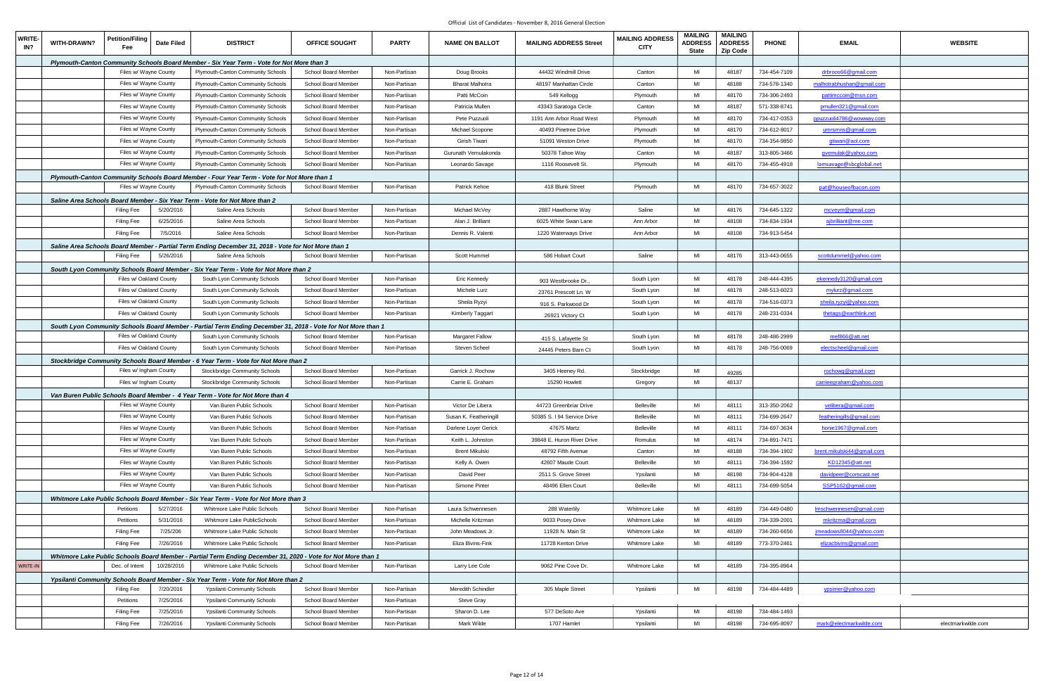| <b>WRITE-</b><br>IN? | WITH-DRAWN? | Petition/Filing<br>Fee  | Date Filed | <b>DISTRICT</b>                                                                                              | <b>OFFICE SOUGHT</b> | <b>PARTY</b> | <b>NAME ON BALLOT</b>  | <b>MAILING ADDRESS Street</b> | <b>MAILING ADDRESS</b><br><b>CITY</b> | <b>MAILING</b><br><b>ADDRESS</b><br><b>State</b> | <b>MAILING</b><br><b>ADDRESS</b><br><b>Zip Code</b> | <b>PHONE</b> | <b>EMAIL</b>                   | <b>WEBSITE</b>     |
|----------------------|-------------|-------------------------|------------|--------------------------------------------------------------------------------------------------------------|----------------------|--------------|------------------------|-------------------------------|---------------------------------------|--------------------------------------------------|-----------------------------------------------------|--------------|--------------------------------|--------------------|
|                      |             |                         |            | Plymouth-Canton Community Schools Board Member - Six Year Term - Vote for Not More than 3                    |                      |              |                        |                               |                                       |                                                  |                                                     |              |                                |                    |
|                      |             | Files w/ Wayne County   |            | Plymouth-Canton Community Schools                                                                            | School Board Member  | Non-Partisan | Doug Brooks            | 44432 Windmill Drive          | Canton                                | MI                                               | 48187                                               | 734-454-7109 | <u>drbroos66@gmail.com</u>     |                    |
|                      |             | Files w/ Wayne County   |            | Plymouth-Canton Community Schools                                                                            | School Board Member  | Non-Partisan | <b>Bharat Malhotra</b> | 48197 Manhattan Circle        | Canton                                | MI                                               | 48188                                               | 734-578-1340 | malhotrabhushan@gmail.com      |                    |
|                      |             | Files w/ Wayne County   |            | Plymouth-Canton Community Schools                                                                            | School Board Member  | Non-Partisan | Patti McCoin           | 549 Kellogg                   | Plymouth                              | MI                                               | 48170                                               | 734-306-2493 | pattimccoin@msn.com            |                    |
|                      |             | Files w/ Wayne County   |            | Plymouth-Canton Community Schools                                                                            | School Board Member  | Non-Partisan | Patricia Mullen        | 43343 Saratoga Circle         | Canton                                | MI                                               | 48187                                               | 571-338-8741 | pmullen321@gmail.com           |                    |
|                      |             | Files w/ Wayne County   |            | Plymouth-Canton Community Schools                                                                            | School Board Member  | Non-Partisan | Pete Puzzuoli          | 1191 Ann Arbor Road West      | Plymouth                              | MI                                               | 48170                                               | 734-417-0353 | ppuzzuoli4786@wowway.com       |                    |
|                      |             | Files w/ Wayne County   |            | Plymouth-Canton Community Schools                                                                            | School Board Member  | Non-Partisan | Michael Scopone        | 40493 Pinetree Drive          | Plymouth                              | MI                                               | 48170                                               | 734-612-8017 | umrsmns@gmail.com              |                    |
|                      |             | Files w/ Wayne County   |            | Plymouth-Canton Community Schools                                                                            | School Board Member  | Non-Partisan | Girish Tiwari          | 51091 Weston Drive            | Plymouth                              | MI                                               | 48170                                               | 734-354-9850 | gtiwari@aol.com                |                    |
|                      |             | Files w/ Wayne County   |            | Plymouth-Canton Community Schools                                                                            | School Board Member  | Non-Partisan | Gurunath Vemulakonda   | 50378 Tahoe Way               | Canton                                | MI                                               | 48187                                               | 313-805-3466 | <u>avemulak@yahoo.com</u>      |                    |
|                      |             | Files w/ Wayne County   |            | Plymouth-Canton Community Schools                                                                            | School Board Member  | Non-Partisan | Leonardo Savage        | 1116 Roosevelt St.            | Plymouth                              | MI                                               | 48170                                               | 734-455-4918 | lamsayage@sbcglobal.net        |                    |
|                      |             |                         |            | Plymouth-Canton Community Schools Board Member - Four Year Term - Vote for Not More than 1                   |                      |              |                        |                               |                                       |                                                  |                                                     |              |                                |                    |
|                      |             | Files w/ Wayne County   |            | Plymouth-Canton Community Schools                                                                            | School Board Member  | Non-Partisan | <b>Patrick Kehoe</b>   | 418 Blunk Street              | Plymouth                              | MI                                               | 48170                                               | 734-657-3022 | pat@houseofbacon.com           |                    |
|                      |             |                         |            | Saline Area Schools Board Member - Six Year Term - Vote for Not More than 2                                  |                      |              |                        |                               |                                       |                                                  |                                                     |              |                                |                    |
|                      |             | <b>Filing Fee</b>       | 5/20/2016  | Saline Area Schools                                                                                          | School Board Member  | Non-Partisan | Michael McVey          | 2887 Hawthorne Way            | Saline                                | MI                                               | 48176                                               | 734-645-1322 | mcveym@gmail.com               |                    |
|                      |             | <b>Filing Fee</b>       | 6/25/2016  | Saline Area Schools                                                                                          | School Board Member  | Non-Partisan | Alan J. Brilliant      | 6025 White Swan Lane          | Ann Arbor                             | MI                                               | 48108                                               | 734-834-1934 | ajbrilliant@me.com             |                    |
|                      |             | <b>Filing Fee</b>       | 7/5/2016   | Saline Area Schools                                                                                          | School Board Member  | Non-Partisan | Dennis R. Valenti      | 1220 Waterways Drive          | Ann Arbor                             | MI                                               | 48108                                               | 734-913-5454 |                                |                    |
|                      |             |                         |            | Saline Area Schools Board Member - Partial Term Ending December 31, 2018 - Vote for Not More than 1          |                      |              |                        |                               |                                       |                                                  |                                                     |              |                                |                    |
|                      |             | <b>Filing Fee</b>       | 5/26/2016  | Saline Area Schools                                                                                          | School Board Member  | Non-Partisan | Scott Hummel           | 586 Hobart Court              | Saline                                | MI                                               | 48176                                               | 313-443-0655 | scottdummel@yahoo.com          |                    |
|                      |             |                         |            | South Lyon Community Schools Board Member - Six Year Term - Vote for Not More than 2                         |                      |              |                        |                               |                                       |                                                  |                                                     |              |                                |                    |
|                      |             | Files w/ Oakland County |            | South Lyon Community Schools                                                                                 | School Board Member  | Non-Partisan | Eric Kennedy           | 903 Westbrooke Dr.,           | South Lyon                            | MI                                               | 48178                                               | 248-444-4395 | ekennedy3120@gmail.com         |                    |
|                      |             | Files w/ Oakland County |            | South Lyon Community Schools                                                                                 | School Board Member  | Non-Partisan | Michele Lurz           | 23761 Prescott Ln. W          | South Lyon                            | MI                                               | 48178                                               | 248-513-6023 | mylurz@gmail.com               |                    |
|                      |             | Files w/ Oakland County |            | South Lyon Community Schools                                                                                 | School Board Member  | Non-Partisan | Sheila Ryzyi           | 916 S. Parkwood Dr            | South Lyon                            | MI                                               | 48178                                               | 734-516-0373 | sheila.ryzyi@yahoo.com         |                    |
|                      |             | Files w/ Oakland County |            | South Lyon Community Schools                                                                                 | School Board Member  | Non-Partisan | Kimberly Taggart       | 26921 Victory Ct              | South Lyon                            | MI                                               | 48178                                               | 248-231-0334 | <u>thetags@earthlink.net</u>   |                    |
|                      |             |                         |            | South Lyon Community Schools Board Member - Partial Term Ending December 31, 2018 - Vote for Not More than 1 |                      |              |                        |                               |                                       |                                                  |                                                     |              |                                |                    |
|                      |             | Files w/ Oakland County |            | South Lyon Community Schools                                                                                 | School Board Member  | Non-Partisan | <b>Margaret Fallow</b> | 415 S. Lafayette St           | South Lyon                            | MI                                               | 48178                                               | 248-486-2999 | mef866@att.net                 |                    |
|                      |             | Files w/ Oakland County |            | South Lyon Community Schools                                                                                 | School Board Member  | Non-Partisan | Steven Scheel          | 24445 Peters Barn Ct          | South Lyon                            | MI                                               | 48178                                               | 248-756-0069 | electscheel@gmail.com          |                    |
|                      |             |                         |            | Stockbridge Community Schools Board Member - 6 Year Term - Vote for Not More than 2                          |                      |              |                        |                               |                                       |                                                  |                                                     |              |                                |                    |
|                      |             | Files w/ Ingham County  |            | Stockbridge Community Schools                                                                                | School Board Member  | Non-Partisan | Garrick J. Rochow      | 3405 Heeney Rd.               | Stockbridge                           | MI                                               | 49285                                               |              | rochowg@gmail.com              |                    |
|                      |             | Files w/ Ingham County  |            | Stockbridge Community Schools                                                                                | School Board Member  | Non-Partisan | Carrie E. Graham       | 15290 Howlett                 | Gregory                               | MI                                               | 48137                                               |              | <u>carrieegraham@yahoo.com</u> |                    |
|                      |             |                         |            | Van Buren Public Schools Board Member - 4 Year Term - Vote for Not More than 4                               |                      |              |                        |                               |                                       |                                                  |                                                     |              |                                |                    |
|                      |             | Files w/ Wayne County   |            | Van Buren Public Schools                                                                                     | School Board Member  | Non-Partisan | Victor De Libera       | 44723 Greenbriar Drive        | <b>Belleville</b>                     | MI                                               | 48111                                               | 313-350-2062 | velibera@gmail.com             |                    |
|                      |             | Files w/ Wayne County   |            | Van Buren Public Schools                                                                                     | School Board Member  | Non-Partisan | Susan K. Featheringill | 50385 S. I 94 Service Drive   | Belleville                            | MI                                               | 48111                                               | 734-699-2647 | featheringills@gmail.com       |                    |
|                      |             | Files w/ Wayne County   |            | Van Buren Public Schools                                                                                     | School Board Member  | Non-Partisan | Darlene Loyer Gerick   | 47675 Martz                   | Belleville                            | MI                                               | 48111                                               | 734-697-3634 | honie1967@gmail.com            |                    |
|                      |             | Files w/ Wayne County   |            | Van Buren Public Schools                                                                                     | School Board Member  | Non-Partisan | Keith L. Johnston      | 39848 E. Huron River Drive    | Romulus                               | MI                                               | 48174                                               | 734-891-7471 |                                |                    |
|                      |             | Files w/ Wayne County   |            | Van Buren Public Schools                                                                                     | School Board Member  | Non-Partisan | <b>Brent Mikulski</b>  | 48792 Fifth Avenue            | Canton                                | MI                                               | 48188                                               | 734-394-1902 | brent.mikulski44@gmail.com     |                    |
|                      |             | Files w/ Wayne County   |            | Van Buren Public Schools                                                                                     | School Board Member  | Non-Partisan | Kelly A. Owen          | 42607 Maude Court             | Belleville                            | MI                                               | 48111                                               | 734-394-1592 | KD12345@att.net                |                    |
|                      |             | Files w/ Wayne County   |            | Van Buren Public Schools                                                                                     | School Board Member  | Non-Partisan | David Peer             | 2511 S. Grove Street          | Ypsilanti                             | MI                                               | 48198                                               | 734-904-4128 | davidpeer@comcast.net          |                    |
|                      |             | Files w/ Wayne County   |            | Van Buren Public Schools                                                                                     | School Board Member  | Non-Partisan | Simone Pinter          | 48496 Ellen Court             | Belleville                            | MI                                               | 48111                                               | 734-699-5054 | SSP5162@gmail.com              |                    |
|                      |             |                         |            | Whitmore Lake Public Schools Board Member - Six Year Term - Vote for Not More than 3                         |                      |              |                        |                               |                                       |                                                  |                                                     |              |                                |                    |
|                      |             | Petitions               | 5/27/2016  | Whitmore Lake Public Schools                                                                                 | School Board Member  | Non-Partisan | Laura Schwennesen      | 288 Waterlily                 | Whitmore Lake                         | MI                                               | 48189                                               | 734-449-0480 | Imschwennesen@gmail.com        |                    |
|                      |             | Petitions               | 5/31/2016  | Whitmore Lake PublicSchools                                                                                  | School Board Member  | Non-Partisan | Michelle Kritzman      | 9033 Posey Drive              | Whitmore Lake                         | MI                                               | 48189                                               | 734-339-2001 | mkritzma@gmail.com             |                    |
|                      |             | <b>Filing Fee</b>       | 7/25/206   | Whitmore Lake Public Schools                                                                                 | School Board Member  | Non-Partisan | John Meadows Jr.       | 11928 N. Main St              | Whitmore Lake                         | MI                                               | 48189                                               | 734-260-6656 | imeadows8044@yahoo.com         |                    |
|                      |             | <b>Filing Fee</b>       | 7/26/2016  | Whitmore Lake Public Schools                                                                                 | School Board Member  | Non-Partisan | Eliza Bivins-Fink      | 11728 Kenton Drive            | Whitmore Lake                         | MI                                               | 48189                                               | 773-370-2461 | elizacbivins@gmail.com         |                    |
|                      |             |                         |            | Whitmore Lake Public Schools Board Member - Partial Term Ending December 31, 2020 - Vote for Not More than 1 |                      |              |                        |                               |                                       |                                                  |                                                     |              |                                |                    |
| WRITE-IN             |             | Dec. of Intent          | 10/28/2016 | Whitmore Lake Public Schools                                                                                 | School Board Member  | Non-Partisan | Larry Lee Cole         | 9062 Pine Cove Dr.            | Whitmore Lake                         | MI                                               | 48189                                               | 734-395-8964 |                                |                    |
|                      |             |                         |            | Ypsilanti Community Schools Board Member - Six Year Term - Vote for Not More than 2                          |                      |              |                        |                               |                                       |                                                  |                                                     |              |                                |                    |
|                      |             | Filing Fee              | 7/20/2016  | <b>Ypsilanti Community Schools</b>                                                                           | School Board Member  | Non-Partisan | Meredith Schindler     | 305 Maple Street              | Ypsilanti                             | MI                                               | 48198                                               | 734-484-4489 | ypsimer@yahoo.com              |                    |
|                      |             | Petitions               | 7/25/2016  | <b>Ypsilanti Community Schools</b>                                                                           | School Board Member  | Non-Partisan | Steve Gray             |                               |                                       |                                                  |                                                     |              |                                |                    |
|                      |             | <b>Filing Fee</b>       | 7/25/2016  | <b>Ypsilanti Community Schools</b>                                                                           | School Board Member  | Non-Partisan | Sharon D. Lee          | 577 DeSoto Ave                | Ypsilanti                             | MI                                               | 48198                                               | 734-484-1493 |                                |                    |
|                      |             | Filing Fee              | 7/26/2016  | <b>Ypsilanti Community Schools</b>                                                                           | School Board Member  | Non-Partisan | Mark Wilde             | 1707 Hamlet                   | Ypsilanti                             | MI                                               | 48198                                               | 734-695-8097 | mark@electmarkwilde.com        | electmarkwilde.com |
|                      |             |                         |            |                                                                                                              |                      |              |                        |                               |                                       |                                                  |                                                     |              |                                |                    |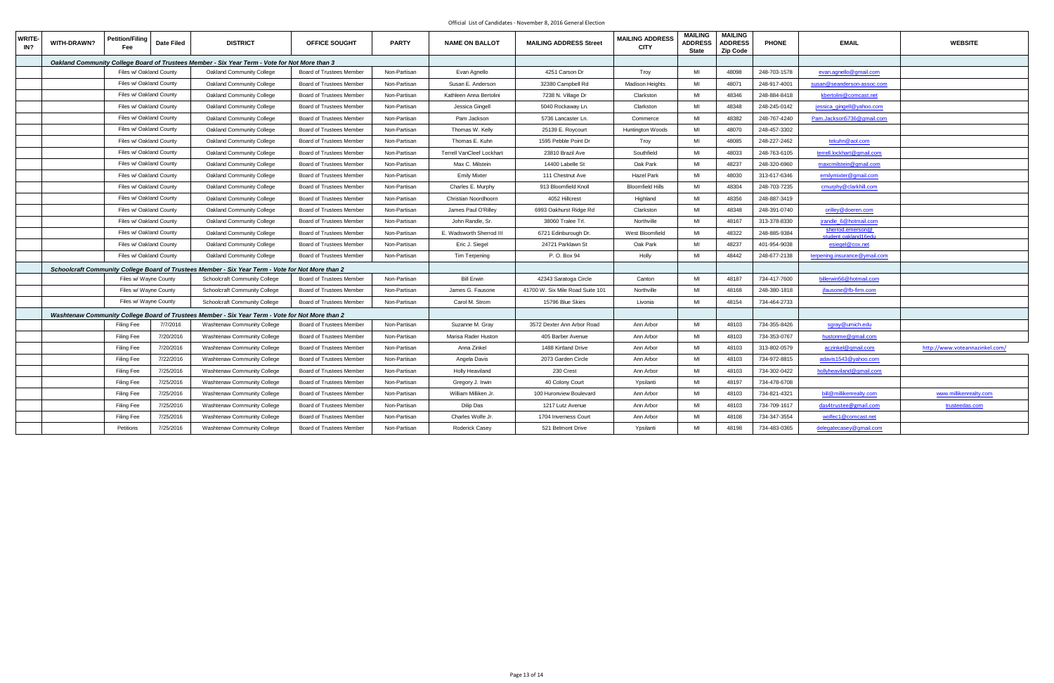| <b>WRITE-</b><br>IN? | WITH-DRAWN?             | <b>Petition/Filing</b><br><b>Date Filed</b> | <b>DISTRICT</b>                                                                                   | <b>OFFICE SOUGHT</b>            | <b>PARTY</b> | <b>NAME ON BALLOT</b>            | <b>MAILING ADDRESS Street</b>    | <b>MAILING ADDRESS</b><br><b>CITY</b> | <b>MAILING</b><br><b>ADDRESS</b><br><b>State</b> | <b>MAILING</b><br><b>ADDRESS</b><br><b>Zip Code</b> | <b>PHONE</b> | <b>EMAIL</b>                             | <b>WEBSITE</b>                 |
|----------------------|-------------------------|---------------------------------------------|---------------------------------------------------------------------------------------------------|---------------------------------|--------------|----------------------------------|----------------------------------|---------------------------------------|--------------------------------------------------|-----------------------------------------------------|--------------|------------------------------------------|--------------------------------|
|                      |                         |                                             | Oakland Community College Board of Trustees Member - Six Year Term - Vote for Not More than 3     |                                 |              |                                  |                                  |                                       |                                                  |                                                     |              |                                          |                                |
|                      | Files w/ Oakland County |                                             | <b>Oakland Community College</b>                                                                  | Board of Trustees Member        | Non-Partisan | Evan Agnello                     | 4251 Carson Dr                   | Troy                                  | MI                                               | 48098                                               | 248-703-1578 | evan.agnello@gmail.com                   |                                |
|                      | Files w/ Oakland County |                                             | Oakland Community College                                                                         | Board of Trustees Member        | Non-Partisan | Susan E. Anderson                | 32380 Campbell Rd                | <b>Madison Heights</b>                | MI                                               | 48071                                               | 248-917-4001 | susan@seanderson-assoc.com               |                                |
|                      |                         | Files w/ Oakland County                     | Oakland Community College                                                                         | Board of Trustees Member        | Non-Partisan | Kathleen Anna Bertolini          | 7238 N. Village Dr               | Clarkston                             | MI                                               | 48346                                               | 248-884-8418 | kbertolini@comcast.net                   |                                |
|                      |                         | Files w/ Oakland County                     | Oakland Community College                                                                         | Board of Trustees Member        | Non-Partisan | Jessica Gingell                  | 5040 Rockaway Ln.                | Clarkston                             | MI                                               | 48348                                               | 248-245-0142 | jessica gingell@yahoo.com                |                                |
|                      | Files w/ Oakland County |                                             | Oakland Community College                                                                         | Board of Trustees Member        | Non-Partisan | Pam Jackson                      | 5736 Lancaster Ln.               | Commerce                              | MI                                               | 48382                                               | 248-767-4240 | Pam.Jackson5736@gmail.com                |                                |
|                      | Files w/ Oakland County |                                             | Oakland Community College                                                                         | Board of Trustees Member        | Non-Partisan | Thomas W. Kelly                  | 25139 E. Roycourt                | Huntington Woods                      | MI                                               | 48070                                               | 248-457-3302 |                                          |                                |
|                      |                         | Files w/ Oakland County                     | Oakland Community College                                                                         | Board of Trustees Member        | Non-Partisan | Thomas E. Kuhn                   | 1595 Pebble Point Dr             | Troy                                  | MI                                               | 48085                                               | 248-227-2462 | tekuhn@aol.com                           |                                |
|                      | Files w/ Oakland County |                                             | Oakland Community College                                                                         | Board of Trustees Member        | Non-Partisan | <b>Terrell VanCleef Lockhart</b> | 23810 Brazil Ave                 | Southfield                            | MI                                               | 48033                                               | 248-763-6105 | terrell.lockhart@gmail.com               |                                |
|                      | Files w/ Oakland County |                                             | Oakland Community College                                                                         | Board of Trustees Member        | Non-Partisan | Max C. Milstein                  | 14400 Labelle St                 | Oak Park                              | MI                                               | 48237                                               | 248-320-6960 | maxcmilstein@gmail.com                   |                                |
|                      |                         | Files w/ Oakland County                     | Oakland Community College                                                                         | Board of Trustees Member        | Non-Partisan | <b>Emily Mixter</b>              | 111 Chestnut Ave                 | <b>Hazel Park</b>                     | MI                                               | 48030                                               | 313-617-6346 | emilymixter@gmail.com                    |                                |
|                      |                         | Files w/ Oakland County                     | Oakland Community College                                                                         | Board of Trustees Member        | Non-Partisan | Charles E. Murphy                | 913 Bloomfield Knoll             | <b>Bloomfield Hills</b>               | MI                                               | 48304                                               | 248-703-7235 | cmurphy@clarkhill.com                    |                                |
|                      | Files w/ Oakland County |                                             | Oakland Community College                                                                         | Board of Trustees Member        | Non-Partisan | Christian Noordhoorn             | 4052 Hillcrest                   | Highland                              | MI                                               | 48356                                               | 248-887-3419 |                                          |                                |
|                      | Files w/ Oakland County |                                             | Oakland Community College                                                                         | Board of Trustees Member        | Non-Partisan | James Paul O'Rilley              | 6993 Oakhurst Ridge Rd           | Clarkston                             | MI                                               | 48348                                               | 248-391-0740 | orilley@doeren.com                       |                                |
|                      | Files w/ Oakland County |                                             | Oakland Community College                                                                         | Board of Trustees Member        | Non-Partisan | John Randle, Sr.                 | 38060 Tralee Trl.                | Northville                            | MI                                               | 48167                                               | 313-378-8330 | jrandle 6@hotmail.com                    |                                |
|                      | Files w/ Oakland County |                                             | Oakland Community College                                                                         | Board of Trustees Member        | Non-Partisan | E. Wadsworth Sherrod III         | 6721 Edinburough Dr.             | West Bloomfield                       | MI                                               | 48322                                               | 248-885-9384 | sherrod.emerson@<br>student.oakland16edu |                                |
|                      | Files w/ Oakland County |                                             | <b>Oakland Community College</b>                                                                  | Board of Trustees Member        | Non-Partisan | Eric J. Siegel                   | 24721 Parklawn St                | Oak Park                              | MI                                               | 48237                                               | 401-954-9038 | esiegel@cox.net                          |                                |
|                      | Files w/ Oakland County |                                             | Oakland Community College                                                                         | Board of Trustees Member        | Non-Partisan | Tim Terpening                    | P. O. Box 94                     | Holly                                 | MI                                               | 48442                                               | 248-677-2138 | terpening.insurance@ymail.com            |                                |
|                      |                         |                                             | Schoolcraft Community College Board of Trustees Member - Six Year Term - Vote for Not More than 2 |                                 |              |                                  |                                  |                                       |                                                  |                                                     |              |                                          |                                |
|                      |                         | Files w/ Wayne County                       | Schoolcraft Community College                                                                     | Board of Trustees Member        | Non-Partisan | <b>Bill Erwin</b>                | 42343 Saratoga Circle            | Canton                                | MI                                               | 48187                                               | 734-417-7600 | billerwin56@hotmail.com                  |                                |
|                      |                         | Files w/ Wayne County                       | <b>Schoolcraft Community College</b>                                                              | <b>Board of Trustees Member</b> | Non-Partisan | James G. Fausone                 | 41700 W. Six Mile Road Suite 101 | Northville                            | MI                                               | 48168                                               | 248-380-1818 | jfausone@fb-firm.com                     |                                |
|                      |                         | Files w/ Wayne County                       | <b>Schoolcraft Community College</b>                                                              | Board of Trustees Member        | Non-Partisan | Carol M. Strom                   | 15796 Blue Skies                 | Livonia                               | MI                                               | 48154                                               | 734-464-2733 |                                          |                                |
|                      |                         |                                             | Washtenaw Community College Board of Trustees Member - Six Year Term - Vote for Not More than 2   |                                 |              |                                  |                                  |                                       |                                                  |                                                     |              |                                          |                                |
|                      |                         | 7/7/2016<br><b>Filing Fee</b>               | Washtenaw Community College                                                                       | Board of Trustees Member        | Non-Partisan | Suzanne M. Gray                  | 3572 Dexter Ann Arbor Road       | Ann Arbor                             | MI                                               | 48103                                               | 734-355-8426 | sgray@umich.edu                          |                                |
|                      |                         | <b>Filing Fee</b><br>7/20/2016              | Washtenaw Community College                                                                       | Board of Trustees Member        | Non-Partisan | Marisa Rader Huston              | 405 Barber Avenue                | Ann Arbor                             | MI                                               | 48103                                               | 734-353-0767 | hustonme@gmail.com                       |                                |
|                      |                         | <b>Filing Fee</b><br>7/20/2016              | <b>Washtenaw Community College</b>                                                                | Board of Trustees Member        | Non-Partisan | Anna Zinkel                      | 1488 Kirtland Drive              | Ann Arbor                             | MI                                               | 48103                                               | 313-802-0579 | aczinkel@gmail.com                       | http://www.voteannazinkel.com, |
|                      |                         | 7/22/2016<br>Filing Fee                     | Washtenaw Community College                                                                       | <b>Board of Trustees Member</b> | Non-Partisan | Angela Davis                     | 2073 Garden Circle               | Ann Arbor                             | MI                                               | 48103                                               | 734-972-8815 | adavis1543@yahoo.com                     |                                |
|                      |                         | 7/25/2016<br>Filing Fee                     | Washtenaw Community College                                                                       | Board of Trustees Member        | Non-Partisan | <b>Holly Heaviland</b>           | 230 Crest                        | Ann Arbor                             | MI                                               | 48103                                               | 734-302-0422 | hollyheaviland@gmail.com                 |                                |
|                      |                         | Filing Fee<br>7/25/2016                     | <b>Washtenaw Community College</b>                                                                | Board of Trustees Member        | Non-Partisan | Gregory J. Irwin                 | 40 Colony Court                  | Ypsilanti                             | MI                                               | 48197                                               | 734-478-6708 |                                          |                                |
|                      |                         | 7/25/2016<br><b>Filing Fee</b>              | Washtenaw Community College                                                                       | Board of Trustees Member        | Non-Partisan | William Milliken Jr.             | 100 Huronview Boulevard          | Ann Arbor                             | MI                                               | 48103                                               | 734-821-4321 | bill@millikenrealty.com                  | www.millikenrealty.com         |
|                      |                         | Filing Fee<br>7/25/2016                     | <b>Washtenaw Community College</b>                                                                | Board of Trustees Member        | Non-Partisan | Dilip Das                        | 1217 Lutz Avenue                 | Ann Arbor                             | MI                                               | 48103                                               | 734-709-1617 | das4trustee@gmail.com                    | trusteedas.com                 |
|                      |                         | 7/25/2016<br><b>Filing Fee</b>              | <b>Washtenaw Community College</b>                                                                | Board of Trustees Member        | Non-Partisan | Charles Wolfe Jr.                | 1704 Inverness Court             | Ann Arbor                             | MI                                               | 48108                                               | 734-347-3554 | wolfec1@comcast.net                      |                                |
|                      |                         | Petitions<br>7/25/2016                      | Washtenaw Community College                                                                       | Board of Trustees Member        | Non-Partisan | Roderick Casey                   | 521 Belmont Drive                | Ypsilanti                             | MI                                               | 48198                                               | 734-483-0365 | delegatecasey@gmail.com                  |                                |